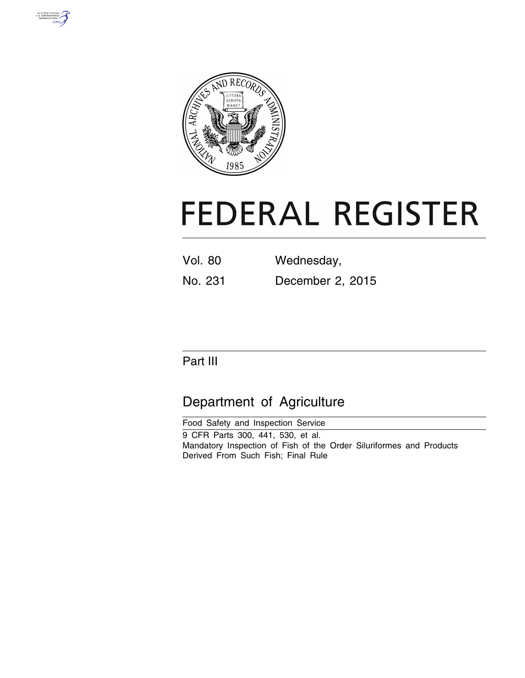



# **FEDERAL REGISTER**

| <b>Vol. 80</b> | Wednesday,       |
|----------------|------------------|
| No. 231        | December 2, 2015 |

# Part III

# Department of Agriculture

Food Safety and Inspection Service 9 CFR Parts 300, 441, 530, et al. Mandatory Inspection of Fish of the Order Siluriformes and Products Derived From Such Fish; Final Rule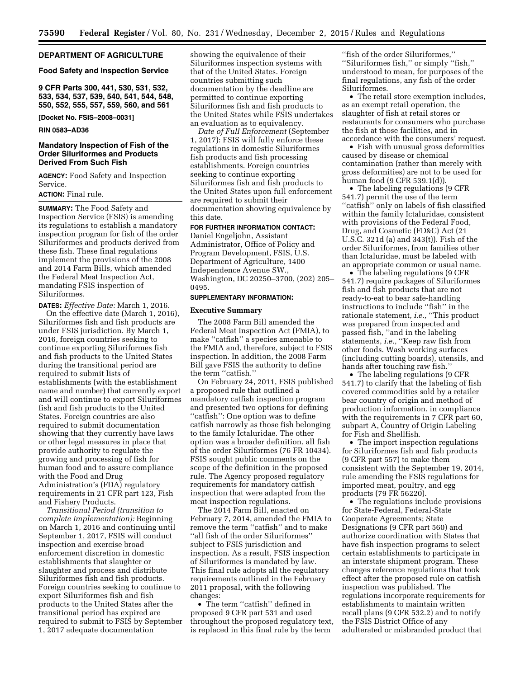# **DEPARTMENT OF AGRICULTURE**

#### **Food Safety and Inspection Service**

**9 CFR Parts 300, 441, 530, 531, 532, 533, 534, 537, 539, 540, 541, 544, 548, 550, 552, 555, 557, 559, 560, and 561** 

**[Docket No. FSIS–2008–0031]** 

#### **RIN 0583–AD36**

# **Mandatory Inspection of Fish of the Order Siluriformes and Products Derived From Such Fish**

**AGENCY:** Food Safety and Inspection Service.

# **ACTION:** Final rule.

**SUMMARY:** The Food Safety and Inspection Service (FSIS) is amending its regulations to establish a mandatory inspection program for fish of the order Siluriformes and products derived from these fish. These final regulations implement the provisions of the 2008 and 2014 Farm Bills, which amended the Federal Meat Inspection Act, mandating FSIS inspection of Siluriformes.

**DATES:** *Effective Date:* March 1, 2016.

On the effective date (March 1, 2016), Siluriformes fish and fish products are under FSIS jurisdiction. By March 1, 2016, foreign countries seeking to continue exporting Siluriformes fish and fish products to the United States during the transitional period are required to submit lists of establishments (with the establishment name and number) that currently export and will continue to export Siluriformes fish and fish products to the United States. Foreign countries are also required to submit documentation showing that they currently have laws or other legal measures in place that provide authority to regulate the growing and processing of fish for human food and to assure compliance with the Food and Drug Administration's (FDA) regulatory requirements in 21 CFR part 123, Fish and Fishery Products.

*Transitional Period (transition to complete implementation):* Beginning on March 1, 2016 and continuing until September 1, 2017, FSIS will conduct inspection and exercise broad enforcement discretion in domestic establishments that slaughter or slaughter and process and distribute Siluriformes fish and fish products. Foreign countries seeking to continue to export Siluriformes fish and fish products to the United States after the transitional period has expired are required to submit to FSIS by September 1, 2017 adequate documentation

showing the equivalence of their Siluriformes inspection systems with that of the United States. Foreign countries submitting such documentation by the deadline are permitted to continue exporting Siluriformes fish and fish products to the United States while FSIS undertakes an evaluation as to equivalency.

*Date of Full Enforcement* (September 1, 2017): FSIS will fully enforce these regulations in domestic Siluriformes fish products and fish processing establishments. Foreign countries seeking to continue exporting Siluriformes fish and fish products to the United States upon full enforcement are required to submit their documentation showing equivalence by this date.

# **FOR FURTHER INFORMATION CONTACT:**

Daniel Engeljohn, Assistant Administrator, Office of Policy and Program Development, FSIS, U.S. Department of Agriculture, 1400 Independence Avenue SW., Washington, DC 20250–3700, (202) 205– 0495.

#### **SUPPLEMENTARY INFORMATION:**

### **Executive Summary**

The 2008 Farm Bill amended the Federal Meat Inspection Act (FMIA), to make ''catfish'' a species amenable to the FMIA and, therefore, subject to FSIS inspection. In addition, the 2008 Farm Bill gave FSIS the authority to define the term ''catfish.''

On February 24, 2011, FSIS published a proposed rule that outlined a mandatory catfish inspection program and presented two options for defining ''catfish'': One option was to define catfish narrowly as those fish belonging to the family Ictaluridae. The other option was a broader definition, all fish of the order Siluriformes (76 FR 10434). FSIS sought public comments on the scope of the definition in the proposed rule. The Agency proposed regulatory requirements for mandatory catfish inspection that were adapted from the meat inspection regulations.

The 2014 Farm Bill, enacted on February 7, 2014, amended the FMIA to remove the term ''catfish'' and to make ''all fish of the order Siluriformes'' subject to FSIS jurisdiction and inspection. As a result, FSIS inspection of Siluriformes is mandated by law. This final rule adopts all the regulatory requirements outlined in the February 2011 proposal, with the following changes:

• The term ''catfish'' defined in proposed 9 CFR part 531 and used throughout the proposed regulatory text, is replaced in this final rule by the term

''fish of the order Siluriformes,'' ''Siluriformes fish,'' or simply ''fish,'' understood to mean, for purposes of the final regulations, any fish of the order Siluriformes.

• The retail store exemption includes, as an exempt retail operation, the slaughter of fish at retail stores or restaurants for consumers who purchase the fish at those facilities, and in accordance with the consumers' request.

• Fish with unusual gross deformities caused by disease or chemical contamination (rather than merely with gross deformities) are not to be used for human food (9 CFR 539.1(d)).

• The labeling regulations (9 CFR 541.7) permit the use of the term ''catfish'' only on labels of fish classified within the family Ictaluridae, consistent with provisions of the Federal Food, Drug, and Cosmetic (FD&C) Act (21 U.S.C. 321d (a) and 343(t)). Fish of the order Siluriformes, from families other than Ictaluridae, must be labeled with an appropriate common or usual name.

• The labeling regulations (9 CFR 541.7) require packages of Siluriformes fish and fish products that are not ready-to-eat to bear safe-handling instructions to include ''fish'' in the rationale statement, *i.e.,* ''This product was prepared from inspected and passed fish, ''and in the labeling statements, *i.e.*, "Keep raw fish from other foods. Wash working surfaces (including cutting boards), utensils, and hands after touching raw fish.''

• The labeling regulations (9 CFR 541.7) to clarify that the labeling of fish covered commodities sold by a retailer bear country of origin and method of production information, in compliance with the requirements in 7 CFR part 60, subpart A, Country of Origin Labeling for Fish and Shellfish.

• The import inspection regulations for Siluriformes fish and fish products (9 CFR part 557) to make them consistent with the September 19, 2014, rule amending the FSIS regulations for imported meat, poultry, and egg products (79 FR 56220).

• The regulations include provisions for State-Federal, Federal-State Cooperate Agreements; State Designations (9 CFR part 560) and authorize coordination with States that have fish inspection programs to select certain establishments to participate in an interstate shipment program. These changes reference regulations that took effect after the proposed rule on catfish inspection was published. The regulations incorporate requirements for establishments to maintain written recall plans (9 CFR 532.2) and to notify the FSIS District Office of any adulterated or misbranded product that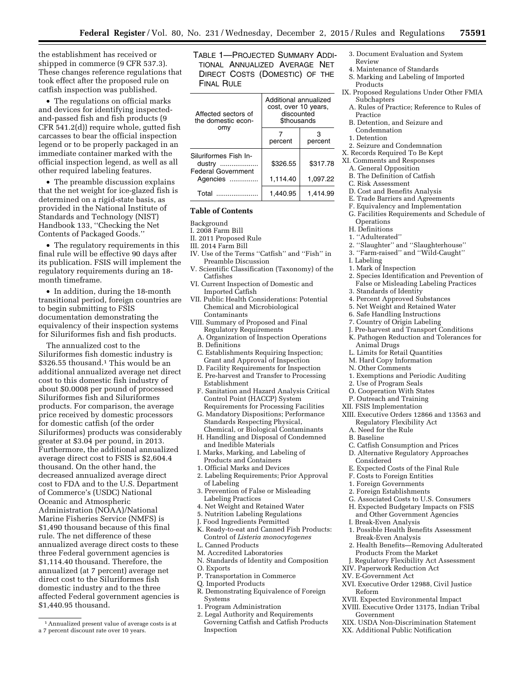the establishment has received or shipped in commerce (9 CFR 537.3). These changes reference regulations that took effect after the proposed rule on catfish inspection was published.

• The regulations on official marks and devices for identifying inspectedand-passed fish and fish products (9 CFR 541.2(d)) require whole, gutted fish carcasses to bear the official inspection legend or to be properly packaged in an immediate container marked with the official inspection legend, as well as all other required labeling features.

• The preamble discussion explains that the net weight for ice-glazed fish is determined on a rigid-state basis, as provided in the National Institute of Standards and Technology (NIST) Handbook 133, ''Checking the Net Contents of Packaged Goods.''

• The regulatory requirements in this final rule will be effective 90 days after its publication. FSIS will implement the regulatory requirements during an 18 month timeframe.

• In addition, during the 18-month transitional period, foreign countries are to begin submitting to FSIS documentation demonstrating the equivalency of their inspection systems for Siluriformes fish and fish products.

The annualized cost to the Siluriformes fish domestic industry is \$326.55 thousand.1 This would be an additional annualized average net direct cost to this domestic fish industry of about \$0.0008 per pound of processed Siluriformes fish and Siluriformes products. For comparison, the average price received by domestic processors for domestic catfish (of the order Siluriformes) products was considerably greater at \$3.04 per pound, in 2013. Furthermore, the additional annualized average direct cost to FSIS is \$2,604.4 thousand. On the other hand, the decreased annualized average direct cost to FDA and to the U.S. Department of Commerce's (USDC) National Oceanic and Atmospheric Administration (NOAA)/National Marine Fisheries Service (NMFS) is \$1,490 thousand because of this final rule. The net difference of these annualized average direct costs to these three Federal government agencies is \$1,114.40 thousand. Therefore, the annualized (at 7 percent) average net direct cost to the Siluriformes fish domestic industry and to the three affected Federal government agencies is \$1,440.95 thousand.

TABLE 1—PROJECTED SUMMARY ADDI-TIONAL ANNUALIZED AVERAGE NET DIRECT COSTS (DOMESTIC) OF THE FINAL RULE

| Affected sectors of<br>the domestic econ-                    | Additional annualized<br>cost, over 10 years,<br>discounted<br><b><i>Sthousands</i></b> |          |  |  |
|--------------------------------------------------------------|-----------------------------------------------------------------------------------------|----------|--|--|
| omv                                                          | percent                                                                                 | percent  |  |  |
| Siluriformes Fish In-<br>dustry<br><b>Federal Government</b> | \$326.55                                                                                | \$317.78 |  |  |
| Agencies                                                     | 1.114.40                                                                                | 1.097.22 |  |  |
| Total                                                        | 1.440.95                                                                                | 1.414.99 |  |  |

# **Table of Contents**

- Background
- I. 2008 Farm Bill
- II. 2011 Proposed Rule
- III. 2014 Farm Bill
- IV. Use of the Terms ''Catfish'' and ''Fish'' in Preamble Discussion
- V. Scientific Classification (Taxonomy) of the Catfishes
- VI. Current Inspection of Domestic and Imported Catfish
- VII. Public Health Considerations: Potential Chemical and Microbiological Contaminants
- VIII. Summary of Proposed and Final Regulatory Requirements
	- A. Organization of Inspection Operations
	- B. Definitions
	- C. Establishments Requiring Inspection; Grant and Approval of Inspection
	- D. Facility Requirements for Inspection
	- E. Pre-harvest and Transfer to Processing Establishment
	- F. Sanitation and Hazard Analysis Critical Control Point (HACCP) System Requirements for Processing Facilities
	- G. Mandatory Dispositions; Performance Standards Respecting Physical, Chemical, or Biological Contaminants
	- H. Handling and Disposal of Condemned and Inedible Materials
- I. Marks, Marking, and Labeling of Products and Containers
- 1. Official Marks and Devices
- 2. Labeling Requirements; Prior Approval of Labeling
- 3. Prevention of False or Misleading Labeling Practices
- 4. Net Weight and Retained Water
- 5. Nutrition Labeling Regulations
- J. Food Ingredients Permitted
- K. Ready-to-eat and Canned Fish Products: Control of *Listeria monocytogenes*
- L. Canned Products
- M. Accredited Laboratories
- N. Standards of Identity and Composition
- O. Exports
- P. Transportation in Commerce
- Q. Imported Products
- R. Demonstrating Equivalence of Foreign Systems
- 1. Program Administration
- 2. Legal Authority and Requirements Governing Catfish and Catfish Products Inspection
- 3. Document Evaluation and System Review
- 4. Maintenance of Standards
- S. Marking and Labeling of Imported **Products**
- IX. Proposed Regulations Under Other FMIA Subchapters
- A. Rules of Practice; Reference to Rules of Practice
- B. Detention, and Seizure and Condemnation
- 1. Detention
- 
- 2. Seizure and Condemnation X. Records Required To Be Kept
- XI. Comments and Responses
- A. General Opposition
	- B. The Definition of Catfish
	- C. Risk Assessment
	- D. Cost and Benefits Analysis
	-
	- E. Trade Barriers and Agreements F. Equivalency and Implementation
	- G. Facilities Requirements and Schedule of **Operations**
	- H. Definitions
	- 1. ''Adulterated''
	- 2. ''Slaughter'' and ''Slaughterhouse''
	- 3. ''Farm-raised'' and ''Wild-Caught''
	- I. Labeling
	- 1. Mark of Inspection
	- 2. Species Identification and Prevention of False or Misleading Labeling Practices
	- 3. Standards of Identity
	-
	- 4. Percent Approved Substances
	- 5. Net Weight and Retained Water 6. Safe Handling Instructions
	-
	- 7. Country of Origin Labeling
	- J. Pre-harvest and Transport Conditions
	- K. Pathogen Reduction and Tolerances for Animal Drugs
	- L. Limits for Retail Quantities
	- M. Hard Copy Information
	- N. Other Comments
	- 1. Exemptions and Periodic Auditing
	- 2. Use of Program Seals
	- O. Cooperation With States
	- P. Outreach and Training
- XII. FSIS Implementation
- XIII. Executive Orders 12866 and 13563 and
	- Regulatory Flexibility Act
	- A. Need for the Rule
	- B. Baseline
	- C. Catfish Consumption and Prices
- D. Alternative Regulatory Approaches
	- Considered
	- E. Expected Costs of the Final Rule
	- F. Costs to Foreign Entities

Products From the Market J. Regulatory Flexibility Act Assessment

XIV. Paperwork Reduction Act XV. E-Government Act

Reform

Government

- 1. Foreign Governments
- 2. Foreign Establishments
- G. Associated Costs to U.S. Consumers
- H. Expected Budgetary Impacts on FSIS and Other Government Agencies
- I. Break-Even Analysis
- 1. Possible Health Benefits Assessment Break-Even Analysis 2. Health Benefits—Removing Adulterated

XVI. Executive Order 12988, Civil Justice

XIX. USDA Non-Discrimination Statement XX. Additional Public Notification

XVII. Expected Environmental Impact XVIII. Executive Order 13175, Indian Tribal

<sup>1</sup>Annualized present value of average costs is at a 7 percent discount rate over 10 years.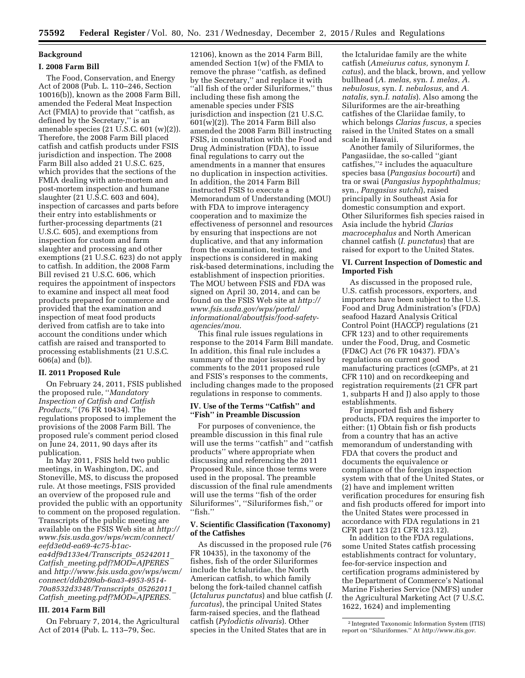# **Background**

# **I. 2008 Farm Bill**

The Food, Conservation, and Energy Act of 2008 (Pub. L. 110–246, Section 10016(b)), known as the 2008 Farm Bill, amended the Federal Meat Inspection Act (FMIA) to provide that ''catfish, as defined by the Secretary,'' is an amenable species (21 U.S.C. 601 (w)(2)). Therefore, the 2008 Farm Bill placed catfish and catfish products under FSIS jurisdiction and inspection. The 2008 Farm Bill also added 21 U.S.C. 625, which provides that the sections of the FMIA dealing with ante-mortem and post-mortem inspection and humane slaughter (21 U.S.C. 603 and 604), inspection of carcasses and parts before their entry into establishments or further-processing departments (21 U.S.C. 605), and exemptions from inspection for custom and farm slaughter and processing and other exemptions (21 U.S.C. 623) do not apply to catfish. In addition, the 2008 Farm Bill revised 21 U.S.C. 606, which requires the appointment of inspectors to examine and inspect all meat food products prepared for commerce and provided that the examination and inspection of meat food products derived from catfish are to take into account the conditions under which catfish are raised and transported to processing establishments (21 U.S.C. 606(a) and (b)).

# **II. 2011 Proposed Rule**

On February 24, 2011, FSIS published the proposed rule, ''*Mandatory Inspection of Catfish and Catfish Products,''* (76 FR 10434). The regulations proposed to implement the provisions of the 2008 Farm Bill. The proposed rule's comment period closed on June 24, 2011, 90 days after its publication.

In May 2011, FSIS held two public meetings, in Washington, DC, and Stoneville, MS, to discuss the proposed rule. At those meetings, FSIS provided an overview of the proposed rule and provided the public with an opportunity to comment on the proposed regulation. Transcripts of the public meeting are available on the FSIS Web site at *[http://](http://www.fsis.usda.gov/wps/wcm/connect/eefd3e0d-ea69-4c75-b1ac-ea4df9d133e4/Transcripts_05242011_Catfish_meeting.pdf?MOD=AJPERES) [www.fsis.usda.gov/wps/wcm/connect/](http://www.fsis.usda.gov/wps/wcm/connect/eefd3e0d-ea69-4c75-b1ac-ea4df9d133e4/Transcripts_05242011_Catfish_meeting.pdf?MOD=AJPERES) [eefd3e0d-ea69-4c75-b1ac](http://www.fsis.usda.gov/wps/wcm/connect/eefd3e0d-ea69-4c75-b1ac-ea4df9d133e4/Transcripts_05242011_Catfish_meeting.pdf?MOD=AJPERES)[ea4df9d133e4/Transcripts](http://www.fsis.usda.gov/wps/wcm/connect/eefd3e0d-ea69-4c75-b1ac-ea4df9d133e4/Transcripts_05242011_Catfish_meeting.pdf?MOD=AJPERES)*\_*05242011*\_ *Catfish*\_*[meeting.pdf?MOD=AJPERES](http://www.fsis.usda.gov/wps/wcm/connect/eefd3e0d-ea69-4c75-b1ac-ea4df9d133e4/Transcripts_05242011_Catfish_meeting.pdf?MOD=AJPERES)*  and *[http://www.fsis.usda.gov/wps/wcm/](http://www.fsis.usda.gov/wps/wcm/connect/ddb209ab-6aa3-4953-9514-70a8532d3348/Transcripts_05262011_Catfish_meeting.pdf?MOD=AJPERES)  [connect/ddb209ab-6aa3-4953-9514-](http://www.fsis.usda.gov/wps/wcm/connect/ddb209ab-6aa3-4953-9514-70a8532d3348/Transcripts_05262011_Catfish_meeting.pdf?MOD=AJPERES) [70a8532d3348/Transcripts](http://www.fsis.usda.gov/wps/wcm/connect/ddb209ab-6aa3-4953-9514-70a8532d3348/Transcripts_05262011_Catfish_meeting.pdf?MOD=AJPERES)*\_*05262011*\_ *Catfish*\_*[meeting.pdf?MOD=AJPERES](http://www.fsis.usda.gov/wps/wcm/connect/ddb209ab-6aa3-4953-9514-70a8532d3348/Transcripts_05262011_Catfish_meeting.pdf?MOD=AJPERES)*.

# **III. 2014 Farm Bill**

On February 7, 2014, the Agricultural Act of 2014 (Pub. L. 113–79, Sec.

12106), known as the 2014 Farm Bill, amended Section 1(w) of the FMIA to remove the phrase ''catfish, as defined by the Secretary,'' and replace it with ''all fish of the order Siluriformes,'' thus including these fish among the amenable species under FSIS jurisdiction and inspection (21 U.S.C. 601(w)(2)). The 2014 Farm Bill also amended the 2008 Farm Bill instructing FSIS, in consultation with the Food and Drug Administration (FDA), to issue final regulations to carry out the amendments in a manner that ensures no duplication in inspection activities. In addition, the 2014 Farm Bill instructed FSIS to execute a Memorandum of Understanding (MOU) with FDA to improve interagency cooperation and to maximize the effectiveness of personnel and resources by ensuring that inspections are not duplicative, and that any information from the examination, testing, and inspections is considered in making risk-based determinations, including the establishment of inspection priorities. The MOU between FSIS and FDA was signed on April 30, 2014, and can be found on the FSIS Web site at *[http://](http://www.fsis.usda.gov/wps/portal/informational/aboutfsis/food-safety-agencies/mou) [www.fsis.usda.gov/wps/portal/](http://www.fsis.usda.gov/wps/portal/informational/aboutfsis/food-safety-agencies/mou) [informational/aboutfsis/food-safety](http://www.fsis.usda.gov/wps/portal/informational/aboutfsis/food-safety-agencies/mou)[agencies/mou](http://www.fsis.usda.gov/wps/portal/informational/aboutfsis/food-safety-agencies/mou)*.

This final rule issues regulations in response to the 2014 Farm Bill mandate. In addition, this final rule includes a summary of the major issues raised by comments to the 2011 proposed rule and FSIS's responses to the comments, including changes made to the proposed regulations in response to comments.

# **IV. Use of the Terms ''Catfish'' and ''Fish'' in Preamble Discussion**

For purposes of convenience, the preamble discussion in this final rule will use the terms ''catfish'' and ''catfish products'' where appropriate when discussing and referencing the 2011 Proposed Rule, since those terms were used in the proposal. The preamble discussion of the final rule amendments will use the terms ''fish of the order Siluriformes'', ''Siluriformes fish,'' or ''fish.''

# **V. Scientific Classification (Taxonomy) of the Catfishes**

As discussed in the proposed rule (76 FR 10435), in the taxonomy of the fishes, fish of the order Siluriformes include the Ictaluridae, the North American catfish, to which family belong the fork-tailed channel catfish (*Ictalurus punctatus*) and blue catfish (*I. furcatus*), the principal United States farm-raised species, and the flathead catfish (*Pylodictis olivaris*). Other species in the United States that are in

the Ictaluridae family are the white catfish (*Ameiurus catus,* synonym *I. catus*), and the black, brown, and yellow bullhead (*A. melas,* syn. *I. melas, A. nebulosus,* syn. *I. nebulosus,* and *A. natalis,* syn.*I. natalis*). Also among the Siluriformes are the air-breathing catfishes of the Clariidae family, to which belongs *Clarias fuscus,* a species raised in the United States on a small scale in Hawaii.

Another family of Siluriformes, the Pangasiidae, the so-called ''giant catfishes,''2 includes the aquaculture species basa (*Pangasius bocourti*) and tra or swai (*Pangasius hypophthalmus;*  syn., *Pangasius sutchi*), raised principally in Southeast Asia for domestic consumption and export. Other Siluriformes fish species raised in Asia include the hybrid *Clarias macrocephalus* and North American channel catfish (*I. punctatus*) that are raised for export to the United States.

# **VI. Current Inspection of Domestic and Imported Fish**

As discussed in the proposed rule, U.S. catfish processors, exporters, and importers have been subject to the U.S. Food and Drug Administration's (FDA) seafood Hazard Analysis Critical Control Point (HACCP) regulations (21 CFR 123) and to other requirements under the Food, Drug, and Cosmetic (FD&C) Act (76 FR 10437). FDA's regulations on current good manufacturing practices (cGMPs, at 21 CFR 110) and on recordkeeping and registration requirements (21 CFR part 1, subparts H and J) also apply to those establishments.

For imported fish and fishery products, FDA requires the importer to either: (1) Obtain fish or fish products from a country that has an active memorandum of understanding with FDA that covers the product and documents the equivalence or compliance of the foreign inspection system with that of the United States, or (2) have and implement written verification procedures for ensuring fish and fish products offered for import into the United States were processed in accordance with FDA regulations in 21 CFR part 123 (21 CFR 123.12).

In addition to the FDA regulations, some United States catfish processing establishments contract for voluntary, fee-for-service inspection and certification programs administered by the Department of Commerce's National Marine Fisheries Service (NMFS) under the Agricultural Marketing Act (7 U.S.C. 1622, 1624) and implementing

<sup>2</sup> Integrated Taxonomic Information System (ITIS) report on ''Siluriformes.'' At *<http://www.itis.gov>*.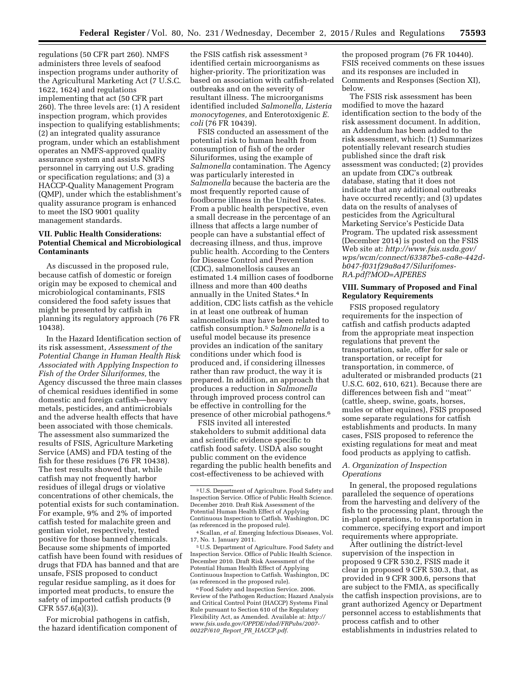regulations (50 CFR part 260). NMFS administers three levels of seafood inspection programs under authority of the Agricultural Marketing Act (7 U.S.C. 1622, 1624) and regulations implementing that act (50 CFR part 260). The three levels are: (1) A resident inspection program, which provides inspection to qualifying establishments; (2) an integrated quality assurance program, under which an establishment operates an NMFS-approved quality assurance system and assists NMFS personnel in carrying out U.S. grading or specification regulations; and (3) a HACCP-Quality Management Program (QMP), under which the establishment's quality assurance program is enhanced to meet the ISO 9001 quality management standards.

# **VII. Public Health Considerations: Potential Chemical and Microbiological Contaminants**

As discussed in the proposed rule, because catfish of domestic or foreign origin may be exposed to chemical and microbiological contaminants, FSIS considered the food safety issues that might be presented by catfish in planning its regulatory approach (76 FR 10438).

In the Hazard Identification section of its risk assessment, *Assessment of the Potential Change in Human Health Risk Associated with Applying Inspection to Fish of the Order Siluriformes,* the Agency discussed the three main classes of chemical residues identified in some domestic and foreign catfish—heavy metals, pesticides, and antimicrobials and the adverse health effects that have been associated with those chemicals. The assessment also summarized the results of FSIS, Agriculture Marketing Service (AMS) and FDA testing of the fish for these residues (76 FR 10438). The test results showed that, while catfish may not frequently harbor residues of illegal drugs or violative concentrations of other chemicals, the potential exists for such contamination. For example, 9% and 2% of imported catfish tested for malachite green and gentian violet, respectively, tested positive for those banned chemicals. Because some shipments of imported catfish have been found with residues of drugs that FDA has banned and that are unsafe, FSIS proposed to conduct regular residue sampling, as it does for imported meat products, to ensure the safety of imported catfish products (9 CFR 557.6(a)(3)).

For microbial pathogens in catfish, the hazard identification component of

the FSIS catfish risk assessment 3 identified certain microorganisms as higher-priority. The prioritization was based on association with catfish-related outbreaks and on the severity of resultant illness. The microorganisms identified included *Salmonella, Listeria monocytogenes,* and Enterotoxigenic *E. coli* (76 FR 10439).

FSIS conducted an assessment of the potential risk to human health from consumption of fish of the order Siluriformes, using the example of *Salmonella* contamination. The Agency was particularly interested in *Salmonella* because the bacteria are the most frequently reported cause of foodborne illness in the United States. From a public health perspective, even a small decrease in the percentage of an illness that affects a large number of people can have a substantial effect of decreasing illness, and thus, improve public health. According to the Centers for Disease Control and Prevention (CDC), salmonellosis causes an estimated 1.4 million cases of foodborne illness and more than 400 deaths annually in the United States.4 In addition, CDC lists catfish as the vehicle in at least one outbreak of human salmonellosis may have been related to catfish consumption.5 *Salmonella* is a useful model because its presence provides an indication of the sanitary conditions under which food is produced and, if considering illnesses rather than raw product, the way it is prepared. In addition, an approach that produces a reduction in *Salmonella*  through improved process control can be effective in controlling for the presence of other microbial pathogens.6

FSIS invited all interested stakeholders to submit additional data and scientific evidence specific to catfish food safety. USDA also sought public comment on the evidence regarding the public health benefits and cost-effectiveness to be achieved with

5U.S. Department of Agriculture. Food Safety and Inspection Service. Office of Public Health Science. December 2010. Draft Risk Assessment of the Potential Human Health Effect of Applying Continuous Inspection to Catfish. Washington, DC (as referenced in the proposed rule).

6Food Safety and Inspection Service. 2006. Review of the Pathogen Reduction; Hazard Analysis and Critical Control Point (HACCP) Systems Final Rule pursuant to Section 610 of the Regulatory Flexibility Act, as Amended. Available at: *[http://](http://www.fsis.usda.gov/OPPDE/rdad/FRPubs/2007-0022P/610_Report_PR_HACCP.pdf) [www.fsis.usda.gov/OPPDE/rdad/FRPubs/2007-](http://www.fsis.usda.gov/OPPDE/rdad/FRPubs/2007-0022P/610_Report_PR_HACCP.pdf)  0022P/610*\_*Report*\_*PR*\_*[HACCP.pdf](http://www.fsis.usda.gov/OPPDE/rdad/FRPubs/2007-0022P/610_Report_PR_HACCP.pdf)*.

the proposed program (76 FR 10440). FSIS received comments on these issues and its responses are included in Comments and Responses (Section XI), below.

The FSIS risk assessment has been modified to move the hazard identification section to the body of the risk assessment document. In addition, an Addendum has been added to the risk assessment, which: (1) Summarizes potentially relevant research studies published since the draft risk assessment was conducted; (2) provides an update from CDC's outbreak database, stating that it does not indicate that any additional outbreaks have occurred recently; and (3) updates data on the results of analyses of pesticides from the Agricultural Marketing Service's Pesticide Data Program. The updated risk assessment (December 2014) is posted on the FSIS Web site at: *[http://www.fsis.usda.gov/](http://www.fsis.usda.gov/wps/wcm/connect/63387be5-ca8e-442d-b047-f031f29a8a47/Silurifomes-RA.pdf?MOD=AJPERES) [wps/wcm/connect/63387be5-ca8e-442d](http://www.fsis.usda.gov/wps/wcm/connect/63387be5-ca8e-442d-b047-f031f29a8a47/Silurifomes-RA.pdf?MOD=AJPERES)[b047-f031f29a8a47/Silurifomes-](http://www.fsis.usda.gov/wps/wcm/connect/63387be5-ca8e-442d-b047-f031f29a8a47/Silurifomes-RA.pdf?MOD=AJPERES)[RA.pdf?MOD=AJPERES](http://www.fsis.usda.gov/wps/wcm/connect/63387be5-ca8e-442d-b047-f031f29a8a47/Silurifomes-RA.pdf?MOD=AJPERES)* 

# **VIII. Summary of Proposed and Final Regulatory Requirements**

FSIS proposed regulatory requirements for the inspection of catfish and catfish products adapted from the appropriate meat inspection regulations that prevent the transportation, sale, offer for sale or transportation, or receipt for transportation, in commerce, of adulterated or misbranded products (21 U.S.C. 602, 610, 621). Because there are differences between fish and ''meat'' (cattle, sheep, swine, goats, horses, mules or other equines), FSIS proposed some separate regulations for catfish establishments and products. In many cases, FSIS proposed to reference the existing regulations for meat and meat food products as applying to catfish.

# *A. Organization of Inspection Operations*

In general, the proposed regulations paralleled the sequence of operations from the harvesting and delivery of the fish to the processing plant, through the in-plant operations, to transportation in commerce, specifying export and import requirements where appropriate.

After outlining the district-level supervision of the inspection in proposed 9 CFR 530.2, FSIS made it clear in proposed 9 CFR 530.3, that, as provided in 9 CFR 300.6, persons that are subject to the FMIA, as specifically the catfish inspection provisions, are to grant authorized Agency or Department personnel access to establishments that process catfish and to other establishments in industries related to

<sup>3</sup>U.S. Department of Agriculture. Food Safety and Inspection Service. Office of Public Health Science. December 2010. Draft Risk Assessment of the Potential Human Health Effect of Applying Continuous Inspection to Catfish. Washington, DC (as referenced in the proposed rule).

<sup>4</sup>Scallan, *et al.* Emerging Infectious Diseases, Vol. 17, No. 1. January 2011.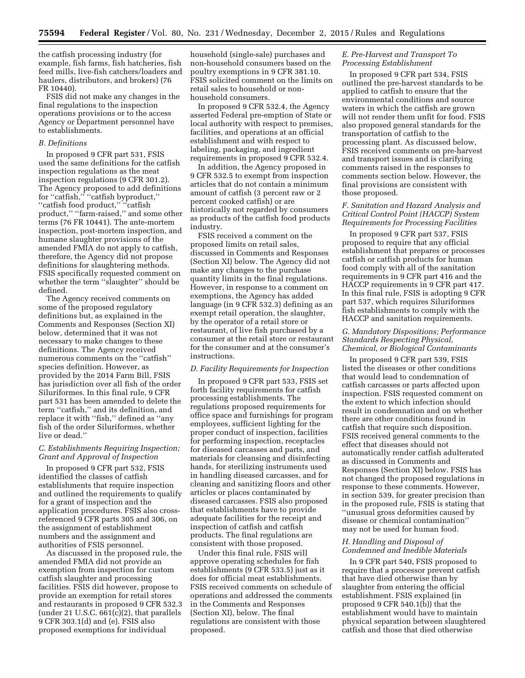the catfish processing industry (for example, fish farms, fish hatcheries, fish feed mills, live-fish catchers/loaders and haulers, distributors, and brokers) (76 FR 10440).

FSIS did not make any changes in the final regulations to the inspection operations provisions or to the access Agency or Department personnel have to establishments.

#### *B. Definitions*

In proposed 9 CFR part 531, FSIS used the same definitions for the catfish inspection regulations as the meat inspection regulations (9 CFR 301.2). The Agency proposed to add definitions for ''catfish,'' ''catfish byproduct,'' ''catfish food product,'' ''catfish product," "farm-raised," and some other terms (76 FR 10441). The ante-mortem inspection, post-mortem inspection, and humane slaughter provisions of the amended FMIA do not apply to catfish, therefore, the Agency did not propose definitions for slaughtering methods. FSIS specifically requested comment on whether the term ''slaughter'' should be defined.

The Agency received comments on some of the proposed regulatory definitions but, as explained in the Comments and Responses (Section XI) below, determined that it was not necessary to make changes to these definitions. The Agency received numerous comments on the ''catfish'' species definition. However, as provided by the 2014 Farm Bill, FSIS has jurisdiction over all fish of the order Siluriformes. In this final rule, 9 CFR part 531 has been amended to delete the term ''catfish,'' and its definition, and replace it with ''fish,'' defined as ''any fish of the order Siluriformes, whether live or dead.''

# *C. Establishments Requiring Inspection; Grant and Approval of Inspection*

In proposed 9 CFR part 532, FSIS identified the classes of catfish establishments that require inspection and outlined the requirements to qualify for a grant of inspection and the application procedures. FSIS also crossreferenced 9 CFR parts 305 and 306, on the assignment of establishment numbers and the assignment and authorities of FSIS personnel.

As discussed in the proposed rule, the amended FMIA did not provide an exemption from inspection for custom catfish slaughter and processing facilities. FSIS did however, propose to provide an exemption for retail stores and restaurants in proposed 9 CFR 532.3 (under 21 U.S.C.  $661(c)(2)$ , that parallels 9 CFR 303.1(d) and (e). FSIS also proposed exemptions for individual

household (single-sale) purchases and non-household consumers based on the poultry exemptions in 9 CFR 381.10. FSIS solicited comment on the limits on retail sales to household or nonhousehold consumers.

In proposed 9 CFR 532.4, the Agency asserted Federal pre-emption of State or local authority with respect to premises, facilities, and operations at an official establishment and with respect to labeling, packaging, and ingredient requirements in proposed 9 CFR 532.4.

In addition, the Agency proposed in 9 CFR 532.5 to exempt from inspection articles that do not contain a minimum amount of catfish (3 percent raw or 2 percent cooked catfish) or are historically not regarded by consumers as products of the catfish food products industry.

FSIS received a comment on the proposed limits on retail sales, discussed in Comments and Responses (Section XI) below. The Agency did not make any changes to the purchase quantity limits in the final regulations. However, in response to a comment on exemptions, the Agency has added language (in 9 CFR 532.3) defining as an exempt retail operation, the slaughter, by the operator of a retail store or restaurant, of live fish purchased by a consumer at the retail store or restaurant for the consumer and at the consumer's instructions.

# *D. Facility Requirements for Inspection*

In proposed 9 CFR part 533, FSIS set forth facility requirements for catfish processing establishments. The regulations proposed requirements for office space and furnishings for program employees, sufficient lighting for the proper conduct of inspection, facilities for performing inspection, receptacles for diseased carcasses and parts, and materials for cleansing and disinfecting hands, for sterilizing instruments used in handling diseased carcasses, and for cleaning and sanitizing floors and other articles or places contaminated by diseased carcasses. FSIS also proposed that establishments have to provide adequate facilities for the receipt and inspection of catfish and catfish products. The final regulations are consistent with those proposed.

Under this final rule, FSIS will approve operating schedules for fish establishments (9 CFR 533.5) just as it does for official meat establishments. FSIS received comments on schedule of operations and addressed the comments in the Comments and Responses (Section XI), below. The final regulations are consistent with those proposed.

# *E. Pre-Harvest and Transport To Processing Establishment*

In proposed 9 CFR part 534, FSIS outlined the pre-harvest standards to be applied to catfish to ensure that the environmental conditions and source waters in which the catfish are grown will not render them unfit for food. FSIS also proposed general standards for the transportation of catfish to the processing plant. As discussed below, FSIS received comments on pre-harvest and transport issues and is clarifying comments raised in the responses to comments section below. However, the final provisions are consistent with those proposed.

# *F. Sanitation and Hazard Analysis and Critical Control Point (HACCP) System Requirements for Processing Facilities*

In proposed 9 CFR part 537, FSIS proposed to require that any official establishment that prepares or processes catfish or catfish products for human food comply with all of the sanitation requirements in 9 CFR part 416 and the HACCP requirements in 9 CFR part 417. In this final rule, FSIS is adopting 9 CFR part 537, which requires Siluriformes fish establishments to comply with the HACCP and sanitation requirements.

# *G. Mandatory Dispositions; Performance Standards Respecting Physical, Chemical, or Biological Contaminants*

In proposed 9 CFR part 539, FSIS listed the diseases or other conditions that would lead to condemnation of catfish carcasses or parts affected upon inspection. FSIS requested comment on the extent to which infection should result in condemnation and on whether there are other conditions found in catfish that require such disposition. FSIS received general comments to the effect that diseases should not automatically render catfish adulterated as discussed in Comments and Responses (Section XI) below. FSIS has not changed the proposed regulations in response to these comments. However, in section 539, for greater precision than in the proposed rule, FSIS is stating that ''unusual gross deformities caused by disease or chemical contamination'' may not be used for human food.

# *H. Handling and Disposal of Condemned and Inedible Materials*

In 9 CFR part 540, FSIS proposed to require that a processor prevent catfish that have died otherwise than by slaughter from entering the official establishment. FSIS explained (in proposed 9 CFR 540.1(b)) that the establishment would have to maintain physical separation between slaughtered catfish and those that died otherwise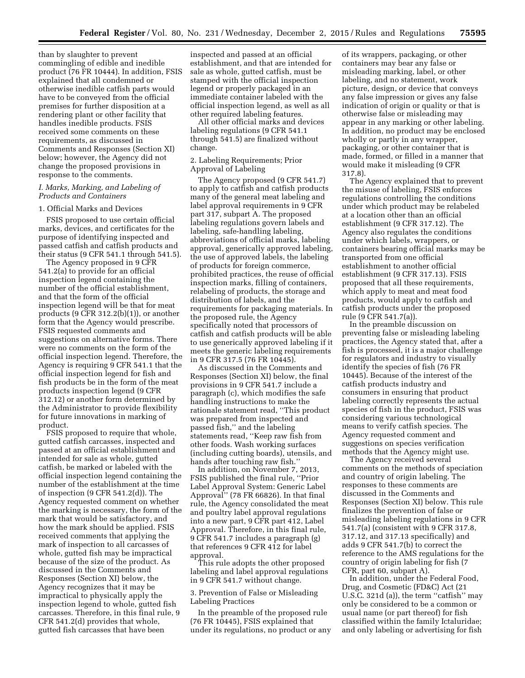than by slaughter to prevent commingling of edible and inedible product (76 FR 10444). In addition, FSIS explained that all condemned or otherwise inedible catfish parts would have to be conveyed from the official premises for further disposition at a rendering plant or other facility that handles inedible products. FSIS received some comments on these requirements, as discussed in Comments and Responses (Section XI) below; however, the Agency did not change the proposed provisions in response to the comments.

# *I. Marks, Marking, and Labeling of Products and Containers*

#### 1. Official Marks and Devices

FSIS proposed to use certain official marks, devices, and certificates for the purpose of identifying inspected and passed catfish and catfish products and their status (9 CFR 541.1 through 541.5).

The Agency proposed in 9 CFR 541.2(a) to provide for an official inspection legend containing the number of the official establishment, and that the form of the official inspection legend will be that for meat products (9 CFR 312.2(b)(1)), or another form that the Agency would prescribe. FSIS requested comments and suggestions on alternative forms. There were no comments on the form of the official inspection legend. Therefore, the Agency is requiring 9 CFR 541.1 that the official inspection legend for fish and fish products be in the form of the meat products inspection legend (9 CFR 312.12) or another form determined by the Administrator to provide flexibility for future innovations in marking of product.

FSIS proposed to require that whole, gutted catfish carcasses, inspected and passed at an official establishment and intended for sale as whole, gutted catfish, be marked or labeled with the official inspection legend containing the number of the establishment at the time of inspection (9 CFR 541.2(d)). The Agency requested comment on whether the marking is necessary, the form of the mark that would be satisfactory, and how the mark should be applied. FSIS received comments that applying the mark of inspection to all carcasses of whole, gutted fish may be impractical because of the size of the product. As discussed in the Comments and Responses (Section XI) below, the Agency recognizes that it may be impractical to physically apply the inspection legend to whole, gutted fish carcasses. Therefore, in this final rule, 9 CFR 541.2(d) provides that whole, gutted fish carcasses that have been

inspected and passed at an official establishment, and that are intended for sale as whole, gutted catfish, must be stamped with the official inspection legend or properly packaged in an immediate container labeled with the official inspection legend, as well as all other required labeling features.

All other official marks and devices labeling regulations (9 CFR 541.1 through 541.5) are finalized without change.

# 2. Labeling Requirements; Prior Approval of Labeling

The Agency proposed (9 CFR 541.7) to apply to catfish and catfish products many of the general meat labeling and label approval requirements in 9 CFR part 317, subpart A. The proposed labeling regulations govern labels and labeling, safe-handling labeling, abbreviations of official marks, labeling approval, generically approved labeling, the use of approved labels, the labeling of products for foreign commerce, prohibited practices, the reuse of official inspection marks, filling of containers, relabeling of products, the storage and distribution of labels, and the requirements for packaging materials. In the proposed rule, the Agency specifically noted that processors of catfish and catfish products will be able to use generically approved labeling if it meets the generic labeling requirements in 9 CFR 317.5 (76 FR 10445).

As discussed in the Comments and Responses (Section XI) below, the final provisions in 9 CFR 541.7 include a paragraph (c), which modifies the safe handling instructions to make the rationale statement read, ''This product was prepared from inspected and passed fish,'' and the labeling statements read, ''Keep raw fish from other foods. Wash working surfaces (including cutting boards), utensils, and hands after touching raw fish.''

In addition, on November 7, 2013, FSIS published the final rule, ''Prior Label Approval System: Generic Label Approval'' (78 FR 66826). In that final rule, the Agency consolidated the meat and poultry label approval regulations into a new part, 9 CFR part 412, Label Approval. Therefore, in this final rule, 9 CFR 541.7 includes a paragraph (g) that references 9 CFR 412 for label approval.

This rule adopts the other proposed labeling and label approval regulations in 9 CFR 541.7 without change.

3. Prevention of False or Misleading Labeling Practices

In the preamble of the proposed rule (76 FR 10445), FSIS explained that under its regulations, no product or any

of its wrappers, packaging, or other containers may bear any false or misleading marking, label, or other labeling, and no statement, work picture, design, or device that conveys any false impression or gives any false indication of origin or quality or that is otherwise false or misleading may appear in any marking or other labeling. In addition, no product may be enclosed wholly or partly in any wrapper, packaging, or other container that is made, formed, or filled in a manner that would make it misleading (9 CFR 317.8).

The Agency explained that to prevent the misuse of labeling, FSIS enforces regulations controlling the conditions under which product may be relabeled at a location other than an official establishment (9 CFR 317.12). The Agency also regulates the conditions under which labels, wrappers, or containers bearing official marks may be transported from one official establishment to another official establishment (9 CFR 317.13). FSIS proposed that all these requirements, which apply to meat and meat food products, would apply to catfish and catfish products under the proposed rule (9 CFR 541.7(a)).

In the preamble discussion on preventing false or misleading labeling practices, the Agency stated that, after a fish is processed, it is a major challenge for regulators and industry to visually identify the species of fish (76 FR 10445). Because of the interest of the catfish products industry and consumers in ensuring that product labeling correctly represents the actual species of fish in the product, FSIS was considering various technological means to verify catfish species. The Agency requested comment and suggestions on species verification methods that the Agency might use.

The Agency received several comments on the methods of speciation and country of origin labeling. The responses to these comments are discussed in the Comments and Responses (Section XI) below. This rule finalizes the prevention of false or misleading labeling regulations in 9 CFR 541.7(a) (consistent with 9 CFR 317.8, 317.12, and 317.13 specifically) and adds 9 CFR 541.7(b) to correct the reference to the AMS regulations for the country of origin labeling for fish (7 CFR, part 60, subpart A).

In addition, under the Federal Food, Drug, and Cosmetic (FD&C) Act (21 U.S.C. 321d (a)), the term ''catfish'' may only be considered to be a common or usual name (or part thereof) for fish classified within the family Ictaluridae; and only labeling or advertising for fish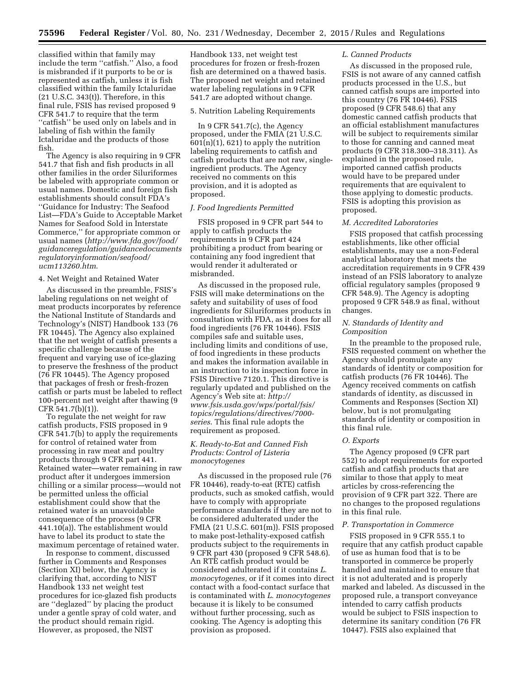classified within that family may include the term ''catfish.'' Also, a food is misbranded if it purports to be or is represented as catfish, unless it is fish classified within the family Ictaluridae (21 U.S.C. 343(t)). Therefore, in this final rule, FSIS has revised proposed 9 CFR 541.7 to require that the term ''catfish'' be used only on labels and in labeling of fish within the family Ictaluridae and the products of those fish.

The Agency is also requiring in 9 CFR 541.7 that fish and fish products in all other families in the order Siluriformes be labeled with appropriate common or usual names. Domestic and foreign fish establishments should consult FDA's ''Guidance for Industry: The Seafood List—FDA's Guide to Acceptable Market Names for Seafood Sold in Interstate Commerce,'' for appropriate common or usual names (*[http://www.fda.gov/food/](http://www.fda.gov/food/guidanceregulation/guidancedocumentsregulatoryinformation/seafood/ucm113260.htm) [guidanceregulation/guidancedocuments](http://www.fda.gov/food/guidanceregulation/guidancedocumentsregulatoryinformation/seafood/ucm113260.htm) [regulatoryinformation/seafood/](http://www.fda.gov/food/guidanceregulation/guidancedocumentsregulatoryinformation/seafood/ucm113260.htm) [ucm113260.htm](http://www.fda.gov/food/guidanceregulation/guidancedocumentsregulatoryinformation/seafood/ucm113260.htm)*.

# 4. Net Weight and Retained Water

As discussed in the preamble, FSIS's labeling regulations on net weight of meat products incorporates by reference the National Institute of Standards and Technology's (NIST) Handbook 133 (76 FR 10445). The Agency also explained that the net weight of catfish presents a specific challenge because of the frequent and varying use of ice-glazing to preserve the freshness of the product (76 FR 10445). The Agency proposed that packages of fresh or fresh-frozen catfish or parts must be labeled to reflect 100-percent net weight after thawing (9 CFR 541.7(b)(1)).

To regulate the net weight for raw catfish products, FSIS proposed in 9 CFR 541.7(b) to apply the requirements for control of retained water from processing in raw meat and poultry products through 9 CFR part 441. Retained water—water remaining in raw product after it undergoes immersion chilling or a similar process—would not be permitted unless the official establishment could show that the retained water is an unavoidable consequence of the process (9 CFR 441.10(a)). The establishment would have to label its product to state the maximum percentage of retained water.

In response to comment, discussed further in Comments and Responses (Section XI) below, the Agency is clarifying that, according to NIST Handbook 133 net weight test procedures for ice-glazed fish products are ''deglazed'' by placing the product under a gentle spray of cold water, and the product should remain rigid. However, as proposed, the NIST

Handbook 133, net weight test procedures for frozen or fresh-frozen fish are determined on a thawed basis. The proposed net weight and retained water labeling regulations in 9 CFR 541.7 are adopted without change.

### 5. Nutrition Labeling Requirements

In 9 CFR 541.7(c), the Agency proposed, under the FMIA (21 U.S.C.  $601(n)(1)$ , 621) to apply the nutrition labeling requirements to catfish and catfish products that are not raw, singleingredient products. The Agency received no comments on this provision, and it is adopted as proposed.

# *J. Food Ingredients Permitted*

FSIS proposed in 9 CFR part 544 to apply to catfish products the requirements in 9 CFR part 424 prohibiting a product from bearing or containing any food ingredient that would render it adulterated or misbranded.

As discussed in the proposed rule, FSIS will make determinations on the safety and suitability of uses of food ingredients for Siluriformes products in consultation with FDA, as it does for all food ingredients (76 FR 10446). FSIS compiles safe and suitable uses, including limits and conditions of use, of food ingredients in these products and makes the information available in an instruction to its inspection force in FSIS Directive 7120.1. This directive is regularly updated and published on the Agency's Web site at: *[http://](http://www.fsis.usda.gov/wps/portal/fsis/topics/regulations/directives/7000-series) [www.fsis.usda.gov/wps/portal/fsis/](http://www.fsis.usda.gov/wps/portal/fsis/topics/regulations/directives/7000-series) [topics/regulations/directives/7000](http://www.fsis.usda.gov/wps/portal/fsis/topics/regulations/directives/7000-series) [series](http://www.fsis.usda.gov/wps/portal/fsis/topics/regulations/directives/7000-series)*. This final rule adopts the requirement as proposed.

# *K. Ready-to-Eat and Canned Fish Products: Control of Listeria monocytogenes*

As discussed in the proposed rule (76 FR 10446), ready-to-eat (RTE) catfish products, such as smoked catfish, would have to comply with appropriate performance standards if they are not to be considered adulterated under the FMIA (21 U.S.C. 601(m)). FSIS proposed to make post-lethality-exposed catfish products subject to the requirements in 9 CFR part 430 (proposed 9 CFR 548.6). An RTE catfish product would be considered adulterated if it contains *L. monocytogenes,* or if it comes into direct contact with a food-contact surface that is contaminated with *L. monocytogenes*  because it is likely to be consumed without further processing, such as cooking. The Agency is adopting this provision as proposed.

#### *L. Canned Products*

As discussed in the proposed rule, FSIS is not aware of any canned catfish products processed in the U.S., but canned catfish soups are imported into this country (76 FR 10446). FSIS proposed (9 CFR 548.6) that any domestic canned catfish products that an official establishment manufactures will be subject to requirements similar to those for canning and canned meat products (9 CFR 318.300–318.311). As explained in the proposed rule, imported canned catfish products would have to be prepared under requirements that are equivalent to those applying to domestic products. FSIS is adopting this provision as proposed.

#### *M. Accredited Laboratories*

FSIS proposed that catfish processing establishments, like other official establishments, may use a non-Federal analytical laboratory that meets the accreditation requirements in 9 CFR 439 instead of an FSIS laboratory to analyze official regulatory samples (proposed 9 CFR 548.9). The Agency is adopting proposed 9 CFR 548.9 as final, without changes.

# *N. Standards of Identity and Composition*

In the preamble to the proposed rule, FSIS requested comment on whether the Agency should promulgate any standards of identity or composition for catfish products (76 FR 10446). The Agency received comments on catfish standards of identity, as discussed in Comments and Responses (Section XI) below, but is not promulgating standards of identity or composition in this final rule.

#### *O. Exports*

The Agency proposed (9 CFR part 552) to adopt requirements for exported catfish and catfish products that are similar to those that apply to meat articles by cross-referencing the provision of 9 CFR part 322. There are no changes to the proposed regulations in this final rule.

#### *P. Transportation in Commerce*

FSIS proposed in 9 CFR 555.1 to require that any catfish product capable of use as human food that is to be transported in commerce be properly handled and maintained to ensure that it is not adulterated and is properly marked and labeled. As discussed in the proposed rule, a transport conveyance intended to carry catfish products would be subject to FSIS inspection to determine its sanitary condition (76 FR 10447). FSIS also explained that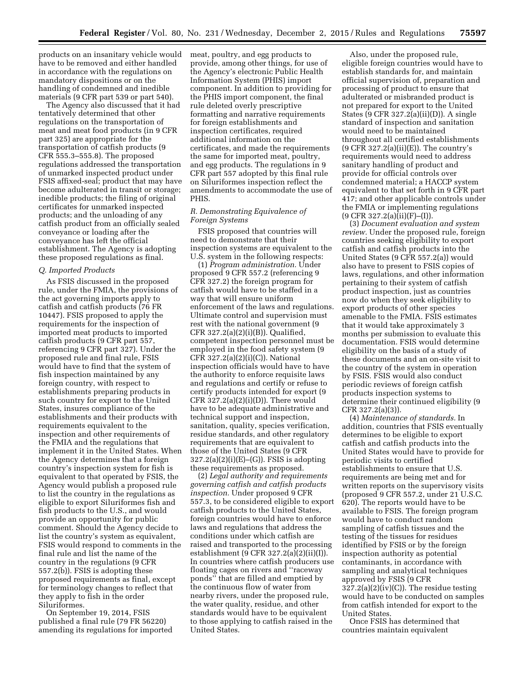products on an insanitary vehicle would have to be removed and either handled in accordance with the regulations on mandatory dispositions or on the handling of condemned and inedible materials (9 CFR part 539 or part 540).

The Agency also discussed that it had tentatively determined that other regulations on the transportation of meat and meat food products (in 9 CFR part 325) are appropriate for the transportation of catfish products (9 CFR 555.3–555.8). The proposed regulations addressed the transportation of unmarked inspected product under FSIS affixed-seal; product that may have become adulterated in transit or storage; inedible products; the filing of original certificates for unmarked inspected products; and the unloading of any catfish product from an officially sealed conveyance or loading after the conveyance has left the official establishment. The Agency is adopting these proposed regulations as final.

#### *Q. Imported Products*

As FSIS discussed in the proposed rule, under the FMIA, the provisions of the act governing imports apply to catfish and catfish products (76 FR 10447). FSIS proposed to apply the requirements for the inspection of imported meat products to imported catfish products (9 CFR part 557, referencing 9 CFR part 327). Under the proposed rule and final rule, FSIS would have to find that the system of fish inspection maintained by any foreign country, with respect to establishments preparing products in such country for export to the United States, insures compliance of the establishments and their products with requirements equivalent to the inspection and other requirements of the FMIA and the regulations that implement it in the United States. When the Agency determines that a foreign country's inspection system for fish is equivalent to that operated by FSIS, the Agency would publish a proposed rule to list the country in the regulations as eligible to export Siluriformes fish and fish products to the U.S., and would provide an opportunity for public comment. Should the Agency decide to list the country's system as equivalent, FSIS would respond to comments in the final rule and list the name of the country in the regulations (9 CFR 557.2(b)). FSIS is adopting these proposed requirements as final, except for terminology changes to reflect that they apply to fish in the order Siluriformes.

On September 19, 2014, FSIS published a final rule (79 FR 56220) amending its regulations for imported meat, poultry, and egg products to provide, among other things, for use of the Agency's electronic Public Health Information System (PHIS) import component. In addition to providing for the PHIS import component, the final rule deleted overly prescriptive formatting and narrative requirements for foreign establishments and inspection certificates, required additional information on the certificates, and made the requirements the same for imported meat, poultry, and egg products. The regulations in 9 CFR part 557 adopted by this final rule on Siluriformes inspection reflect the amendments to accommodate the use of PHIS.

# *R. Demonstrating Equivalence of Foreign Systems*

FSIS proposed that countries will need to demonstrate that their inspection systems are equivalent to the U.S. system in the following respects:

(1) *Program administration.* Under proposed 9 CFR 557.2 (referencing 9 CFR 327.2) the foreign program for catfish would have to be staffed in a way that will ensure uniform enforcement of the laws and regulations. Ultimate control and supervision must rest with the national government (9 CFR 327.2(a)(2)(i)(B)). Qualified, competent inspection personnel must be employed in the food safety system (9 CFR  $327.2(a)(2)(i)(C)$ ). National inspection officials would have to have the authority to enforce requisite laws and regulations and certify or refuse to certify products intended for export (9 CFR  $327.2(a)(2)(i)(D)$ . There would have to be adequate administrative and technical support and inspection, sanitation, quality, species verification, residue standards, and other regulatory requirements that are equivalent to those of the United States (9 CFR  $327.2(a)(2)(i)(E)$ –(G)). FSIS is adopting these requirements as proposed.

(2) *Legal authority and requirements governing catfish and catfish products inspection.* Under proposed 9 CFR 557.3, to be considered eligible to export catfish products to the United States, foreign countries would have to enforce laws and regulations that address the conditions under which catfish are raised and transported to the processing establishment (9 CFR 327.2(a)(2)(ii)(I)). In countries where catfish producers use floating cages on rivers and ''raceway ponds'' that are filled and emptied by the continuous flow of water from nearby rivers, under the proposed rule, the water quality, residue, and other standards would have to be equivalent to those applying to catfish raised in the United States.

Also, under the proposed rule, eligible foreign countries would have to establish standards for, and maintain official supervision of, preparation and processing of product to ensure that adulterated or misbranded product is not prepared for export to the United States (9 CFR 327.2(a)(ii)(D)). A single standard of inspection and sanitation would need to be maintained throughout all certified establishments  $(9$  CFR 327.2(a)(ii)(E)). The country's requirements would need to address sanitary handling of product and provide for official controls over condemned material; a HACCP system equivalent to that set forth in 9 CFR part 417; and other applicable controls under the FMIA or implementing regulations (9 CFR 327.2(a)(ii)(F)–(I)).

(3) *Document evaluation and system review.* Under the proposed rule, foreign countries seeking eligibility to export catfish and catfish products into the United States (9 CFR 557.2(a)) would also have to present to FSIS copies of laws, regulations, and other information pertaining to their system of catfish product inspection, just as countries now do when they seek eligibility to export products of other species amenable to the FMIA. FSIS estimates that it would take approximately 3 months per submission to evaluate this documentation. FSIS would determine eligibility on the basis of a study of these documents and an on-site visit to the country of the system in operation by FSIS. FSIS would also conduct periodic reviews of foreign catfish products inspection systems to determine their continued eligibility (9 CFR 327.2(a)(3)).

(4) *Maintenance of standards.* In addition, countries that FSIS eventually determines to be eligible to export catfish and catfish products into the United States would have to provide for periodic visits to certified establishments to ensure that U.S. requirements are being met and for written reports on the supervisory visits (proposed 9 CFR 557.2, under 21 U.S.C. 620). The reports would have to be available to FSIS. The foreign program would have to conduct random sampling of catfish tissues and the testing of the tissues for residues identified by FSIS or by the foreign inspection authority as potential contaminants, in accordance with sampling and analytical techniques approved by FSIS (9 CFR 327.2(a)(2)(iv)(C)). The residue testing would have to be conducted on samples from catfish intended for export to the United States.

Once FSIS has determined that countries maintain equivalent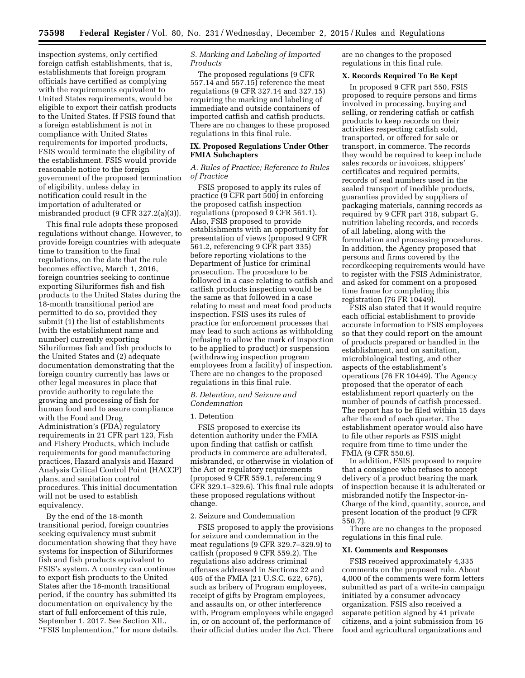inspection systems, only certified foreign catfish establishments, that is, establishments that foreign program officials have certified as complying with the requirements equivalent to United States requirements, would be eligible to export their catfish products to the United States. If FSIS found that a foreign establishment is not in compliance with United States requirements for imported products, FSIS would terminate the eligibility of the establishment. FSIS would provide reasonable notice to the foreign government of the proposed termination of eligibility, unless delay in notification could result in the importation of adulterated or misbranded product (9 CFR 327.2(a)(3)).

This final rule adopts these proposed regulations without change. However, to provide foreign countries with adequate time to transition to the final regulations, on the date that the rule becomes effective, March 1, 2016, foreign countries seeking to continue exporting Siluriformes fish and fish products to the United States during the 18-month transitional period are permitted to do so, provided they submit (1) the list of establishments (with the establishment name and number) currently exporting Siluriformes fish and fish products to the United States and (2) adequate documentation demonstrating that the foreign country currently has laws or other legal measures in place that provide authority to regulate the growing and processing of fish for human food and to assure compliance with the Food and Drug Administration's (FDA) regulatory requirements in 21 CFR part 123, Fish and Fishery Products, which include requirements for good manufacturing practices, Hazard analysis and Hazard Analysis Critical Control Point (HACCP) plans, and sanitation control procedures. This initial documentation will not be used to establish equivalency.

By the end of the 18-month transitional period, foreign countries seeking equivalency must submit documentation showing that they have systems for inspection of Siluriformes fish and fish products equivalent to FSIS's system. A country can continue to export fish products to the United States after the 18-month transitional period, if the country has submitted its documentation on equivalency by the start of full enforcement of this rule, September 1, 2017. See Section XII., ''FSIS Implemention,'' for more details.

# *S. Marking and Labeling of Imported Products*

The proposed regulations (9 CFR 557.14 and 557.15) reference the meat regulations (9 CFR 327.14 and 327.15) requiring the marking and labeling of immediate and outside containers of imported catfish and catfish products. There are no changes to these proposed regulations in this final rule.

# **IX. Proposed Regulations Under Other FMIA Subchapters**

# *A. Rules of Practice; Reference to Rules of Practice*

FSIS proposed to apply its rules of practice (9 CFR part 500) in enforcing the proposed catfish inspection regulations (proposed 9 CFR 561.1). Also, FSIS proposed to provide establishments with an opportunity for presentation of views (proposed 9 CFR 561.2, referencing 9 CFR part 335) before reporting violations to the Department of Justice for criminal prosecution. The procedure to be followed in a case relating to catfish and catfish products inspection would be the same as that followed in a case relating to meat and meat food products inspection. FSIS uses its rules of practice for enforcement processes that may lead to such actions as withholding (refusing to allow the mark of inspection to be applied to product) or suspension (withdrawing inspection program employees from a facility) of inspection. There are no changes to the proposed regulations in this final rule.

# *B. Detention, and Seizure and Condemnation*

# 1. Detention

FSIS proposed to exercise its detention authority under the FMIA upon finding that catfish or catfish products in commerce are adulterated, misbranded, or otherwise in violation of the Act or regulatory requirements (proposed 9 CFR 559.1, referencing 9 CFR 329.1–329.6). This final rule adopts these proposed regulations without change.

# 2. Seizure and Condemnation

FSIS proposed to apply the provisions for seizure and condemnation in the meat regulations (9 CFR 329.7–329.9) to catfish (proposed 9 CFR 559.2). The regulations also address criminal offenses addressed in Sections 22 and 405 of the FMIA (21 U.S.C. 622, 675), such as bribery of Program employees, receipt of gifts by Program employees, and assaults on, or other interference with, Program employees while engaged in, or on account of, the performance of their official duties under the Act. There are no changes to the proposed regulations in this final rule.

#### **X. Records Required To Be Kept**

In proposed 9 CFR part 550, FSIS proposed to require persons and firms involved in processing, buying and selling, or rendering catfish or catfish products to keep records on their activities respecting catfish sold, transported, or offered for sale or transport, in commerce. The records they would be required to keep include sales records or invoices, shippers' certificates and required permits, records of seal numbers used in the sealed transport of inedible products, guaranties provided by suppliers of packaging materials, canning records as required by 9 CFR part 318, subpart G, nutrition labeling records, and records of all labeling, along with the formulation and processing procedures. In addition, the Agency proposed that persons and firms covered by the recordkeeping requirements would have to register with the FSIS Administrator, and asked for comment on a proposed time frame for completing this registration (76 FR 10449).

FSIS also stated that it would require each official establishment to provide accurate information to FSIS employees so that they could report on the amount of products prepared or handled in the establishment, and on sanitation, microbiological testing, and other aspects of the establishment's operations (76 FR 10449). The Agency proposed that the operator of each establishment report quarterly on the number of pounds of catfish processed. The report has to be filed within 15 days after the end of each quarter. The establishment operator would also have to file other reports as FSIS might require from time to time under the FMIA (9 CFR 550.6).

In addition, FSIS proposed to require that a consignee who refuses to accept delivery of a product bearing the mark of inspection because it is adulterated or misbranded notify the Inspector-in-Charge of the kind, quantity, source, and present location of the product (9 CFR 550.7).

There are no changes to the proposed regulations in this final rule.

# **XI. Comments and Responses**

FSIS received approximately 4,335 comments on the proposed rule. About 4,000 of the comments were form letters submitted as part of a write-in campaign initiated by a consumer advocacy organization. FSIS also received a separate petition signed by 41 private citizens, and a joint submission from 16 food and agricultural organizations and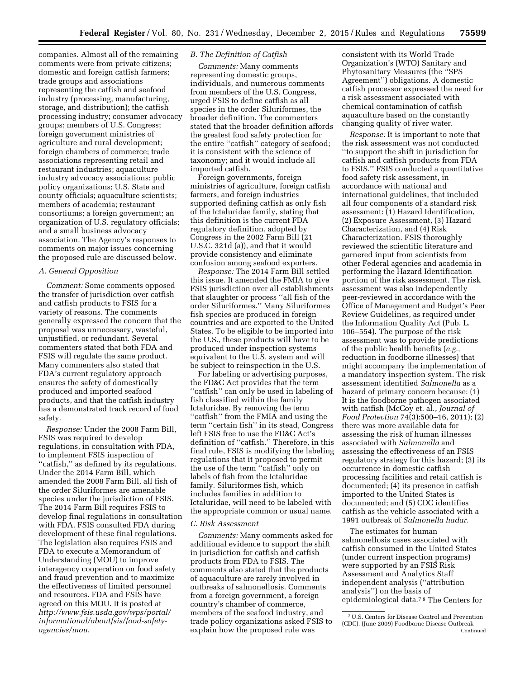companies. Almost all of the remaining comments were from private citizens; domestic and foreign catfish farmers; trade groups and associations representing the catfish and seafood industry (processing, manufacturing, storage, and distribution); the catfish processing industry; consumer advocacy groups; members of U.S. Congress; foreign government ministries of agriculture and rural development; foreign chambers of commerce; trade associations representing retail and restaurant industries; aquaculture industry advocacy associations; public policy organizations; U.S. State and county officials; aquaculture scientists; members of academia; restaurant consortiums; a foreign government; an organization of U.S. regulatory officials; and a small business advocacy association. The Agency's responses to comments on major issues concerning the proposed rule are discussed below.

# *A. General Opposition*

*Comment:* Some comments opposed the transfer of jurisdiction over catfish and catfish products to FSIS for a variety of reasons. The comments generally expressed the concern that the proposal was unnecessary, wasteful, unjustified, or redundant. Several commenters stated that both FDA and FSIS will regulate the same product. Many commenters also stated that FDA's current regulatory approach ensures the safety of domestically produced and imported seafood products, and that the catfish industry has a demonstrated track record of food safety.

*Response:* Under the 2008 Farm Bill, FSIS was required to develop regulations, in consultation with FDA, to implement FSIS inspection of ''catfish,'' as defined by its regulations. Under the 2014 Farm Bill, which amended the 2008 Farm Bill, all fish of the order Siluriformes are amenable species under the jurisdiction of FSIS. The 2014 Farm Bill requires FSIS to develop final regulations in consultation with FDA. FSIS consulted FDA during development of these final regulations. The legislation also requires FSIS and FDA to execute a Memorandum of Understanding (MOU) to improve interagency cooperation on food safety and fraud prevention and to maximize the effectiveness of limited personnel and resources. FDA and FSIS have agreed on this MOU. It is posted at *[http://www.fsis.usda.gov/wps/portal/](http://www.fsis.usda.gov/wps/portal/informational/aboutfsis/food-safety-agencies/mou) [informational/aboutfsis/food-safety](http://www.fsis.usda.gov/wps/portal/informational/aboutfsis/food-safety-agencies/mou)[agencies/mou](http://www.fsis.usda.gov/wps/portal/informational/aboutfsis/food-safety-agencies/mou)*.

# *B. The Definition of Catfish*

*Comments:* Many comments representing domestic groups, individuals, and numerous comments from members of the U.S. Congress, urged FSIS to define catfish as all species in the order Siluriformes, the broader definition. The commenters stated that the broader definition affords the greatest food safety protection for the entire ''catfish'' category of seafood; it is consistent with the science of taxonomy; and it would include all imported catfish.

Foreign governments, foreign ministries of agriculture, foreign catfish farmers, and foreign industries supported defining catfish as only fish of the Ictaluridae family, stating that this definition is the current FDA regulatory definition, adopted by Congress in the 2002 Farm Bill (21 U.S.C. 321d (a)), and that it would provide consistency and eliminate confusion among seafood exporters.

*Response:* The 2014 Farm Bill settled this issue. It amended the FMIA to give FSIS jurisdiction over all establishments that slaughter or process ''all fish of the order Siluriformes.'' Many Siluriformes fish species are produced in foreign countries and are exported to the United States. To be eligible to be imported into the U.S., these products will have to be produced under inspection systems equivalent to the U.S. system and will be subject to reinspection in the U.S.

For labeling or advertising purposes, the FD&C Act provides that the term ''catfish'' can only be used in labeling of fish classified within the family Ictaluridae. By removing the term ''catfish'' from the FMIA and using the term ''certain fish'' in its stead, Congress left FSIS free to use the FD&C Act's definition of ''catfish.'' Therefore, in this final rule, FSIS is modifying the labeling regulations that it proposed to permit the use of the term ''catfish'' only on labels of fish from the Ictaluridae family. Siluriformes fish, which includes families in addition to Ictaluridae, will need to be labeled with the appropriate common or usual name.

#### *C. Risk Assessment*

*Comments:* Many comments asked for additional evidence to support the shift in jurisdiction for catfish and catfish products from FDA to FSIS. The comments also stated that the products of aquaculture are rarely involved in outbreaks of salmonellosis. Comments from a foreign government, a foreign country's chamber of commerce, members of the seafood industry, and trade policy organizations asked FSIS to explain how the proposed rule was

consistent with its World Trade Organization's (WTO) Sanitary and Phytosanitary Measures (the ''SPS Agreement'') obligations. A domestic catfish processor expressed the need for a risk assessment associated with chemical contamination of catfish aquaculture based on the constantly changing quality of river water.

*Response:* It is important to note that the risk assessment was not conducted ''to support the shift in jurisdiction for catfish and catfish products from FDA to FSIS.'' FSIS conducted a quantitative food safety risk assessment, in accordance with national and international guidelines, that included all four components of a standard risk assessment: (1) Hazard Identification, (2) Exposure Assessment, (3) Hazard Characterization, and (4) Risk Characterization. FSIS thoroughly reviewed the scientific literature and garnered input from scientists from other Federal agencies and academia in performing the Hazard Identification portion of the risk assessment. The risk assessment was also independently peer-reviewed in accordance with the Office of Management and Budget's Peer Review Guidelines, as required under the Information Quality Act (Pub. L. 106–554). The purpose of the risk assessment was to provide predictions of the public health benefits (*e.g.,*  reduction in foodborne illnesses) that might accompany the implementation of a mandatory inspection system. The risk assessment identified *Salmonella* as a hazard of primary concern because: (1) It is the foodborne pathogen associated with catfish (McCoy et. al., *Journal of Food Protection* 74(3):500–16, 2011); (2) there was more available data for assessing the risk of human illnesses associated with *Salmonella* and assessing the effectiveness of an FSIS regulatory strategy for this hazard; (3) its occurrence in domestic catfish processing facilities and retail catfish is documented; (4) its presence in catfish imported to the United States is documented; and (5) CDC identifies catfish as the vehicle associated with a 1991 outbreak of *Salmonella hadar.* 

The estimates for human salmonellosis cases associated with catfish consumed in the United States (under current inspection programs) were supported by an FSIS Risk Assessment and Analytics Staff independent analysis (''attribution analysis'') on the basis of epidemiological data.7 8 The Centers for

<sup>7</sup>U.S. Centers for Disease Control and Prevention (CDC). (June 2009) Foodborne Disease Outbreak Continued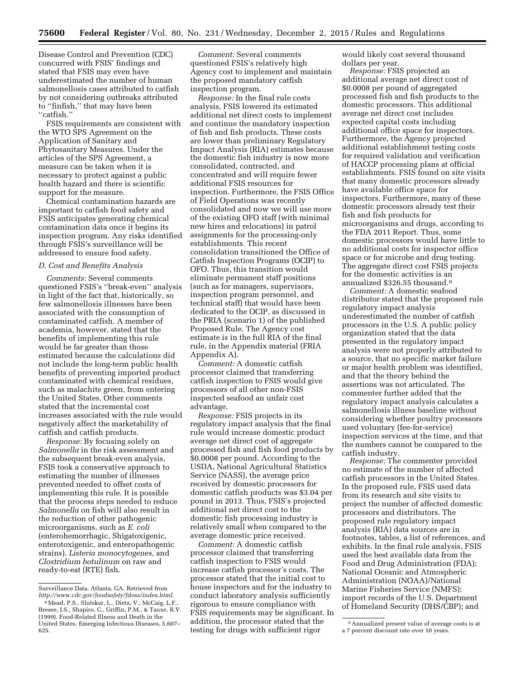Disease Control and Prevention (CDC) concurred with FSIS' findings and stated that FSIS may even have underestimated the number of human salmonellosis cases attributed to catfish by not considering outbreaks attributed to ''finfish,'' that may have been ''catfish.''

FSIS requirements are consistent with the WTO SPS Agreement on the Application of Sanitary and Phytosanitary Measures. Under the articles of the SPS Agreement, a measure can be taken when it is necessary to protect against a public health hazard and there is scientific support for the measure.

Chemical contamination hazards are important to catfish food safety and FSIS anticipates generating chemical contamination data once it begins its inspection program. Any risks identified through FSIS's surveillance will be addressed to ensure food safety.

# *D. Cost and Benefits Analysis*

*Comments:* Several comments questioned FSIS's ''break-even'' analysis in light of the fact that, historically, so few salmonellosis illnesses have been associated with the consumption of contaminated catfish. A member of academia, however, stated that the benefits of implementing this rule would be far greater than those estimated because the calculations did not include the long-term public health benefits of preventing imported product contaminated with chemical residues, such as malachite green, from entering the United States. Other comments stated that the incremental cost increases associated with the rule would negatively affect the marketability of catfish and catfish products.

*Response:* By focusing solely on *Salmonella* in the risk assessment and the subsequent break-even analysis, FSIS took a conservative approach to estimating the number of illnesses prevented needed to offset costs of implementing this rule. It is possible that the process steps needed to reduce *Salmonella* on fish will also result in the reduction of other pathogenic microorganisms, such as *E. coli*  (enterohemorrhagic, Shigatoxigenic, enterotoxigenic, and enteropathogenic strains), *Listeria monocytogenes,* and *Clostridium botulinum* on raw and ready-to-eat (RTE) fish.

*Comment:* Several comments questioned FSIS's relatively high Agency cost to implement and maintain the proposed mandatory catfish inspection program.

*Response:* In the final rule costs analysis, FSIS lowered its estimated additional net direct costs to implement and continue the mandatory inspection of fish and fish products. These costs are lower than preliminary Regulatory Impact Analysis (RIA) estimates because the domestic fish industry is now more consolidated, contracted, and concentrated and will require fewer additional FSIS resources for inspection. Furthermore, the FSIS Office of Field Operations was recently consolidated and now we will use more of the existing OFO staff (with minimal new hires and relocations) in patrol assignments for the processing-only establishments. This recent consolidation transitioned the Office of Catfish Inspection Programs (OCIP) to OFO. Thus, this transition would eliminate permanent staff positions (such as for managers, supervisors, inspection program personnel, and technical staff) that would have been dedicated to the OCIP, as discussed in the PRIA (scenario 1) of the published Proposed Rule. The Agency cost estimate is in the full RIA of the final rule, in the Appendix material (FRIA Appendix A).

*Comment:* A domestic catfish processor claimed that transferring catfish inspection to FSIS would give processors of all other non-FSIS inspected seafood an unfair cost advantage.

*Response:* FSIS projects in its regulatory impact analysis that the final rule would increase domestic product average net direct cost of aggregate processed fish and fish food products by \$0.0008 per pound. According to the USDA, National Agricultural Statistics Service (NASS), the average price received by domestic processors for domestic catfish products was \$3.04 per pound in 2013. Thus, FSIS's projected additional net direct cost to the domestic fish processing industry is relatively small when compared to the average domestic price received.

*Comment:* A domestic catfish processor claimed that transferring catfish inspection to FSIS would increase catfish processor's costs. The processor stated that the initial cost to house inspectors and for the industry to conduct laboratory analysis sufficiently rigorous to ensure compliance with FSIS requirements may be significant. In addition, the processor stated that the testing for drugs with sufficient rigor

would likely cost several thousand dollars per year.

*Response:* FSIS projected an additional average net direct cost of \$0.0008 per pound of aggregated processed fish and fish products to the domestic processors. This additional average net direct cost includes expected capital costs including additional office space for inspectors. Furthermore, the Agency projected additional establishment testing costs for required validation and verification of HACCP processing plans at official establishments. FSIS found on site visits that many domestic processors already have available office space for inspectors. Furthermore, many of these domestic processors already test their fish and fish products for microorganisms and drugs, according to the FDA 2011 Report. Thus, some domestic processors would have little to no additional costs for inspector office space or for microbe and drug testing. The aggregate direct cost FSIS projects for the domestic activities is an annualized \$326.55 thousand.9

*Comment:* A domestic seafood distributor stated that the proposed rule regulatory impact analysis underestimated the number of catfish processors in the U.S. A public policy organization stated that the data presented in the regulatory impact analysis were not properly attributed to a source, that no specific market failure or major health problem was identified, and that the theory behind the assertions was not articulated. The commenter further added that the regulatory impact analysis calculates a salmonellosis illness baseline without considering whether poultry processors used voluntary (fee-for-service) inspection services at the time, and that the numbers cannot be compared to the catfish industry.

*Response:* The commenter provided no estimate of the number of affected catfish processors in the United States. In the proposed rule, FSIS used data from its research and site visits to project the number of affected domestic processors and distributors. The proposed rule regulatory impact analysis (RIA) data sources are in footnotes, tables, a list of references, and exhibits. In the final rule analysis, FSIS used the best available data from the Food and Drug Administration (FDA); National Oceanic and Atmospheric Administration (NOAA)/National Marine Fisheries Service (NMFS); import records of the U.S. Department of Homeland Security (DHS/CBP); and

Surveillance Data. Atlanta, GA. Retrieved from *[http://www.cdc.gov/foodsafety/fdoss/index.html.](http://www.cdc.gov/foodsafety/fdoss/index.html)* 

<sup>8</sup>Mead, P.S., Slutsker, L., Dietz, V., McCaig, L.F., Bresee, J.S., Shapiro, C., Griffin, P.M., & Tauxe, R.V. (1999). Food-Related Illness and Death in the United States. Emerging Infectious Diseases, 5,607– 625.

<sup>9</sup>Annualized present value of average costs is at a 7 percent discount rate over 10 years.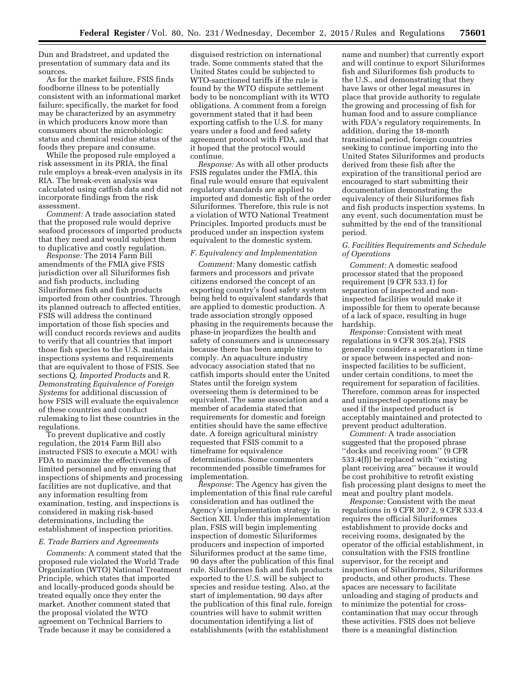Dun and Bradstreet, and updated the presentation of summary data and its sources.

As for the market failure, FSIS finds foodborne illness to be potentially consistent with an informational market failure; specifically, the market for food may be characterized by an asymmetry in which producers know more than consumers about the microbiologic status and chemical residue status of the foods they prepare and consume.

While the proposed rule employed a risk assessment in its PRIA, the final rule employs a break-even analysis in its RIA. The break-even analysis was calculated using catfish data and did not incorporate findings from the risk assessment.

*Comment:* A trade association stated that the proposed rule would deprive seafood processors of imported products that they need and would subject them to duplicative and costly regulation.

*Response:* The 2014 Farm Bill amendments of the FMIA give FSIS jurisdiction over all Siluriformes fish and fish products, including Siluriformes fish and fish products imported from other countries. Through its planned outreach to affected entities, FSIS will address the continued importation of those fish species and will conduct records reviews and audits to verify that all countries that import those fish species to the U.S. maintain inspections systems and requirements that are equivalent to those of FSIS. See sections Q. *Imported Products* and R. *Demonstrating Equivalence of Foreign Systems* for additional discussion of how FSIS will evaluate the equivalence of these countries and conduct rulemaking to list these countries in the regulations.

To prevent duplicative and costly regulation, the 2014 Farm Bill also instructed FSIS to execute a MOU with FDA to maximize the effectiveness of limited personnel and by ensuring that inspections of shipments and processing facilities are not duplicative, and that any information resulting from examination, testing, and inspections is considered in making risk-based determinations, including the establishment of inspection priorities.

### *E. Trade Barriers and Agreements*

*Comments:* A comment stated that the proposed rule violated the World Trade Organization (WTO) National Treatment Principle, which states that imported and locally-produced goods should be treated equally once they enter the market. Another comment stated that the proposal violated the WTO agreement on Technical Barriers to Trade because it may be considered a

disguised restriction on international trade. Some comments stated that the United States could be subjected to WTO-sanctioned tariffs if the rule is found by the WTO dispute settlement body to be noncompliant with its WTO obligations. A comment from a foreign government stated that it had been exporting catfish to the U.S. for many years under a food and feed safety agreement protocol with FDA, and that it hoped that the protocol would continue.

*Response:* As with all other products FSIS regulates under the FMIA, this final rule would ensure that equivalent regulatory standards are applied to imported and domestic fish of the order Siluriformes. Therefore, this rule is not a violation of WTO National Treatment Principles. Imported products must be produced under an inspection system equivalent to the domestic system.

# *F. Equivalency and Implementation*

*Comment:* Many domestic catfish farmers and processors and private citizens endorsed the concept of an exporting country's food safety system being held to equivalent standards that are applied to domestic production. A trade association strongly opposed phasing in the requirements because the phase-in jeopardizes the health and safety of consumers and is unnecessary because there has been ample time to comply. An aquaculture industry advocacy association stated that no catfish imports should enter the United States until the foreign system overseeing them is determined to be equivalent. The same association and a member of academia stated that requirements for domestic and foreign entities should have the same effective date. A foreign agricultural ministry requested that FSIS commit to a timeframe for equivalence determinations. Some commenters recommended possible timeframes for implementation.

*Response:* The Agency has given the implementation of this final rule careful consideration and has outlined the Agency's implementation strategy in Section XII. Under this implementation plan, FSIS will begin implementing inspection of domestic Siluriformes producers and inspection of imported Siluriformes product at the same time, 90 days after the publication of this final rule. Siluriformes fish and fish products exported to the U.S. will be subject to species and residue testing. Also, at the start of implementation, 90 days after the publication of this final rule, foreign countries will have to submit written documentation identifying a list of establishments (with the establishment

name and number) that currently export and will continue to export Siluriformes fish and Siluriformes fish products to the U.S., and demonstrating that they have laws or other legal measures in place that provide authority to regulate the growing and processing of fish for human food and to assure compliance with FDA's regulatory requirements. In addition, during the 18-month transitional period, foreign countries seeking to continue importing into the United States Siluriformes and products derived from these fish after the expiration of the transitional period are encouraged to start submitting their documentation demonstrating the equivalency of their Siluriformes fish and fish products inspection systems. In any event, such documentation must be submitted by the end of the transitional period.

# *G. Facilities Requirements and Schedule of Operations*

*Comment:* A domestic seafood processor stated that the proposed requirement (9 CFR 533.1) for separation of inspected and noninspected facilities would make it impossible for them to operate because of a lack of space, resulting in huge hardship.

*Response:* Consistent with meat regulations in 9 CFR 305.2(a), FSIS generally considers a separation in time or space between inspected and noninspected facilities to be sufficient, under certain conditions, to meet the requirement for separation of facilities. Therefore, common areas for inspected and uninspected operations may be used if the inspected product is acceptably maintained and protected to prevent product adulteration.

*Comment:* A trade association suggested that the proposed phrase ''docks and receiving room'' (9 CFR 533.4(f)) be replaced with ''existing plant receiving area'' because it would be cost prohibitive to retrofit existing fish processing plant designs to meet the meat and poultry plant models.

*Response:* Consistent with the meat regulations in 9 CFR 307.2, 9 CFR 533.4 requires the official Siluriformes establishment to provide docks and receiving rooms, designated by the operator of the official establishment, in consultation with the FSIS frontline supervisor, for the receipt and inspection of Siluriformes, Siluriformes products, and other products. These spaces are necessary to facilitate unloading and staging of products and to minimize the potential for crosscontamination that may occur through these activities. FSIS does not believe there is a meaningful distinction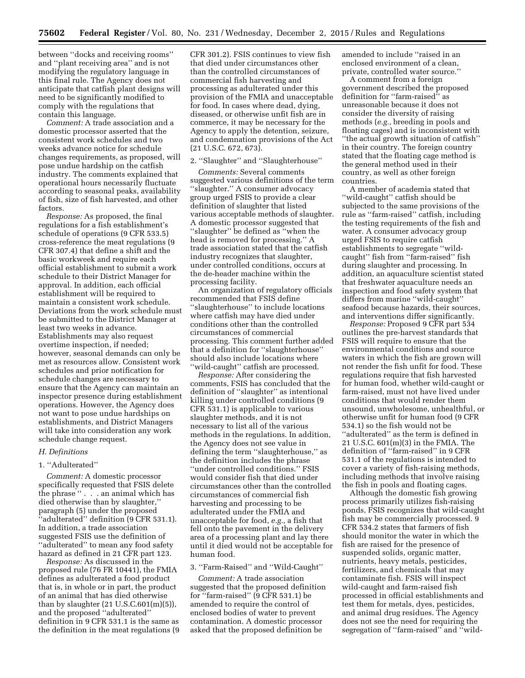between ''docks and receiving rooms'' and ''plant receiving area'' and is not modifying the regulatory language in this final rule. The Agency does not anticipate that catfish plant designs will need to be significantly modified to comply with the regulations that contain this language.

*Comment:* A trade association and a domestic processor asserted that the consistent work schedules and two weeks advance notice for schedule changes requirements, as proposed, will pose undue hardship on the catfish industry. The comments explained that operational hours necessarily fluctuate according to seasonal peaks, availability of fish, size of fish harvested, and other factors.

*Response:* As proposed, the final regulations for a fish establishment's schedule of operations (9 CFR 533.5) cross-reference the meat regulations (9 CFR 307.4) that define a shift and the basic workweek and require each official establishment to submit a work schedule to their District Manager for approval. In addition, each official establishment will be required to maintain a consistent work schedule. Deviations from the work schedule must be submitted to the District Manager at least two weeks in advance. Establishments may also request overtime inspection, if needed; however, seasonal demands can only be met as resources allow. Consistent work schedules and prior notification for schedule changes are necessary to ensure that the Agency can maintain an inspector presence during establishment operations. However, the Agency does not want to pose undue hardships on establishments, and District Managers will take into consideration any work schedule change request.

# *H. Definitions*

# 1. ''Adulterated''

*Comment:* A domestic processor specifically requested that FSIS delete the phrase '' . . . an animal which has died otherwise than by slaughter,'' paragraph (5) under the proposed ''adulterated'' definition (9 CFR 531.1). In addition, a trade association suggested FSIS use the definition of ''adulterated'' to mean any food safety hazard as defined in 21 CFR part 123.

*Response:* As discussed in the proposed rule (76 FR 10441), the FMIA defines as adulterated a food product that is, in whole or in part, the product of an animal that has died otherwise than by slaughter (21 U.S.C.601(m)(5)), and the proposed ''adulterated'' definition in 9 CFR 531.1 is the same as the definition in the meat regulations (9

CFR 301.2). FSIS continues to view fish that died under circumstances other than the controlled circumstances of commercial fish harvesting and processing as adulterated under this provision of the FMIA and unacceptable for food. In cases where dead, dying, diseased, or otherwise unfit fish are in commerce, it may be necessary for the Agency to apply the detention, seizure, and condemnation provisions of the Act (21 U.S.C. 672, 673).

# 2. ''Slaughter'' and ''Slaughterhouse''

*Comments:* Several comments suggested various definitions of the term ''slaughter.'' A consumer advocacy group urged FSIS to provide a clear definition of slaughter that listed various acceptable methods of slaughter. A domestic processor suggested that ''slaughter'' be defined as ''when the head is removed for processing.'' A trade association stated that the catfish industry recognizes that slaughter, under controlled conditions, occurs at the de-header machine within the processing facility.

An organization of regulatory officials recommended that FSIS define ''slaughterhouse'' to include locations where catfish may have died under conditions other than the controlled circumstances of commercial processing. This comment further added that a definition for ''slaughterhouse'' should also include locations where ''wild-caught'' catfish are processed.

*Response:* After considering the comments, FSIS has concluded that the definition of ''slaughter'' as intentional killing under controlled conditions (9 CFR 531.1) is applicable to various slaughter methods, and it is not necessary to list all of the various methods in the regulations. In addition, the Agency does not see value in defining the term ''slaughterhouse,'' as the definition includes the phrase ''under controlled conditions.'' FSIS would consider fish that died under circumstances other than the controlled circumstances of commercial fish harvesting and processing to be adulterated under the FMIA and unacceptable for food, *e.g.,* a fish that fell onto the pavement in the delivery area of a processing plant and lay there until it died would not be acceptable for human food.

#### 3. ''Farm-Raised'' and ''Wild-Caught''

*Comment:* A trade association suggested that the proposed definition for ''farm-raised'' (9 CFR 531.1) be amended to require the control of enclosed bodies of water to prevent contamination. A domestic processor asked that the proposed definition be

amended to include ''raised in an enclosed environment of a clean, private, controlled water source.''

A comment from a foreign government described the proposed definition for ''farm-raised'' as unreasonable because it does not consider the diversity of raising methods (*e.g.,* breeding in pools and floating cages) and is inconsistent with ''the actual growth situation of catfish'' in their country. The foreign country stated that the floating cage method is the general method used in their country, as well as other foreign countries.

A member of academia stated that ''wild-caught'' catfish should be subjected to the same provisions of the rule as ''farm-raised'' catfish, including the testing requirements of the fish and water. A consumer advocacy group urged FSIS to require catfish establishments to segregate ''wildcaught'' fish from ''farm-raised'' fish during slaughter and processing. In addition, an aquaculture scientist stated that freshwater aquaculture needs an inspection and food safety system that differs from marine ''wild-caught'' seafood because hazards, their sources, and interventions differ significantly.

*Response:* Proposed 9 CFR part 534 outlines the pre-harvest standards that FSIS will require to ensure that the environmental conditions and source waters in which the fish are grown will not render the fish unfit for food. These regulations require that fish harvested for human food, whether wild-caught or farm-raised, must not have lived under conditions that would render them unsound, unwholesome, unhealthful, or otherwise unfit for human food (9 CFR 534.1) so the fish would not be ''adulterated'' as the term is defined in 21 U.S.C. 601(m)(3) in the FMIA. The definition of ''farm-raised'' in 9 CFR 531.1 of the regulations is intended to cover a variety of fish-raising methods, including methods that involve raising the fish in pools and floating cages.

Although the domestic fish growing process primarily utilizes fish-raising ponds, FSIS recognizes that wild-caught fish may be commercially processed. 9 CFR 534.2 states that farmers of fish should monitor the water in which the fish are raised for the presence of suspended solids, organic matter, nutrients, heavy metals, pesticides, fertilizers, and chemicals that may contaminate fish. FSIS will inspect wild-caught and farm-raised fish processed in official establishments and test them for metals, dyes, pesticides, and animal drug residues. The Agency does not see the need for requiring the segregation of ''farm-raised'' and ''wild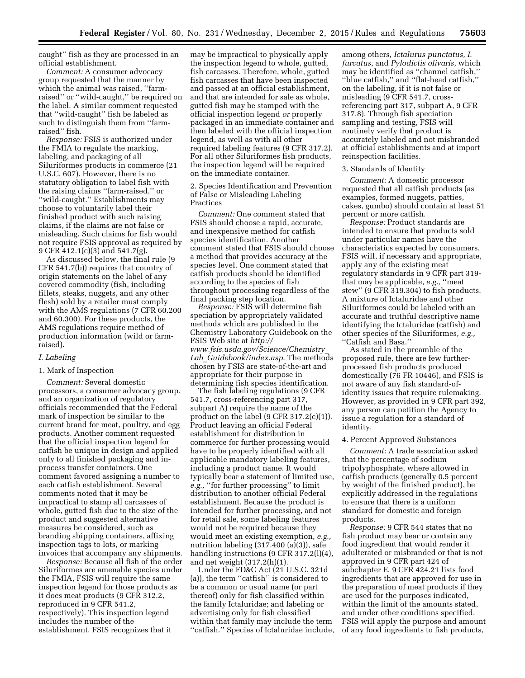caught'' fish as they are processed in an official establishment.

*Comment:* A consumer advocacy group requested that the manner by which the animal was raised, ''farmraised'' or ''wild-caught,'' be required on the label. A similar comment requested that ''wild-caught'' fish be labeled as such to distinguish them from "farmraised'' fish.

*Response:* FSIS is authorized under the FMIA to regulate the marking, labeling, and packaging of all Siluriformes products in commerce (21 U.S.C. 607). However, there is no statutory obligation to label fish with the raising claims ''farm-raised,'' or ''wild-caught.'' Establishments may choose to voluntarily label their finished product with such raising claims, if the claims are not false or misleading. Such claims for fish would not require FSIS approval as required by 9 CFR 412.1(c)(3) and 541.7(g).

As discussed below, the final rule (9 CFR 541.7(b)) requires that country of origin statements on the label of any covered commodity (fish, including fillets, steaks, nuggets, and any other flesh) sold by a retailer must comply with the AMS regulations (7 CFR 60.200 and 60.300). For these products, the AMS regulations require method of production information (wild or farmraised).

# *I. Labeling*

# 1. Mark of Inspection

*Comment:* Several domestic processors, a consumer advocacy group, and an organization of regulatory officials recommended that the Federal mark of inspection be similar to the current brand for meat, poultry, and egg products. Another comment requested that the official inspection legend for catfish be unique in design and applied only to all finished packaging and inprocess transfer containers. One comment favored assigning a number to each catfish establishment. Several comments noted that it may be impractical to stamp all carcasses of whole, gutted fish due to the size of the product and suggested alternative measures be considered, such as branding shipping containers, affixing inspection tags to lots, or marking invoices that accompany any shipments.

*Response:* Because all fish of the order Siluriformes are amenable species under the FMIA, FSIS will require the same inspection legend for those products as it does meat products (9 CFR 312.2, reproduced in 9 CFR 541.2, respectively). This inspection legend includes the number of the establishment. FSIS recognizes that it

may be impractical to physically apply the inspection legend to whole, gutted, fish carcasses. Therefore, whole, gutted fish carcasses that have been inspected and passed at an official establishment, and that are intended for sale as whole, gutted fish may be stamped with the official inspection legend *or* properly packaged in an immediate container and then labeled with the official inspection legend, as well as with all other required labeling features (9 CFR 317.2). For all other Siluriformes fish products, the inspection legend will be required on the immediate container.

2. Species Identification and Prevention of False or Misleading Labeling Practices

*Comment:* One comment stated that FSIS should choose a rapid, accurate, and inexpensive method for catfish species identification. Another comment stated that FSIS should choose a method that provides accuracy at the species level. One comment stated that catfish products should be identified according to the species of fish throughout processing regardless of the final packing step location.

*Response:* FSIS will determine fish speciation by appropriately validated methods which are published in the Chemistry Laboratory Guidebook on the FSIS Web site at *[http://](http://www.fsis.usda.gov/Science/Chemistry_Lab_Guidebook/index.asp) [www.fsis.usda.gov/Science/Chemistry](http://www.fsis.usda.gov/Science/Chemistry_Lab_Guidebook/index.asp)*\_ *Lab*\_*[Guidebook/index.asp](http://www.fsis.usda.gov/Science/Chemistry_Lab_Guidebook/index.asp)*. The methods chosen by FSIS are state-of-the-art and appropriate for their purpose in determining fish species identification.

The fish labeling regulations (9 CFR 541.7, cross-referencing part 317, subpart A) require the name of the product on the label (9 CFR 317.2(c)(1)). Product leaving an official Federal establishment for distribution in commerce for further processing would have to be properly identified with all applicable mandatory labeling features, including a product name. It would typically bear a statement of limited use, *e.g.,* ''for further processing'' to limit distribution to another official Federal establishment. Because the product is intended for further processing, and not for retail sale, some labeling features would not be required because they would meet an existing exemption, *e.g.,*  nutrition labeling (317.400 (a)(3)), safe handling instructions (9 CFR 317.2(l)(4), and net weight (317.2(h)(1).

Under the FD&C Act (21 U.S.C. 321d (a)), the term ''catfish'' is considered to be a common or usual name (or part thereof) only for fish classified within the family Ictaluridae; and labeling or advertising only for fish classified within that family may include the term ''catfish.'' Species of Ictaluridae include,

among others, *Ictalurus punctatus, I. furcatus,* and *Pylodictis olivaris,* which may be identified as ''channel catfish,'' ''blue catfish,'' and ''flat-head catfish,'' on the labeling, if it is not false or misleading (9 CFR 541.7, crossreferencing part 317, subpart A, 9 CFR 317.8). Through fish speciation sampling and testing, FSIS will routinely verify that product is accurately labeled and not misbranded at official establishments and at import reinspection facilities.

### 3. Standards of Identity

*Comment:* A domestic processor requested that all catfish products (as examples, formed nuggets, patties, cakes, gumbo) should contain at least 51 percent or more catfish.

*Response:* Product standards are intended to ensure that products sold under particular names have the characteristics expected by consumers. FSIS will, if necessary and appropriate, apply any of the existing meat regulatory standards in 9 CFR part 319 that may be applicable, *e.g.,* ''meat stew'' (9 CFR 319.304) to fish products. A mixture of Ictaluridae and other Siluriformes could be labeled with an accurate and truthful descriptive name identifying the Ictaluridae (catfish) and other species of the Siluriformes, *e.g.,*  ''Catfish and Basa.''

As stated in the preamble of the proposed rule, there are few furtherprocessed fish products produced domestically (76 FR 10446), and FSIS is not aware of any fish standard-ofidentity issues that require rulemaking. However, as provided in 9 CFR part 392, any person can petition the Agency to issue a regulation for a standard of identity.

#### 4. Percent Approved Substances

*Comment:* A trade association asked that the percentage of sodium tripolyphosphate, where allowed in catfish products (generally 0.5 percent by weight of the finished product), be explicitly addressed in the regulations to ensure that there is a uniform standard for domestic and foreign products.

*Response:* 9 CFR 544 states that no fish product may bear or contain any food ingredient that would render it adulterated or misbranded or that is not approved in 9 CFR part 424 of subchapter E. 9 CFR 424.21 lists food ingredients that are approved for use in the preparation of meat products if they are used for the purposes indicated, within the limit of the amounts stated, and under other conditions specified. FSIS will apply the purpose and amount of any food ingredients to fish products,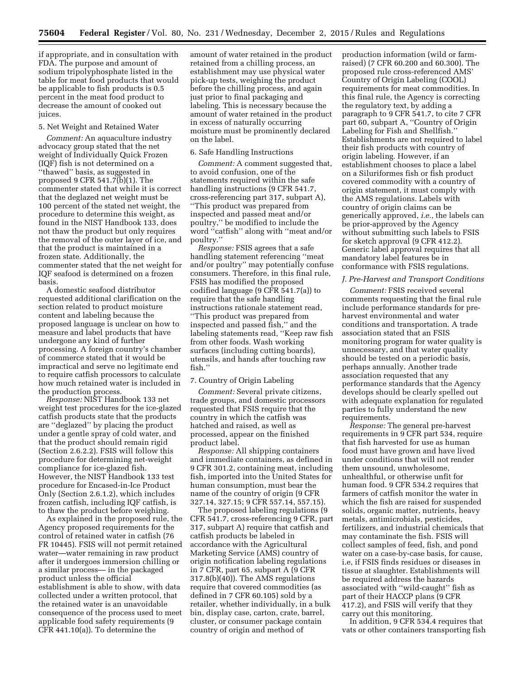if appropriate, and in consultation with FDA. The purpose and amount of sodium tripolyphosphate listed in the table for meat food products that would be applicable to fish products is 0.5 percent in the meat food product to decrease the amount of cooked out juices.

#### 5. Net Weight and Retained Water

*Comment:* An aquaculture industry advocacy group stated that the net weight of Individually Quick Frozen (IQF) fish is not determined on a ''thawed'' basis, as suggested in proposed 9 CFR 541.7(b)(1). The commenter stated that while it is correct that the deglazed net weight must be 100 percent of the stated net weight, the procedure to determine this weight, as found in the NIST Handbook 133, does not thaw the product but only requires the removal of the outer layer of ice, and that the product is maintained in a frozen state. Additionally, the commenter stated that the net weight for IQF seafood is determined on a frozen basis.

A domestic seafood distributor requested additional clarification on the section related to product moisture content and labeling because the proposed language is unclear on how to measure and label products that have undergone any kind of further processing. A foreign country's chamber of commerce stated that it would be impractical and serve no legitimate end to require catfish processors to calculate how much retained water is included in the production process.

*Response:* NIST Handbook 133 net weight test procedures for the ice-glazed catfish products state that the products are ''deglazed'' by placing the product under a gentle spray of cold water, and that the product should remain rigid (Section 2.6.2.2). FSIS will follow this procedure for determining net-weight compliance for ice-glazed fish. However, the NIST Handbook 133 test procedure for Encased-in-Ice Product Only (Section 2.6.1.2), which includes frozen catfish, including IQF catfish, is to thaw the product before weighing.

As explained in the proposed rule, the Agency proposed requirements for the control of retained water in catfish (76 FR 10445). FSIS will not permit retained water—water remaining in raw product after it undergoes immersion chilling or a similar process— in the packaged product unless the official establishment is able to show, with data collected under a written protocol, that the retained water is an unavoidable consequence of the process used to meet applicable food safety requirements (9 CFR 441.10(a)). To determine the

amount of water retained in the product retained from a chilling process, an establishment may use physical water pick-up tests, weighing the product before the chilling process, and again just prior to final packaging and labeling. This is necessary because the amount of water retained in the product in excess of naturally occurring moisture must be prominently declared on the label.

# 6. Safe Handling Instructions

*Comment:* A comment suggested that, to avoid confusion, one of the statements required within the safe handling instructions (9 CFR 541.7, cross-referencing part 317, subpart A), ''This product was prepared from inspected and passed meat and/or poultry,'' be modified to include the word ''catfish'' along with ''meat and/or poultry.''

*Response:* FSIS agrees that a safe handling statement referencing ''meat and/or poultry'' may potentially confuse consumers. Therefore, in this final rule, FSIS has modified the proposed codified language (9 CFR 541.7(a)) to require that the safe handling instructions rationale statement read, ''This product was prepared from inspected and passed fish,'' and the labeling statements read, ''Keep raw fish from other foods. Wash working surfaces (including cutting boards), utensils, and hands after touching raw fish.''

# 7. Country of Origin Labeling

*Comment:* Several private citizens, trade groups, and domestic processors requested that FSIS require that the country in which the catfish was hatched and raised, as well as processed, appear on the finished product label.

*Response:* All shipping containers and immediate containers, as defined in 9 CFR 301.2, containing meat, including fish, imported into the United States for human consumption, must bear the name of the country of origin (9 CFR 327.14, 327.15; 9 CFR 557.14, 557.15).

The proposed labeling regulations (9 CFR 541.7, cross-referencing 9 CFR, part 317, subpart A) require that catfish and catfish products be labeled in accordance with the Agricultural Marketing Service (AMS) country of origin notification labeling regulations in 7 CFR, part 65, subpart A (9 CFR 317.8(b)(40)). The AMS regulations require that covered commodities (as defined in 7 CFR 60.105) sold by a retailer, whether individually, in a bulk bin, display case, carton, crate, barrel, cluster, or consumer package contain country of origin and method of

production information (wild or farmraised) (7 CFR 60.200 and 60.300). The proposed rule cross-referenced AMS' Country of Origin Labeling (COOL) requirements for meat commodities. In this final rule, the Agency is correcting the regulatory text, by adding a paragraph to 9 CFR 541.7, to cite 7 CFR part 60, subpart A, ''Country of Origin Labeling for Fish and Shellfish.'' Establishments are not required to label their fish products with country of origin labeling. However, if an establishment chooses to place a label on a Siluriformes fish or fish product covered commodity with a country of origin statement, it must comply with the AMS regulations. Labels with country of origin claims can be generically approved, *i.e.,* the labels can be prior-approved by the Agency without submitting such labels to FSIS for sketch approval (9 CFR 412.2). Generic label approval requires that all mandatory label features be in conformance with FSIS regulations.

#### *J. Pre-Harvest and Transport Conditions*

*Comment:* FSIS received several comments requesting that the final rule include performance standards for preharvest environmental and water conditions and transportation. A trade association stated that an FSIS monitoring program for water quality is unnecessary, and that water quality should be tested on a periodic basis, perhaps annually. Another trade association requested that any performance standards that the Agency develops should be clearly spelled out with adequate explanation for regulated parties to fully understand the new requirements.

*Response:* The general pre-harvest requirements in 9 CFR part 534, require that fish harvested for use as human food must have grown and have lived under conditions that will not render them unsound, unwholesome, unhealthful, or otherwise unfit for human food. 9 CFR 534.2 requires that farmers of catfish monitor the water in which the fish are raised for suspended solids, organic matter, nutrients, heavy metals, antimicrobials, pesticides, fertilizers, and industrial chemicals that may contaminate the fish. FSIS will collect samples of feed, fish, and pond water on a case-by-case basis, for cause, i.e, if FSIS finds residues or diseases in tissue at slaughter. Establishments will be required address the hazards associated with ''wild-caught'' fish as part of their HACCP plans (9 CFR 417.2), and FSIS will verify that they carry out this monitoring.

In addition, 9 CFR 534.4 requires that vats or other containers transporting fish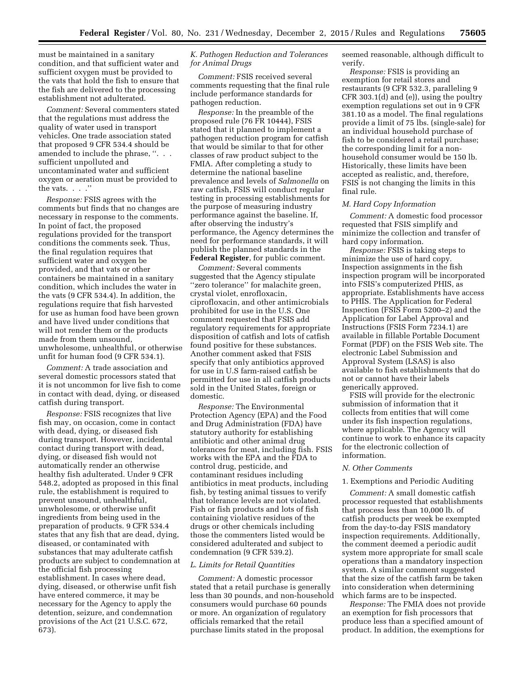must be maintained in a sanitary condition, and that sufficient water and sufficient oxygen must be provided to the vats that hold the fish to ensure that the fish are delivered to the processing establishment not adulterated.

*Comment:* Several commenters stated that the regulations must address the quality of water used in transport vehicles. One trade association stated that proposed 9 CFR 534.4 should be amended to include the phrase, ". .. sufficient unpolluted and uncontaminated water and sufficient oxygen or aeration must be provided to the vats. . . .''

*Response:* FSIS agrees with the comments but finds that no changes are necessary in response to the comments. In point of fact, the proposed regulations provided for the transport conditions the comments seek. Thus, the final regulation requires that sufficient water and oxygen be provided, and that vats or other containers be maintained in a sanitary condition, which includes the water in the vats (9 CFR 534.4). In addition, the regulations require that fish harvested for use as human food have been grown and have lived under conditions that will not render them or the products made from them unsound, unwholesome, unhealthful, or otherwise unfit for human food (9 CFR 534.1).

*Comment:* A trade association and several domestic processors stated that it is not uncommon for live fish to come in contact with dead, dying, or diseased catfish during transport.

*Response:* FSIS recognizes that live fish may, on occasion, come in contact with dead, dying, or diseased fish during transport. However, incidental contact during transport with dead, dying, or diseased fish would not automatically render an otherwise healthy fish adulterated. Under 9 CFR 548.2, adopted as proposed in this final rule, the establishment is required to prevent unsound, unhealthful, unwholesome, or otherwise unfit ingredients from being used in the preparation of products. 9 CFR 534.4 states that any fish that are dead, dying, diseased, or contaminated with substances that may adulterate catfish products are subject to condemnation at the official fish processing establishment. In cases where dead, dying, diseased, or otherwise unfit fish have entered commerce, it may be necessary for the Agency to apply the detention, seizure, and condemnation provisions of the Act (21 U.S.C. 672, 673).

# *K. Pathogen Reduction and Tolerances for Animal Drugs*

*Comment:* FSIS received several comments requesting that the final rule include performance standards for pathogen reduction.

*Response:* In the preamble of the proposed rule (76 FR 10444), FSIS stated that it planned to implement a pathogen reduction program for catfish that would be similar to that for other classes of raw product subject to the FMIA. After completing a study to determine the national baseline prevalence and levels of *Salmonella* on raw catfish, FSIS will conduct regular testing in processing establishments for the purpose of measuring industry performance against the baseline. If, after observing the industry's performance, the Agency determines the need for performance standards, it will publish the planned standards in the **Federal Register**, for public comment.

*Comment:* Several comments suggested that the Agency stipulate ''zero tolerance'' for malachite green, crystal violet, enrofloxacin, ciprofloxacin, and other antimicrobials prohibited for use in the U.S. One comment requested that FSIS add regulatory requirements for appropriate disposition of catfish and lots of catfish found positive for these substances. Another comment asked that FSIS specify that only antibiotics approved for use in U.S farm-raised catfish be permitted for use in all catfish products sold in the United States, foreign or domestic.

*Response:* The Environmental Protection Agency (EPA) and the Food and Drug Administration (FDA) have statutory authority for establishing antibiotic and other animal drug tolerances for meat, including fish. FSIS works with the EPA and the FDA to control drug, pesticide, and contaminant residues including antibiotics in meat products, including fish, by testing animal tissues to verify that tolerance levels are not violated. Fish or fish products and lots of fish containing violative residues of the drugs or other chemicals including those the commenters listed would be considered adulterated and subject to condemnation (9 CFR 539.2).

# *L. Limits for Retail Quantities*

*Comment:* A domestic processor stated that a retail purchase is generally less than 30 pounds, and non-household consumers would purchase 60 pounds or more. An organization of regulatory officials remarked that the retail purchase limits stated in the proposal

seemed reasonable, although difficult to verify.

*Response:* FSIS is providing an exemption for retail stores and restaurants (9 CFR 532.3, paralleling 9 CFR 303.1(d) and (e)), using the poultry exemption regulations set out in 9 CFR 381.10 as a model. The final regulations provide a limit of 75 lbs. (single-sale) for an individual household purchase of fish to be considered a retail purchase; the corresponding limit for a nonhousehold consumer would be 150 lb. Historically, these limits have been accepted as realistic, and, therefore, FSIS is not changing the limits in this final rule.

#### *M. Hard Copy Information*

*Comment:* A domestic food processor requested that FSIS simplify and minimize the collection and transfer of hard copy information.

*Response:* FSIS is taking steps to minimize the use of hard copy. Inspection assignments in the fish inspection program will be incorporated into FSIS's computerized PHIS, as appropriate. Establishments have access to PHIS. The Application for Federal Inspection (FSIS Form 5200–2) and the Application for Label Approval and Instructions (FSIS Form 7234.1) are available in fillable Portable Document Format (PDF) on the FSIS Web site. The electronic Label Submission and Approval System (LSAS) is also available to fish establishments that do not or cannot have their labels generically approved.

FSIS will provide for the electronic submission of information that it collects from entities that will come under its fish inspection regulations, where applicable. The Agency will continue to work to enhance its capacity for the electronic collection of information.

#### *N. Other Comments*

### 1. Exemptions and Periodic Auditing

*Comment:* A small domestic catfish processor requested that establishments that process less than 10,000 lb. of catfish products per week be exempted from the day-to-day FSIS mandatory inspection requirements. Additionally, the comment deemed a periodic audit system more appropriate for small scale operations than a mandatory inspection system. A similar comment suggested that the size of the catfish farm be taken into consideration when determining which farms are to be inspected.

*Response:* The FMIA does not provide an exemption for fish processors that produce less than a specified amount of product. In addition, the exemptions for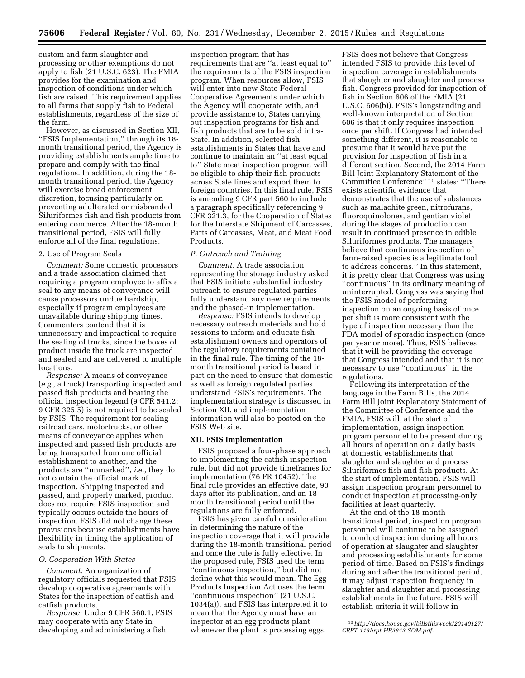custom and farm slaughter and processing or other exemptions do not apply to fish (21 U.S.C. 623). The FMIA provides for the examination and inspection of conditions under which fish are raised. This requirement applies to all farms that supply fish to Federal establishments, regardless of the size of the farm.

However, as discussed in Section XII, ''FSIS Implementation,'' through its 18 month transitional period, the Agency is providing establishments ample time to prepare and comply with the final regulations. In addition, during the 18 month transitional period, the Agency will exercise broad enforcement discretion, focusing particularly on preventing adulterated or misbranded Siluriformes fish and fish products from entering commerce. After the 18-month transitional period, FSIS will fully enforce all of the final regulations.

# 2. Use of Program Seals

*Comment:* Some domestic processors and a trade association claimed that requiring a program employee to affix a seal to any means of conveyance will cause processors undue hardship, especially if program employees are unavailable during shipping times. Commenters contend that it is unnecessary and impractical to require the sealing of trucks, since the boxes of product inside the truck are inspected and sealed and are delivered to multiple locations.

*Response:* A means of conveyance (*e.g.,* a truck) transporting inspected and passed fish products and bearing the official inspection legend (9 CFR 541.2; 9 CFR 325.5) is not required to be sealed by FSIS. The requirement for sealing railroad cars, motortrucks, or other means of conveyance applies when inspected and passed fish products are being transported from one official establishment to another, and the products are ''unmarked'', *i.e.,* they do not contain the official mark of inspection. Shipping inspected and passed, and properly marked, product does not require FSIS inspection and typically occurs outside the hours of inspection. FSIS did not change these provisions because establishments have flexibility in timing the application of seals to shipments.

### *O. Cooperation With States*

*Comment:* An organization of regulatory officials requested that FSIS develop cooperative agreements with States for the inspection of catfish and catfish products.

*Response:* Under 9 CFR 560.1, FSIS may cooperate with any State in developing and administering a fish

inspection program that has requirements that are ''at least equal to'' the requirements of the FSIS inspection program. When resources allow, FSIS will enter into new State-Federal Cooperative Agreements under which the Agency will cooperate with, and provide assistance to, States carrying out inspection programs for fish and fish products that are to be sold intra-State. In addition, selected fish establishments in States that have and continue to maintain an ''at least equal to'' State meat inspection program will be eligible to ship their fish products across State lines and export them to foreign countries. In this final rule, FSIS is amending 9 CFR part 560 to include a paragraph specifically referencing 9 CFR 321.3, for the Cooperation of States for the Interstate Shipment of Carcasses, Parts of Carcasses, Meat, and Meat Food Products.

# *P. Outreach and Training*

*Comment:* A trade association representing the storage industry asked that FSIS initiate substantial industry outreach to ensure regulated parties fully understand any new requirements and the phased-in implementation.

*Response:* FSIS intends to develop necessary outreach materials and hold sessions to inform and educate fish establishment owners and operators of the regulatory requirements contained in the final rule. The timing of the 18 month transitional period is based in part on the need to ensure that domestic as well as foreign regulated parties understand FSIS's requirements. The implementation strategy is discussed in Section XII, and implementation information will also be posted on the FSIS Web site.

#### **XII. FSIS Implementation**

FSIS proposed a four-phase approach to implementing the catfish inspection rule, but did not provide timeframes for implementation (76 FR 10452). The final rule provides an effective date, 90 days after its publication, and an 18 month transitional period until the regulations are fully enforced.

FSIS has given careful consideration in determining the nature of the inspection coverage that it will provide during the 18-month transitional period and once the rule is fully effective. In the proposed rule, FSIS used the term ''continuous inspection,'' but did not define what this would mean. The Egg Products Inspection Act uses the term ''continuous inspection'' (21 U.S.C. 1034(a)), and FSIS has interpreted it to mean that the Agency must have an inspector at an egg products plant whenever the plant is processing eggs.

FSIS does not believe that Congress intended FSIS to provide this level of inspection coverage in establishments that slaughter and slaughter and process fish. Congress provided for inspection of fish in Section 606 of the FMIA (21 U.S.C. 606(b)). FSIS's longstanding and well-known interpretation of Section 606 is that it only requires inspection once per shift. If Congress had intended something different, it is reasonable to presume that it would have put the provision for inspection of fish in a different section. Second, the 2014 Farm Bill Joint Explanatory Statement of the Committee Conference'' 10 states: ''There exists scientific evidence that demonstrates that the use of substances such as malachite green, nitrofurans, fluoroquinolones, and gentian violet during the stages of production can result in continued presence in edible Siluriformes products. The managers believe that continuous inspection of farm-raised species is a legitimate tool to address concerns.'' In this statement, it is pretty clear that Congress was using ''continuous'' in its ordinary meaning of uninterrupted. Congress was saying that the FSIS model of performing inspection on an ongoing basis of once per shift is more consistent with the type of inspection necessary than the FDA model of sporadic inspection (once per year or more). Thus, FSIS believes that it will be providing the coverage that Congress intended and that it is not necessary to use ''continuous'' in the regulations.

Following its interpretation of the language in the Farm Bills, the 2014 Farm Bill Joint Explanatory Statement of the Committee of Conference and the FMIA, FSIS will, at the start of implementation, assign inspection program personnel to be present during all hours of operation on a daily basis at domestic establishments that slaughter and slaughter and process Siluriformes fish and fish products. At the start of implementation, FSIS will assign inspection program personnel to conduct inspection at processing-only facilities at least quarterly.

At the end of the 18-month transitional period, inspection program personnel will continue to be assigned to conduct inspection during all hours of operation at slaughter and slaughter and processing establishments for some period of time. Based on FSIS's findings during and after the transitional period, it may adjust inspection frequency in slaughter and slaughter and processing establishments in the future. FSIS will establish criteria it will follow in

<sup>10</sup>*[http://docs.house.gov/billsthisweek/20140127/](http://docs.house.gov/billsthisweek/20140127/CRPT-113hrpt-HR2642-SOM.pdf)  [CRPT-113hrpt-HR2642-SOM.pdf.](http://docs.house.gov/billsthisweek/20140127/CRPT-113hrpt-HR2642-SOM.pdf)*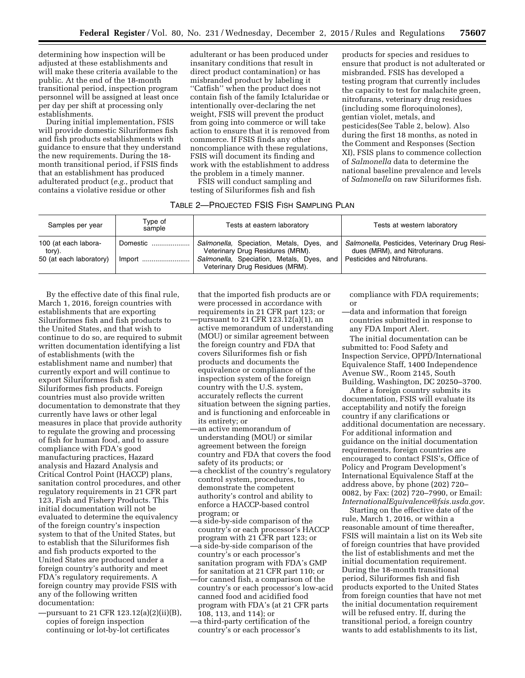determining how inspection will be adjusted at these establishments and will make these criteria available to the public. At the end of the 18-month transitional period, inspection program personnel will be assigned at least once per day per shift at processing only establishments.

During initial implementation, FSIS will provide domestic Siluriformes fish and fish products establishments with guidance to ensure that they understand the new requirements. During the 18 month transitional period, if FSIS finds that an establishment has produced adulterated product (*e.g.,* product that contains a violative residue or other

adulterant or has been produced under insanitary conditions that result in direct product contamination) or has misbranded product by labeling it ''Catfish'' when the product does not contain fish of the family Ictaluridae or intentionally over-declaring the net weight, FSIS will prevent the product from going into commerce or will take action to ensure that it is removed from commerce. If FSIS finds any other noncompliance with these regulations, FSIS will document its finding and work with the establishment to address the problem in a timely manner.

FSIS will conduct sampling and testing of Siluriformes fish and fish

#### TABLE 2—PROJECTED FSIS FISH SAMPLING PLAN

| Samples per year                                          | Type of<br>sample | Tests at eastern laboratory                                                                                                                                                                                                             | Tests at western laboratory  |
|-----------------------------------------------------------|-------------------|-----------------------------------------------------------------------------------------------------------------------------------------------------------------------------------------------------------------------------------------|------------------------------|
| 100 (at each labora-<br>tory).<br>50 (at each laboratory) | Domestic          | Salmonella, Speciation, Metals, Dyes, and Salmonella, Pesticides, Veterinary Drug Resi-<br>Veterinary Drug Residures (MRM).<br>Salmonella, Speciation, Metals, Dyes, and Pesticides and Nitrofurans.<br>Veterinary Drug Residues (MRM). | dues (MRM), and Nitrofurans. |

By the effective date of this final rule, March 1, 2016, foreign countries with establishments that are exporting Siluriformes fish and fish products to the United States, and that wish to continue to do so, are required to submit written documentation identifying a list of establishments (with the establishment name and number) that currently export and will continue to export Siluriformes fish and Siluriformes fish products. Foreign countries must also provide written documentation to demonstrate that they currently have laws or other legal measures in place that provide authority to regulate the growing and processing of fish for human food, and to assure compliance with FDA's good manufacturing practices, Hazard analysis and Hazard Analysis and Critical Control Point (HACCP) plans, sanitation control procedures, and other regulatory requirements in 21 CFR part 123, Fish and Fishery Products. This initial documentation will not be evaluated to determine the equivalency of the foreign country's inspection system to that of the United States, but to establish that the Siluriformes fish and fish products exported to the United States are produced under a foreign country's authority and meet FDA's regulatory requirements. A foreign country may provide FSIS with any of the following written documentation:

—pursuant to 21 CFR 123.12(a)(2)(ii)(B), copies of foreign inspection continuing or lot-by-lot certificates

that the imported fish products are or were processed in accordance with requirements in 21 CFR part 123; or —pursuant to 21 CFR 123.12(a)(1), an active memorandum of understanding (MOU) or similar agreement between the foreign country and FDA that covers Siluriformes fish or fish products and documents the equivalence or compliance of the inspection system of the foreign country with the U.S. system, accurately reflects the current situation between the signing parties, and is functioning and enforceable in its entirety; or

- —an active memorandum of understanding (MOU) or similar agreement between the foreign country and FDA that covers the food safety of its products; or
- —a checklist of the country's regulatory control system, procedures, to demonstrate the competent authority's control and ability to enforce a HACCP-based control program; or
- —a side-by-side comparison of the country's or each processor's HACCP program with 21 CFR part 123; or
- —a side-by-side comparison of the country's or each processor's sanitation program with FDA's GMP for sanitation at 21 CFR part 110; or —for canned fish, a comparison of the country's or each processor's low-acid canned food and acidified food program with FDA's (at 21 CFR parts 108, 113, and 114); or
- —a third-party certification of the
- country's or each processor's

compliance with FDA requirements; or

—data and information that foreign countries submitted in response to any FDA Import Alert.

products for species and residues to ensure that product is not adulterated or misbranded. FSIS has developed a testing program that currently includes the capacity to test for malachite green, nitrofurans, veterinary drug residues (including some floroquinolones), gentian violet, metals, and

pesticides(See Table 2, below). Also during the first 18 months, as noted in the Comment and Responses (Section XI), FSIS plans to commence collection of *Salmonella* data to determine the national baseline prevalence and levels of *Salmonella* on raw Siluriformes fish.

The initial documentation can be submitted to: Food Safety and Inspection Service, OPPD/International Equivalence Staff, 1400 Independence Avenue SW., Room 2145, South Building, Washington, DC 20250–3700.

After a foreign country submits its documentation, FSIS will evaluate its acceptability and notify the foreign country if any clarifications or additional documentation are necessary. For additional information and guidance on the initial documentation requirements, foreign countries are encouraged to contact FSIS's, Office of Policy and Program Development's International Equivalence Staff at the address above, by phone (202) 720– 0082, by Fax: (202) 720–7990, or Email: *[InternationalEquivalence@fsis.usda.gov](mailto:InternationalEquivalence@fsis.usda.gov)*.

Starting on the effective date of the rule, March 1, 2016, or within a reasonable amount of time thereafter, FSIS will maintain a list on its Web site of foreign countries that have provided the list of establishments and met the initial documentation requirement. During the 18-month transitional period, Siluriformes fish and fish products exported to the United States from foreign counties that have not met the initial documentation requirement will be refused entry. If, during the transitional period, a foreign country wants to add establishments to its list,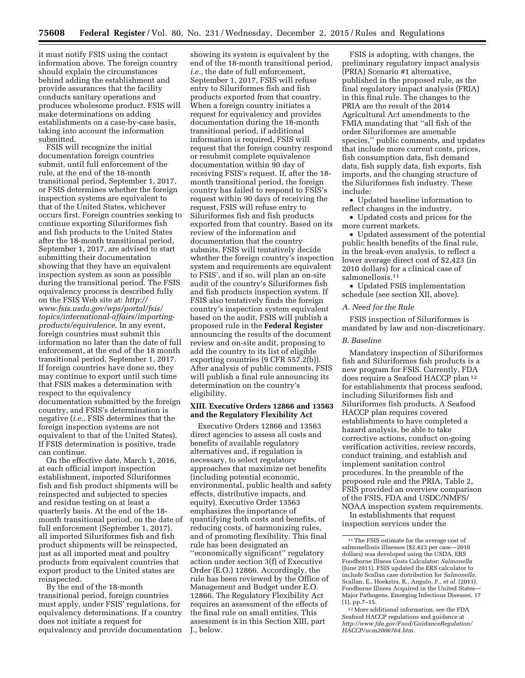it must notify FSIS using the contact information above. The foreign country should explain the circumstances behind adding the establishment and provide assurances that the facility conducts sanitary operations and produces wholesome product. FSIS will make determinations on adding establishments on a case-by-case basis, taking into account the information submitted.

FSIS will recognize the initial documentation foreign countries submit, until full enforcement of the rule, at the end of the 18-month transitional period, September 1, 2017, or FSIS determines whether the foreign inspection systems are equivalent to that of the United States, whichever occurs first. Foreign countries seeking to continue exporting Siluriformes fish and fish products to the United States after the 18-month transitional period, September 1, 2017, are advised to start submitting their documentation showing that they have an equivalent inspection system as soon as possible during the transitional period. The FSIS equivalency process is described fully on the FSIS Web site at: *[http://](http://www.fsis.usda.gov/wps/portal/fsis/topics/international-affairs/importing-products/equivalence) [www.fsis.usda.gov/wps/portal/fsis/](http://www.fsis.usda.gov/wps/portal/fsis/topics/international-affairs/importing-products/equivalence)  [topics/international-affairs/importing](http://www.fsis.usda.gov/wps/portal/fsis/topics/international-affairs/importing-products/equivalence)[products/equivalence](http://www.fsis.usda.gov/wps/portal/fsis/topics/international-affairs/importing-products/equivalence)*. In any event, foreign countries must submit this information no later than the date of full enforcement, at the end of the 18 month transitional period, September 1, 2017. If foreign countries have done so, they may continue to export until such time that FSIS makes a determination with respect to the equivalency documentation submitted by the foreign country, and FSIS's determination is negative (*i.e.,* FSIS determines that the foreign inspection systems are not equivalent to that of the United States). If FSIS determination is positive, trade can continue.

On the effective date, March 1, 2016, at each official import inspection establishment, imported Siluriformes fish and fish product shipments will be reinspected and subjected to species and residue testing on at least a quarterly basis. At the end of the 18 month transitional period, on the date of full enforcement (September 1, 2017), all imported Siluriformes fish and fish product shipments will be reinspected, just as all imported meat and poultry products from equivalent countries that export product to the United states are reinspected.

By the end of the 18-month transitional period, foreign countries must apply, under FSIS' regulations, for equivalency determinations. If a country does not initiate a request for equivalency and provide documentation

showing its system is equivalent by the end of the 18-month transitional period, *i.e.,* the date of full enforcement, September 1, 2017, FSIS will refuse entry to Siluriformes fish and fish products exported from that country. When a foreign country initiates a request for equivalency and provides documentation during the 18-month transitional period, if additional information is required, FSIS will request that the foreign country respond or resubmit complete equivalence documentation within 90 day of receiving FSIS's request. If, after the 18 month transitional period, the foreign country has failed to respond to FSIS's request within 90 days of receiving the request, FSIS will refuse entry to Siluriformes fish and fish products exported from that country. Based on its review of the information and documentation that the country submits, FSIS will tentatively decide whether the foreign country's inspection system and requirements are equivalent to FSIS', and if so, will plan an on-site audit of the country's Siluriformes fish and fish products inspection system. If FSIS also tentatively finds the foreign country's inspection system equivalent based on the audit, FSIS will publish a proposed rule in the **Federal Register**  announcing the results of the document review and on-site audit, proposing to add the country to its list of eligible exporting countries (9 CFR 557.2(b)). After analysis of public comments, FSIS will publish a final rule announcing its determination on the country's eligibility.

# **XIII. Executive Orders 12866 and 13563 and the Regulatory Flexibility Act**

Executive Orders 12866 and 13563 direct agencies to assess all costs and benefits of available regulatory alternatives and, if regulation is necessary, to select regulatory approaches that maximize net benefits (including potential economic, environmental, public health and safety effects, distributive impacts, and equity). Executive Order 13563 emphasizes the importance of quantifying both costs and benefits, of reducing costs, of harmonizing rules, and of promoting flexibility. This final rule has been designated an ''economically significant'' regulatory action under section 3(f) of Executive Order (E.O.) 12866. Accordingly, the rule has been reviewed by the Office of Management and Budget under E.O. 12866. The Regulatory Flexibility Act requires an assessment of the effects of the final rule on small entities. This assessment is in this Section XIII, part J., below.

FSIS is adopting, with changes, the preliminary regulatory impact analysis (PRIA) Scenario #1 alternative, published in the proposed rule, as the final regulatory impact analysis (FRIA) in this final rule. The changes to the PRIA are the result of the 2014 Agricultural Act amendments to the FMIA mandating that ''all fish of the order Siluriformes are amenable species,'' public comments, and updates that include more current costs, prices, fish consumption data, fish demand data, fish supply data, fish exports, fish imports, and the changing structure of the Siluriformes fish industry. These include:

• Updated baseline information to reflect changes in the industry.

• Updated costs and prices for the more current markets.

• Updated assessment of the potential public health benefits of the final rule, in the break-even analysis, to reflect a lower average direct cost of \$2,423 (in 2010 dollars) for a clinical case of salmonellosis.11

• Updated FSIS implementation schedule (see section XII, above).

# *A. Need for the Rule*

FSIS inspection of Siluriformes is mandated by law and non-discretionary.

#### *B. Baseline*

Mandatory inspection of Siluriformes fish and Siluriformes fish products is a new program for FSIS. Currently, FDA does require a Seafood HACCP plan 12 for establishments that process seafood, including Siluriformes fish and Siluriformes fish products. A Seafood HACCP plan requires covered establishments to have completed a hazard analysis, be able to take corrective actions, conduct on-going verification activities, review records, conduct training, and establish and implement sanitation control procedures. In the preamble of the proposed rule and the PRIA, Table 2, FSIS provided an overview comparison of the FSIS, FDA and USDC/NMFS/ NOAA inspection system requirements.

In establishments that request inspection services under the

12More additional information, see the FDA Seafood HACCP regulations and guidance at *[http://www.fda.gov/Food/GuidanceRegulation/](http://www.fda.gov/Food/GuidanceRegulation/HACCP/ucm2006764.htm) [HACCP/ucm2006764.htm.](http://www.fda.gov/Food/GuidanceRegulation/HACCP/ucm2006764.htm)* 

<sup>11</sup>The FSIS estimate for the average cost of salmonellosis illnesses (\$2,423 per case—2010 dollars) was developed using the USDA, ERS Foodborne Illness Costs Calculator: *Salmonella*  (June 2011). FSIS updated the ERS calculator to include Scallan case distribution for *Salmonella.*  Scallan, E., Hoekstra, R., Angulo, F., *et al.* (2011). Foodborne Illness Acquired in the United States— Major Pathogens. Emerging Infectious Diseases, 17 (1), pp.7–15.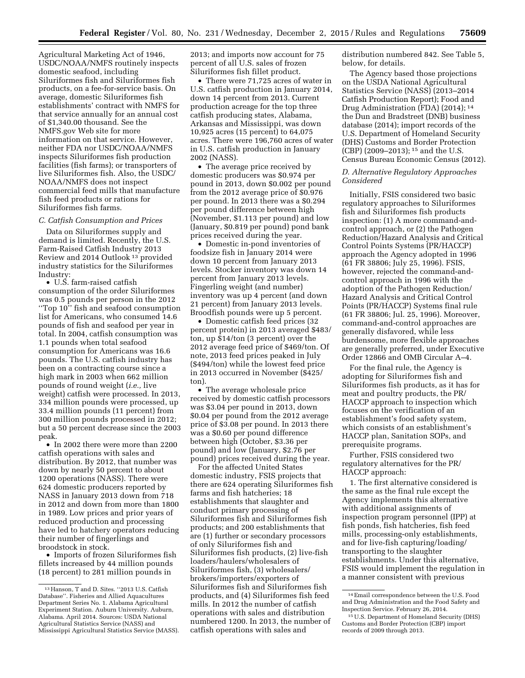Agricultural Marketing Act of 1946, USDC/NOAA/NMFS routinely inspects domestic seafood, including Siluriformes fish and Siluriformes fish products, on a fee-for-service basis. On average, domestic Siluriformes fish establishments' contract with NMFS for that service annually for an annual cost of \$1,340.00 thousand. See the NMFS.gov Web site for more information on that service. However, neither FDA nor USDC/NOAA/NMFS inspects Siluriformes fish production facilities (fish farms); or transporters of live Siluriformes fish. Also, the USDC/ NOAA/NMFS does not inspect commercial feed mills that manufacture fish feed products or rations for Siluriformes fish farms.

### *C. Catfish Consumption and Prices*

Data on Siluriformes supply and demand is limited. Recently, the U.S. Farm-Raised Catfish Industry 2013 Review and 2014 Outlook 13 provided industry statistics for the Siluriformes Industry:

• U.S. farm-raised catfish consumption of the order Siluriformes was 0.5 pounds per person in the 2012 ''Top 10'' fish and seafood consumption list for Americans, who consumed 14.6 pounds of fish and seafood per year in total. In 2004, catfish consumption was 1.1 pounds when total seafood consumption for Americans was 16.6 pounds. The U.S. catfish industry has been on a contracting course since a high mark in 2003 when 662 million pounds of round weight (*i.e.,* live weight) catfish were processed. In 2013, 334 million pounds were processed, up 33.4 million pounds (11 percent) from 300 million pounds processed in 2012; but a 50 percent decrease since the 2003 peak.

• In 2002 there were more than 2200 catfish operations with sales and distribution. By 2012, that number was down by nearly 50 percent to about 1200 operations (NASS). There were 624 domestic producers reported by NASS in January 2013 down from 718 in 2012 and down from more than 1800 in 1989. Low prices and prior years of reduced production and processing have led to hatchery operators reducing their number of fingerlings and broodstock in stock.

• Imports of frozen Siluriformes fish fillets increased by 44 million pounds (18 percent) to 281 million pounds in

2013; and imports now account for 75 percent of all U.S. sales of frozen Siluriformes fish fillet product.

• There were 71,725 acres of water in U.S. catfish production in January 2014, down 14 percent from 2013. Current production acreage for the top three catfish producing states, Alabama, Arkansas and Mississippi, was down 10,925 acres (15 percent) to 64,075 acres. There were 196,760 acres of water in U.S. catfish production in January 2002 (NASS).

• The average price received by domestic producers was \$0.974 per pound in 2013, down \$0.002 per pound from the 2012 average price of \$0.976 per pound. In 2013 there was a \$0.294 per pound difference between high (November, \$1.113 per pound) and low (January, \$0.819 per pound) pond bank prices received during the year.

• Domestic in-pond inventories of foodsize fish in January 2014 were down 10 percent from January 2013 levels. Stocker inventory was down 14 percent from January 2013 levels. Fingerling weight (and number) inventory was up 4 percent (and down 21 percent) from January 2013 levels. Broodfish pounds were up 5 percent.

• Domestic catfish feed prices (32 percent protein) in 2013 averaged \$483/ ton, up \$14/ton (3 percent) over the 2012 average feed price of \$469/ton. Of note, 2013 feed prices peaked in July (\$494/ton) while the lowest feed price in 2013 occurred in November (\$425/ ton).

• The average wholesale price received by domestic catfish processors was \$3.04 per pound in 2013, down \$0.04 per pound from the 2012 average price of \$3.08 per pound. In 2013 there was a \$0.60 per pound difference between high (October, \$3.36 per pound) and low (January, \$2.76 per pound) prices received during the year.

For the affected United States domestic industry, FSIS projects that there are 624 operating Siluriformes fish farms and fish hatcheries; 18 establishments that slaughter and conduct primary processing of Siluriformes fish and Siluriformes fish products; and 200 establishments that are (1) further or secondary processors of only Siluriformes fish and Siluriformes fish products, (2) live-fish loaders/haulers/wholesalers of Siluriformes fish, (3) wholesalers/ brokers/importers/exporters of Siluriformes fish and Siluriformes fish products, and (4) Siluriformes fish feed mills. In 2012 the number of catfish operations with sales and distribution numbered 1200. In 2013, the number of catfish operations with sales and

distribution numbered 842. See Table 5, below, for details.

The Agency based those projections on the USDA National Agricultural Statistics Service (NASS) (2013–2014 Catfish Production Report); Food and Drug Administration (FDA) (2014); 14 the Dun and Bradstreet (DNB) business database (2014); import records of the U.S. Department of Homeland Security (DHS) Customs and Border Protection (CBP) (2009–2013); 15 and the U.S. Census Bureau Economic Census (2012).

*D. Alternative Regulatory Approaches Considered* 

Initially, FSIS considered two basic regulatory approaches to Siluriformes fish and Siluriformes fish products inspection: (1) A more command-andcontrol approach, or (2) the Pathogen Reduction/Hazard Analysis and Critical Control Points Systems (PR/HACCP) approach the Agency adopted in 1996 (61 FR 38806; July 25, 1996). FSIS, however, rejected the command-andcontrol approach in 1996 with the adoption of the Pathogen Reduction/ Hazard Analysis and Critical Control Points (PR/HACCP) Systems final rule (61 FR 38806; Jul. 25, 1996). Moreover, command-and-control approaches are generally disfavored, while less burdensome, more flexible approaches are generally preferred, under Executive Order 12866 and OMB Circular A–4.

For the final rule, the Agency is adopting for Siluriformes fish and Siluriformes fish products, as it has for meat and poultry products, the PR/ HACCP approach to inspection which focuses on the verification of an establishment's food safety system, which consists of an establishment's HACCP plan, Sanitation SOPs, and prerequisite programs.

Further, FSIS considered two regulatory alternatives for the PR/ HACCP approach:

1. The first alternative considered is the same as the final rule except the Agency implements this alternative with additional assignments of inspection program personnel (IPP) at fish ponds, fish hatcheries, fish feed mills, processing-only establishments, and for live-fish capturing/loading/ transporting to the slaughter establishments. Under this alternative, FSIS would implement the regulation in a manner consistent with previous

<sup>13</sup>Hanson, T and D. Sites. ''2013 U.S. Catfish Database''. Fisheries and Allied Aquacultures Department Series No. 1. Alabama Agricultural Experiment Station. Auburn University. Auburn, Alabama. April 2014. Sources: USDA National Agricultural Statistics Service (NASS) and Mississippi Agricultural Statistics Service (MASS).

<sup>14</sup>Email correspondence between the U.S. Food and Drug Administration and the Food Safety and Inspection Service. February 26, 2014.

<sup>15</sup>U.S. Department of Homeland Security (DHS) Customs and Border Protection (CBP) import records of 2009 through 2013.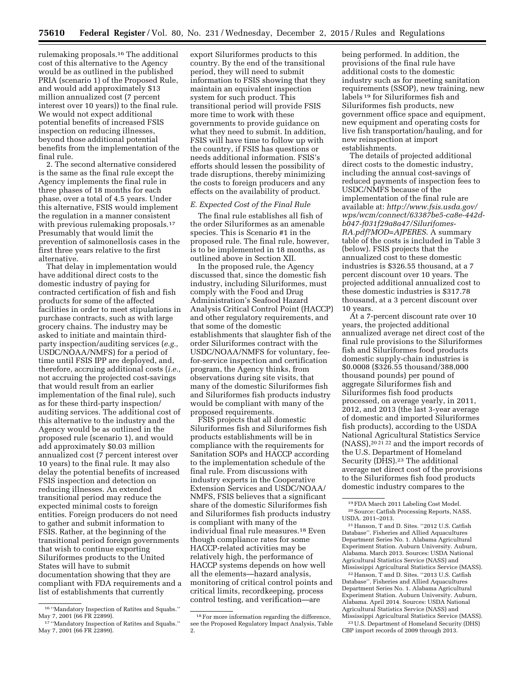rulemaking proposals.16 The additional cost of this alternative to the Agency would be as outlined in the published PRIA (scenario 1) of the Proposed Rule, and would add approximately \$13 million annualized cost (7 percent interest over 10 years)) to the final rule. We would not expect additional potential benefits of increased FSIS inspection on reducing illnesses, beyond those additional potential benefits from the implementation of the final rule.

2. The second alternative considered is the same as the final rule except the Agency implements the final rule in three phases of 18 months for each phase, over a total of 4.5 years. Under this alternative, FSIS would implement the regulation in a manner consistent with previous rulemaking proposals.17 Presumably that would limit the prevention of salmonellosis cases in the first three years relative to the first alternative.

That delay in implementation would have additional direct costs to the domestic industry of paying for contracted certification of fish and fish products for some of the affected facilities in order to meet stipulations in purchase contracts, such as with large grocery chains. The industry may be asked to initiate and maintain thirdparty inspection/auditing services (*e.g.,*  USDC/NOAA/NMFS) for a period of time until FSIS IPP are deployed, and, therefore, accruing additional costs (*i.e.,*  not accruing the projected cost-savings that would result from an earlier implementation of the final rule), such as for these third-party inspection/ auditing services. The additional cost of this alternative to the industry and the Agency would be as outlined in the proposed rule (scenario 1), and would add approximately \$0.03 million annualized cost (7 percent interest over 10 years) to the final rule. It may also delay the potential benefits of increased FSIS inspection and detection on reducing illnesses. An extended transitional period may reduce the expected minimal costs to foreign entities. Foreign producers do not need to gather and submit information to FSIS. Rather, at the beginning of the transitional period foreign governments that wish to continue exporting Siluriformes products to the United States will have to submit documentation showing that they are compliant with FDA requirements and a list of establishments that currently

export Siluriformes products to this country. By the end of the transitional period, they will need to submit information to FSIS showing that they maintain an equivalent inspection system for such product. This transitional period will provide FSIS more time to work with these governments to provide guidance on what they need to submit. In addition, FSIS will have time to follow up with the country, if FSIS has questions or needs additional information. FSIS's efforts should lessen the possibility of trade disruptions, thereby minimizing the costs to foreign producers and any effects on the availability of product.

# *E. Expected Cost of the Final Rule*

The final rule establishes all fish of the order Siluriformes as an amenable species. This is Scenario #1 in the proposed rule. The final rule, however, is to be implemented in 18 months, as outlined above in Section XII.

In the proposed rule, the Agency discussed that, since the domestic fish industry, including Siluriformes, must comply with the Food and Drug Administration's Seafood Hazard Analysis Critical Control Point (HACCP) and other regulatory requirements, and that some of the domestic establishments that slaughter fish of the order Siluriformes contract with the USDC/NOAA/NMFS for voluntary, feefor-service inspection and certification program, the Agency thinks, from observations during site visits, that many of the domestic Siluriformes fish and Siluriformes fish products industry would be compliant with many of the proposed requirements.

FSIS projects that all domestic Siluriformes fish and Siluriformes fish products establishments will be in compliance with the requirements for Sanitation SOPs and HACCP according to the implementation schedule of the final rule. From discussions with industry experts in the Cooperative Extension Services and USDC/NOAA/ NMFS, FSIS believes that a significant share of the domestic Siluriformes fish and Siluriformes fish products industry is compliant with many of the individual final rule measures.18 Even though compliance rates for some HACCP-related activities may be relatively high, the performance of HACCP systems depends on how well all the elements—hazard analysis, monitoring of critical control points and critical limits, recordkeeping, process control testing, and verification—are

being performed. In addition, the provisions of the final rule have additional costs to the domestic industry such as for meeting sanitation requirements (SSOP), new training, new labels 19 for Siluriformes fish and Siluriformes fish products, new government office space and equipment, new equipment and operating costs for live fish transportation/hauling, and for new reinspection at import establishments.

The details of projected additional direct costs to the domestic industry, including the annual cost-savings of reduced payments of inspection fees to USDC/NMFS because of the implementation of the final rule are available at: *[http://www.fsis.usda.gov/](http://www.fsis.usda.gov/wps/wcm/connect/63387be5-ca8e-442d-b047-f031f29a8a47/Silurifomes-RA.pdf?MOD=AJPERES)  [wps/wcm/connect/63387be5-ca8e-442d](http://www.fsis.usda.gov/wps/wcm/connect/63387be5-ca8e-442d-b047-f031f29a8a47/Silurifomes-RA.pdf?MOD=AJPERES)[b047-f031f29a8a47/Silurifomes-](http://www.fsis.usda.gov/wps/wcm/connect/63387be5-ca8e-442d-b047-f031f29a8a47/Silurifomes-RA.pdf?MOD=AJPERES)[RA.pdf?MOD=AJPERES](http://www.fsis.usda.gov/wps/wcm/connect/63387be5-ca8e-442d-b047-f031f29a8a47/Silurifomes-RA.pdf?MOD=AJPERES)*. A summary table of the costs is included in Table 3 (below). FSIS projects that the annualized cost to these domestic industries is \$326.55 thousand, at a 7 percent discount over 10 years. The projected additional annualized cost to these domestic industries is \$317.78 thousand, at a 3 percent discount over 10 years.

At a 7-percent discount rate over 10 years, the projected additional annualized average net direct cost of the final rule provisions to the Siluriformes fish and Siluriformes food products domestic supply-chain industries is \$0.0008 (\$326.55 thousand/388,000 thousand pounds) per pound of aggregate Siluriformes fish and Siluriformes fish food products processed, on average yearly, in 2011, 2012, and 2013 (the last 3-year average of domestic and imported Siluriformes fish products), according to the USDA National Agricultural Statistics Service (NASS),<sup>20 21</sup><sup>22</sup> and the import records of the U.S. Department of Homeland Security (DHS).23 The additional average net direct cost of the provisions to the Siluriformes fish food products domestic industry compares to the

21Hanson, T and D. Sites. ''2012 U.S. Catfish Database''. Fisheries and Allied Aquacultures Department Series No. 1. Alabama Agricultural Experiment Station. Auburn University. Auburn, Alabama. March 2013. Sources: USDA National Agricultural Statistics Service (NASS) and Mississippi Agricultural Statistics Service (MASS).

22Hanson, T and D. Sites. ''2013 U.S. Catfish Database''. Fisheries and Allied Aquacultures Department Series No. 1. Alabama Agricultural Experiment Station. Auburn University. Auburn, Alabama. April 2014. Sources: USDA National Agricultural Statistics Service (NASS) and Mississippi Agricultural Statistics Service (MASS).

23U.S. Department of Homeland Security (DHS) CBP import records of 2009 through 2013.

<sup>16</sup> ''Mandatory Inspection of Ratites and Squabs.'' May 7, 2001 (66 FR 22899).

<sup>17</sup> ''Mandatory Inspection of Ratites and Squabs.'' May 7, 2001 (66 FR 22899).

<sup>18</sup>For more information regarding the difference, see the Proposed Regulatory Impact Analysis, Table 2.

<sup>19</sup>FDA March 2011 Labeling Cost Model. 20Source: Catfish Processing Reports, NASS, USDA. 2011–2013.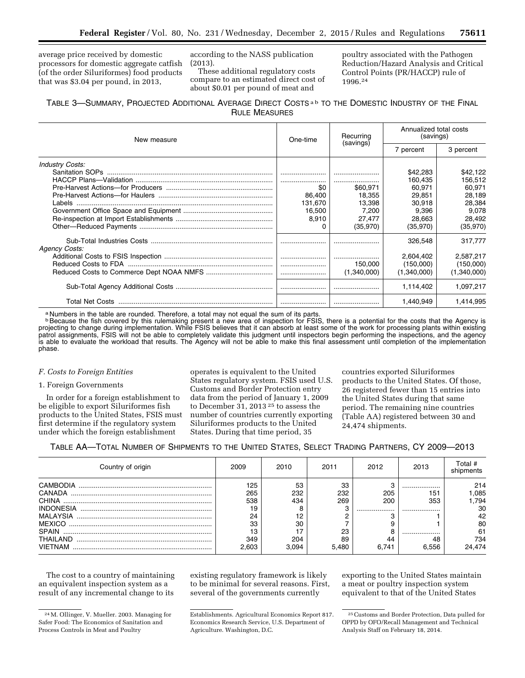average price received by domestic processors for domestic aggregate catfish (of the order Siluriformes) food products that was \$3.04 per pound, in 2013,

according to the NASS publication (2013).

These additional regulatory costs compare to an estimated direct cost of about \$0.01 per pound of meat and

poultry associated with the Pathogen Reduction/Hazard Analysis and Critical Control Points (PR/HACCP) rule of 1996.24

# TABLE 3—SUMMARY, PROJECTED ADDITIONAL AVERAGE DIRECT COSTS a b TO THE DOMESTIC INDUSTRY OF THE FINAL RULE MEASURES

| New measure            | One-time | Recurring<br>(savings) | Annualized total costs<br>(savings) |             |
|------------------------|----------|------------------------|-------------------------------------|-------------|
|                        |          |                        | 7 percent                           | 3 percent   |
| <b>Industry Costs:</b> |          |                        |                                     |             |
|                        |          |                        | \$42,283                            | \$42,122    |
|                        |          |                        | 160.435                             | 156,512     |
|                        | \$0      | \$60.971               | 60.971                              | 60.971      |
|                        | 86,400   | 18.355                 | 29,851                              | 28,189      |
|                        | 131.670  | 13.398                 | 30.918                              | 28,384      |
|                        | 16,500   | 7.200                  | 9,396                               | 9,078       |
|                        | 8,910    | 27,477                 | 28.663                              | 28,492      |
|                        |          | (35,970)               | (35,970)                            | (35,970)    |
| <b>Agency Costs:</b>   |          |                        | 326,548                             | 317.777     |
|                        |          |                        | 2.604.402                           | 2.587.217   |
|                        |          | 150,000                | (150,000)                           | (150,000)   |
|                        |          | (1,340,000)            | (1,340,000)                         | (1,340,000) |
|                        |          |                        | 1,114,402                           | 1,097,217   |
|                        |          |                        | 1.440.949                           | 1.414.995   |

a Numbers in the table are rounded. Therefore, a total may not equal the sum of its parts.

**BBecause the fish covered by this rulemaking present a new area of inspection for FSIS, there is a potential for the costs that the Agency is** projecting to change during implementation. While FSIS believes that it can absorb at least some of the work for processing plants within existing patrol assignments, FSIS will not be able to completely validate this judgment until inspectors begin performing the inspections, and the agency is able to evaluate the workload that results. The Agency will not be able to make this final assessment until completion of the implementation phase.

# *F. Costs to Foreign Entities*

# 1. Foreign Governments

In order for a foreign establishment to be eligible to export Siluriformes fish products to the United States, FSIS must first determine if the regulatory system under which the foreign establishment

operates is equivalent to the United States regulatory system. FSIS used U.S. Customs and Border Protection entry data from the period of January 1, 2009 to December 31, 2013<sup>25</sup> to assess the number of countries currently exporting Siluriformes products to the United States. During that time period, 35

countries exported Siluriformes products to the United States. Of those, 26 registered fewer than 15 entries into the United States during that same period. The remaining nine countries (Table AA) registered between 30 and 24,474 shipments.

# TABLE AA—TOTAL NUMBER OF SHIPMENTS TO THE UNITED STATES, SELECT TRADING PARTNERS, CY 2009—2013

| Country of origin            | 2009            | 2010         | 2011        | 2012        | 2013        | Total #<br>shipments |
|------------------------------|-----------------|--------------|-------------|-------------|-------------|----------------------|
| CAMBODIA<br>CANADA           | 125<br>265      | 53<br>232    | 33<br>232   | 205         | <br>151     | 214<br>.085          |
| <b>INDONESIA</b><br>MALAYSIA | 538<br>19<br>24 | 434          | 269         | 200<br>     | 353<br>     | .794<br>30<br>42     |
| <b>MEXICO</b><br>SPAIN       | 33<br>13        | 30           | 23          |             |             | 80<br>61             |
| THAII AND<br><b>VIFTNAM</b>  | 349<br>2.603    | 204<br>3.094 | 89<br>5.480 | 44<br>6.741 | 48<br>6.556 | 734<br>24.474        |

The cost to a country of maintaining an equivalent inspection system as a result of any incremental change to its

existing regulatory framework is likely to be minimal for several reasons. First, several of the governments currently

exporting to the United States maintain a meat or poultry inspection system equivalent to that of the United States

<sup>24</sup>M. Ollinger, V. Mueller. 2003. Managing for Safer Food: The Economics of Sanitation and Process Controls in Meat and Poultry

Establishments. Agricultural Economics Report 817. Economics Research Service, U.S. Department of Agriculture. Washington, D.C.

<sup>25</sup>Customs and Border Protection, Data pulled for OPPD by OFO/Recall Management and Technical Analysis Staff on February 18, 2014.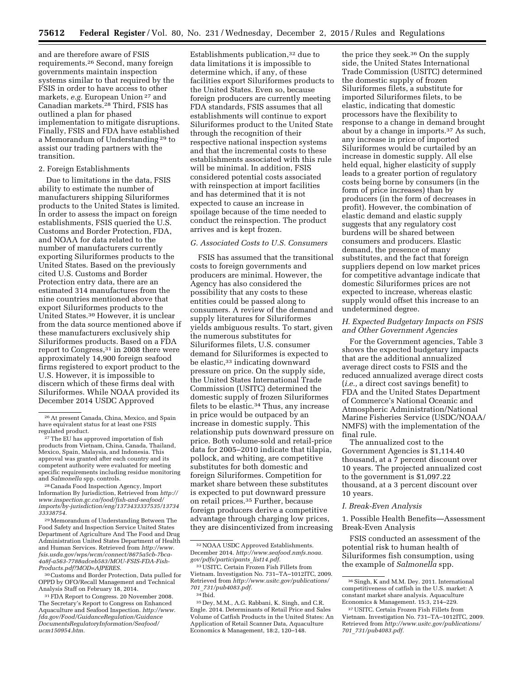and are therefore aware of FSIS requirements.26 Second, many foreign governments maintain inspection systems similar to that required by the FSIS in order to have access to other markets, *e.g.* European Union 27 and Canadian markets.28 Third, FSIS has outlined a plan for phased implementation to mitigate disruptions. Finally, FSIS and FDA have established a Memorandum of Understanding 29 to assist our trading partners with the transition.

# 2. Foreign Establishments

Due to limitations in the data, FSIS ability to estimate the number of manufacturers shipping Siluriformes products to the United States is limited. In order to assess the impact on foreign establishments, FSIS queried the U.S. Customs and Border Protection, FDA, and NOAA for data related to the number of manufacturers currently exporting Siluriformes products to the United States. Based on the previously cited U.S. Customs and Border Protection entry data, there are an estimated 314 manufactures from the nine countries mentioned above that export Siluriformes products to the United States.30 However, it is unclear from the data source mentioned above if these manufacturers exclusively ship Siluriformes products. Based on a FDA report to Congress,31 in 2008 there were approximately 14,900 foreign seafood firms registered to export product to the U.S. However, it is impossible to discern which of these firms deal with Siluriformes. While NOAA provided its December 2014 USDC Approved

<sup>28</sup> Canada Food Inspection Agency, Import Information By Jurisdiction, Retrieved from *[http://](http://www.inspection.gc.ca/food/fish-and-seafood/imports/by-jurisdiction/eng/1373433337535/1373433338754) [www.inspection.gc.ca/food/fish-and-seafood/](http://www.inspection.gc.ca/food/fish-and-seafood/imports/by-jurisdiction/eng/1373433337535/1373433338754) [imports/by-jurisdiction/eng/1373433337535/13734](http://www.inspection.gc.ca/food/fish-and-seafood/imports/by-jurisdiction/eng/1373433337535/1373433338754) [33338754.](http://www.inspection.gc.ca/food/fish-and-seafood/imports/by-jurisdiction/eng/1373433337535/1373433338754)* 

29Memorandum of Understanding Between The Food Safety and Inspection Service United States Department of Agriculture And The Food and Drug Administration United States Department of Health and Human Services. Retrieved from *[http://www.](http://www.fsis.usda.gov/wps/wcm/connect/8675a5cb-7bca-4a8f-a563-7788adceb583/MOU-FSIS-FDA-Fish-Products.pdf?MOD=AJPERES) [fsis.usda.gov/wps/wcm/connect/8675a5cb-7bca-](http://www.fsis.usda.gov/wps/wcm/connect/8675a5cb-7bca-4a8f-a563-7788adceb583/MOU-FSIS-FDA-Fish-Products.pdf?MOD=AJPERES)[4a8f-a563-7788adceb583/MOU-FSIS-FDA-Fish-](http://www.fsis.usda.gov/wps/wcm/connect/8675a5cb-7bca-4a8f-a563-7788adceb583/MOU-FSIS-FDA-Fish-Products.pdf?MOD=AJPERES)[Products.pdf?MOD=AJPERES.](http://www.fsis.usda.gov/wps/wcm/connect/8675a5cb-7bca-4a8f-a563-7788adceb583/MOU-FSIS-FDA-Fish-Products.pdf?MOD=AJPERES)* 

<sup>30</sup> Customs and Border Protection, Data pulled for OPPD by OFO/Recall Management and Technical Analysis Staff on February 18, 2014.

31FDA Report to Congress. 20 November 2008. The Secretary's Report to Congress on Enhanced Aquaculture and Seafood Inspection. *[http://www.](http://www.fda.gov/Food/GuidanceRegulation/GuidanceDocumentsRegulatoryInformation/Seafood/ucm150954.htm) [fda.gov/Food/GuidanceRegulation/Guidance](http://www.fda.gov/Food/GuidanceRegulation/GuidanceDocumentsRegulatoryInformation/Seafood/ucm150954.htm) [DocumentsRegulatoryInformation/Seafood/](http://www.fda.gov/Food/GuidanceRegulation/GuidanceDocumentsRegulatoryInformation/Seafood/ucm150954.htm) [ucm150954.htm.](http://www.fda.gov/Food/GuidanceRegulation/GuidanceDocumentsRegulatoryInformation/Seafood/ucm150954.htm)* 

Establishments publication,32 due to data limitations it is impossible to determine which, if any, of these facilities export Siluriformes products to the United States. Even so, because foreign producers are currently meeting FDA standards, FSIS assumes that all establishments will continue to export Siluriformes product to the United State through the recognition of their respective national inspection systems and that the incremental costs to these establishments associated with this rule will be minimal. In addition, FSIS considered potential costs associated with reinspection at import facilities and has determined that it is not expected to cause an increase in spoilage because of the time needed to conduct the reinspection. The product arrives and is kept frozen.

# *G. Associated Costs to U.S. Consumers*

FSIS has assumed that the transitional costs to foreign governments and producers are minimal. However, the Agency has also considered the possibility that any costs to these entities could be passed along to consumers. A review of the demand and supply literatures for Siluriformes yields ambiguous results. To start, given the numerous substitutes for Siluriformes filets, U.S. consumer demand for Siluriformes is expected to be elastic,<sup>33</sup> indicating downward pressure on price. On the supply side, the United States International Trade Commission (USITC) determined the domestic supply of frozen Siluriformes filets to be elastic.34 Thus, any increase in price would be outpaced by an increase in domestic supply. This relationship puts downward pressure on price. Both volume-sold and retail-price data for 2005–2010 indicate that tilapia, pollock, and whiting, are competitive substitutes for both domestic and foreign Siluriformes. Competition for market share between these substitutes is expected to put downward pressure on retail prices.35 Further, because foreign producers derive a competitive advantage through charging low prices, they are disincentivized from increasing

the price they seek.36 On the supply side, the United States International Trade Commission (USITC) determined the domestic supply of frozen Siluriformes filets, a substitute for imported Siluriformes filets, to be elastic, indicating that domestic processors have the flexibility to response to a change in demand brought about by a change in imports.37 As such, any increase in price of imported Siluriformes would be curtailed by an increase in domestic supply. All else held equal, higher elasticity of supply leads to a greater portion of regulatory costs being borne by consumers (in the form of price increases) than by producers (in the form of decreases in profit). However, the combination of elastic demand and elastic supply suggests that any regulatory cost burdens will be shared between consumers and producers. Elastic demand, the presence of many substitutes, and the fact that foreign suppliers depend on low market prices for competitive advantage indicate that domestic Siluriformes prices are not expected to increase, whereas elastic supply would offset this increase to an undetermined degree.

# *H. Expected Budgetary Impacts on FSIS and Other Government Agencies*

For the Government agencies, Table 3 shows the expected budgetary impacts that are the additional annualized average direct costs to FSIS and the reduced annualized average direct costs (*i.e.,* a direct cost savings benefit) to FDA and the United States Department of Commerce's National Oceanic and Atmospheric Administration/National Marine Fisheries Service (USDC/NOAA/ NMFS) with the implementation of the final rule.

The annualized cost to the Government Agencies is \$1,114.40 thousand, at a 7 percent discount over 10 years. The projected annualized cost to the government is \$1,097.22 thousand, at a 3 percent discount over 10 years.

# *I. Break-Even Analysis*

1. Possible Health Benefits—Assessment Break-Even Analysis

FSIS conducted an assessment of the potential risk to human health of Siluriformes fish consumption, using the example of *Salmonella* spp.

<sup>26</sup>At present Canada, China, Mexico, and Spain have equivalent status for at least one FSIS

regulated product.<br><sup>27</sup> The EU has approved importation of fish<br>products from Vietnam, China, Canada, Thailand, Mexico, Spain, Malaysia, and Indonesia. This approval was granted after each country and its competent authority were evaluated for meeting specific requirements including residue monitoring<br>and Salmonella spp. controls.

<sup>32</sup>NOAA USDC Approved Establishments. December 2014. *[http://www.seafood.nmfs.noaa.](http://www.seafood.nmfs.noaa.gov/pdfs/participants_list14.pdf) [gov/pdfs/participants](http://www.seafood.nmfs.noaa.gov/pdfs/participants_list14.pdf)*\_*list14.pdf.* 

<sup>33</sup>USITC. Certain Frozen Fish Fillets from Vietnam. Investigation No. 731–TA–1012ITC, 2009. Retrieved from *[http://www.usitc.gov/publications/](http://www.usitc.gov/publications/701_731/pub4083.pdf) 701*\_*[731/pub4083.pdf.](http://www.usitc.gov/publications/701_731/pub4083.pdf)*   $^{\rm 34}$  Ibid.

<sup>35</sup> Dey, M.M., A.G. Rabbani, K. Singh, and C.R. Engle. 2014. Determinants of Retail Price and Sales Volume of Catfish Products in the United States: An Application of Retail Scanner Data, Aquaculture Economics & Management, 18:2, 120–148.

<sup>36</sup>Singh, K and M.M. Dey. 2011. International competitiveness of catfish in the U.S. market: A constant market share analysis. Aquaculture Economics & Management. 15:3, 214–229.

<sup>37</sup>USITC. Certain Frozen Fish Fillets from Vietnam. Investigation No. 731–TA–1012ITC, 2009. Retrieved from *[http://www.usitc.gov/publications/](http://www.usitc.gov/publications/701_731/pub4083.pdf) 701*\_*[731/pub4083.pdf.](http://www.usitc.gov/publications/701_731/pub4083.pdf)*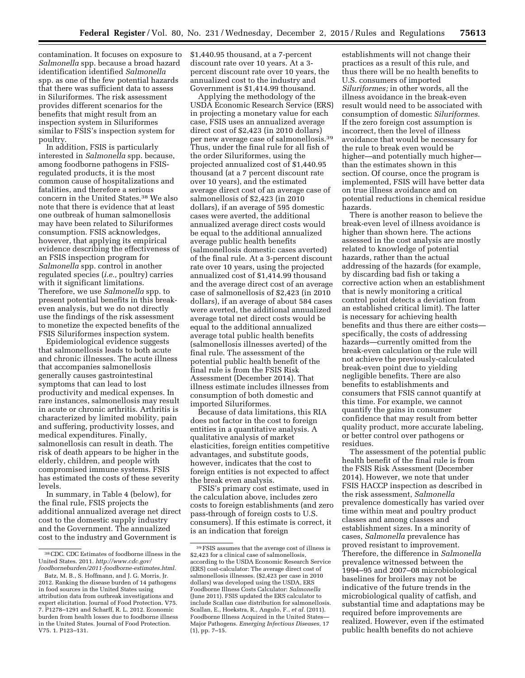contamination. It focuses on exposure to *Salmonella* spp. because a broad hazard identification identified *Salmonella*  spp. as one of the few potential hazards that there was sufficient data to assess in Siluriformes. The risk assessment provides different scenarios for the benefits that might result from an inspection system in Siluriformes similar to FSIS's inspection system for poultry.

In addition, FSIS is particularly interested in *Salmonella* spp. because, among foodborne pathogens in FSISregulated products, it is the most common cause of hospitalizations and fatalities, and therefore a serious concern in the United States.38 We also note that there is evidence that at least one outbreak of human salmonellosis may have been related to Siluriformes consumption. FSIS acknowledges, however, that applying its empirical evidence describing the effectiveness of an FSIS inspection program for *Salmonella* spp. control in another regulated species (*i.e.,* poultry) carries with it significant limitations. Therefore, we use *Salmonella* spp. to present potential benefits in this breakeven analysis, but we do not directly use the findings of the risk assessment to monetize the expected benefits of the FSIS Siluriformes inspection system.

Epidemiological evidence suggests that salmonellosis leads to both acute and chronic illnesses. The acute illness that accompanies salmonellosis generally causes gastrointestinal symptoms that can lead to lost productivity and medical expenses. In rare instances, salmonellosis may result in acute or chronic arthritis. Arthritis is characterized by limited mobility, pain and suffering, productivity losses, and medical expenditures. Finally, salmonellosis can result in death. The risk of death appears to be higher in the elderly, children, and people with compromised immune systems. FSIS has estimated the costs of these severity levels.

In summary, in Table 4 (below), for the final rule, FSIS projects the additional annualized average net direct cost to the domestic supply industry and the Government. The annualized cost to the industry and Government is

\$1,440.95 thousand, at a 7-percent discount rate over 10 years. At a 3 percent discount rate over 10 years, the annualized cost to the industry and Government is \$1,414.99 thousand.

Applying the methodology of the USDA Economic Research Service (ERS) in projecting a monetary value for each case, FSIS uses an annualized average direct cost of \$2,423 (in 2010 dollars) per new average case of salmonellosis.39 Thus, under the final rule for all fish of the order Siluriformes, using the projected annualized cost of \$1,440.95 thousand (at a 7 percent discount rate over 10 years), and the estimated average direct cost of an average case of salmonellosis of \$2,423 (in 2010 dollars), if an average of 595 domestic cases were averted, the additional annualized average direct costs would be equal to the additional annualized average public health benefits (salmonellosis domestic cases averted) of the final rule. At a 3-percent discount rate over 10 years, using the projected annualized cost of \$1,414.99 thousand and the average direct cost of an average case of salmonellosis of \$2,423 (in 2010 dollars), if an average of about 584 cases were averted, the additional annualized average total net direct costs would be equal to the additional annualized average total public health benefits (salmonellosis illnesses averted) of the final rule. The assessment of the potential public health benefit of the final rule is from the FSIS Risk Assessment (December 2014). That illness estimate includes illnesses from consumption of both domestic and imported Siluriformes.

Because of data limitations, this RIA does not factor in the cost to foreign entities in a quantitative analysis. A qualitative analysis of market elasticities, foreign entities competitive advantages, and substitute goods, however, indicates that the cost to foreign entities is not expected to affect the break even analysis.

FSIS's primary cost estimate, used in the calculation above, includes zero costs to foreign establishments (and zero pass-through of foreign costs to U.S. consumers). If this estimate is correct, it is an indication that foreign

establishments will not change their practices as a result of this rule, and thus there will be no health benefits to U.S. consumers of imported *Siluriformes;* in other words, all the illness avoidance in the break-even result would need to be associated with consumption of domestic *Siluriformes.*  If the zero foreign cost assumption is incorrect, then the level of illness avoidance that would be necessary for the rule to break even would be higher—and potentially much higher than the estimates shown in this section. Of course, once the program is implemented, FSIS will have better data on true illness avoidance and on potential reductions in chemical residue hazards.

There is another reason to believe the break-even level of illness avoidance is higher than shown here. The actions assessed in the cost analysis are mostly related to knowledge of potential hazards, rather than the actual addressing of the hazards (for example, by discarding bad fish or taking a corrective action when an establishment that is newly monitoring a critical control point detects a deviation from an established critical limit). The latter is necessary for achieving health benefits and thus there are either costs specifically, the costs of addressing hazards—currently omitted from the break-even calculation or the rule will not achieve the previously-calculated break-even point due to yielding negligible benefits. There are also benefits to establishments and consumers that FSIS cannot quantify at this time. For example, we cannot quantify the gains in consumer confidence that may result from better quality product, more accurate labeling, or better control over pathogens or residues.

The assessment of the potential public health benefit of the final rule is from the FSIS Risk Assessment (December 2014). However, we note that under FSIS HACCP inspection as described in the risk assessment, *Salmonella*  prevalence domestically has varied over time within meat and poultry product classes and among classes and establishment sizes. In a minority of cases, *Salmonella* prevalence has proved resistant to improvement. Therefore, the difference in *Salmonella*  prevalence witnessed between the 1994–95 and 2007–08 microbiological baselines for broilers may not be indicative of the future trends in the microbiological quality of catfish, and substantial time and adaptations may be required before improvements are realized. However, even if the estimated public health benefits do not achieve

<sup>38</sup>CDC. CDC Estimates of foodborne illness in the United States. 2011. *[http://www.cdc.gov/](http://www.cdc.gov/foodborneburden/2011-foodborne-estimates.html)  [foodborneburden/2011-foodborne-estimates.html.](http://www.cdc.gov/foodborneburden/2011-foodborne-estimates.html)* 

Batz, M. B., S. Hoffmann, and J. G. Morris, Jr. 2012. Ranking the disease burden of 14 pathogens in food sources in the United States using attribution data from outbreak investigations and expert elicitation. Journal of Food Protection. V75. 7. P1278–1291 and Scharff, R. L. 2012. Economic burden from health losses due to foodborne illness in the United States. Journal of Food Protection. V75. 1. P123–131.

<sup>39</sup>FSIS assumes that the average cost of illness is \$2,423 for a clinical case of salmonellosis, according to the USDA Economic Research Service (ERS) cost-calculator: The average direct cost of salmonellosis illnesses. (\$2,423 per case in 2010 dollars) was developed using the USDA, ERS Foodborne Illness Costs Calculator: *Salmonella*  (June 2011). FSIS updated the ERS calculator to include Scallan case distribution for salmonellosis. Scallan, E., Hoekstra, R., Angulo, F., *et al.* (2011). Foodborne Illness Acquired in the United States— Major Pathogens. *Emerging Infectious Diseases,* 17 (1), pp. 7–15.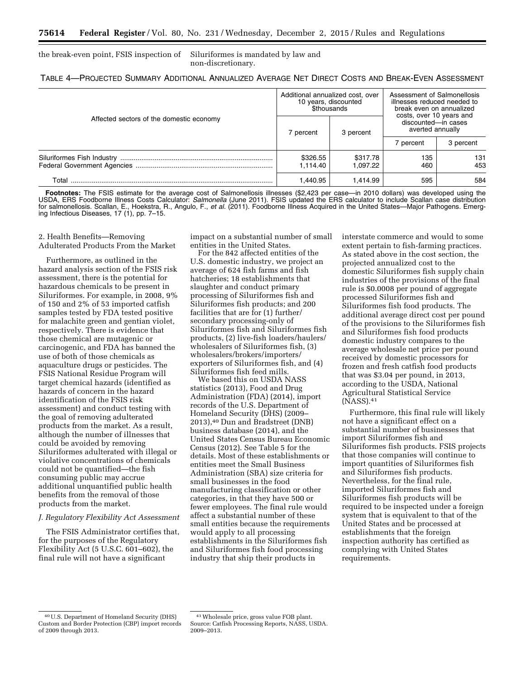the break-even point, FSIS inspection of Siluriformes is mandated by law and non-discretionary.

|  |  | TABLE 4-PROJECTED SUMMARY ADDITIONAL ANNUALIZED AVERAGE NET DIRECT COSTS AND BREAK-EVEN ASSESSMENT |
|--|--|----------------------------------------------------------------------------------------------------|
|--|--|----------------------------------------------------------------------------------------------------|

|                                          |                      | Additional annualized cost, over<br>10 years, discounted<br><b><i>Sthousands</i></b> | Assessment of Salmonellosis<br>illnesses reduced needed to<br>break even on annualized<br>costs, over 10 years and<br>discounted-in cases<br>averted annually |            |
|------------------------------------------|----------------------|--------------------------------------------------------------------------------------|---------------------------------------------------------------------------------------------------------------------------------------------------------------|------------|
| Affected sectors of the domestic economy | 7 percent            | 3 percent                                                                            |                                                                                                                                                               |            |
|                                          |                      |                                                                                      | ' percent                                                                                                                                                     | 3 percent  |
|                                          | \$326.55<br>1.114.40 | \$317.78<br>1.097.22                                                                 | 135<br>460                                                                                                                                                    | 131<br>453 |
| Total                                    | 1.440.95             | 1.414.99                                                                             | 595                                                                                                                                                           | 584        |

Footnotes: The FSIS estimate for the average cost of Salmonellosis illnesses (\$2,423 per case—in 2010 dollars) was developed using the USDA, ERS Foodborne Illness Costs Calculator: *Salmonella* (June 2011). FSIS updated the ERS calculator to include Scallan case distribution for salmonellosis. Scallan, E., Hoekstra, R., Angulo, F., *et al.* (2011). Foodborne Illness Acquired in the United States—Major Pathogens. Emerging Infectious Diseases, 17 (1), pp. 7–15.

2. Health Benefits—Removing Adulterated Products From the Market

Furthermore, as outlined in the hazard analysis section of the FSIS risk assessment, there is the potential for hazardous chemicals to be present in Siluriformes. For example, in 2008, 9% of 150 and 2% of 53 imported catfish samples tested by FDA tested positive for malachite green and gentian violet, respectively. There is evidence that those chemical are mutagenic or carcinogenic, and FDA has banned the use of both of those chemicals as aquaculture drugs or pesticides. The FSIS National Residue Program will target chemical hazards (identified as hazards of concern in the hazard identification of the FSIS risk assessment) and conduct testing with the goal of removing adulterated products from the market. As a result, although the number of illnesses that could be avoided by removing Siluriformes adulterated with illegal or violative concentrations of chemicals could not be quantified—the fish consuming public may accrue additional unquantified public health benefits from the removal of those products from the market.

# *J. Regulatory Flexibility Act Assessment*

The FSIS Administrator certifies that, for the purposes of the Regulatory Flexibility Act (5 U.S.C. 601–602), the final rule will not have a significant

impact on a substantial number of small entities in the United States.

For the 842 affected entities of the U.S. domestic industry, we project an average of 624 fish farms and fish hatcheries; 18 establishments that slaughter and conduct primary processing of Siluriformes fish and Siluriformes fish products; and 200 facilities that are for (1) further/ secondary processing-only of Siluriformes fish and Siluriformes fish products, (2) live-fish loaders/haulers/ wholesalers of Siluriformes fish, (3) wholesalers/brokers/importers/ exporters of Siluriformes fish, and (4) Siluriformes fish feed mills.

We based this on USDA NASS statistics (2013), Food and Drug Administration (FDA) (2014), import records of the U.S. Department of Homeland Security (DHS) (2009– 2013),40 Dun and Bradstreet (DNB) business database (2014), and the United States Census Bureau Economic Census (2012). See Table 5 for the details. Most of these establishments or entities meet the Small Business Administration (SBA) size criteria for small businesses in the food manufacturing classification or other categories, in that they have 500 or fewer employees. The final rule would affect a substantial number of these small entities because the requirements would apply to all processing establishments in the Siluriformes fish and Siluriformes fish food processing industry that ship their products in

interstate commerce and would to some extent pertain to fish-farming practices. As stated above in the cost section, the projected annualized cost to the domestic Siluriformes fish supply chain industries of the provisions of the final rule is \$0.0008 per pound of aggregate processed Siluriformes fish and Siluriformes fish food products. The additional average direct cost per pound of the provisions to the Siluriformes fish and Siluriformes fish food products domestic industry compares to the average wholesale net price per pound received by domestic processors for frozen and fresh catfish food products that was \$3.04 per pound, in 2013, according to the USDA, National Agricultural Statistical Service (NASS).41

Furthermore, this final rule will likely not have a significant effect on a substantial number of businesses that import Siluriformes fish and Siluriformes fish products. FSIS projects that those companies will continue to import quantities of Siluriformes fish and Siluriformes fish products. Nevertheless, for the final rule, imported Siluriformes fish and Siluriformes fish products will be required to be inspected under a foreign system that is equivalent to that of the United States and be processed at establishments that the foreign inspection authority has certified as complying with United States requirements.

<sup>40</sup>U.S. Department of Homeland Security (DHS) Custom and Border Protection (CBP) import records of 2009 through 2013.

<sup>41</sup>Wholesale price, gross value FOB plant. Source: Catfish Processing Reports, NASS, USDA. 2009–2013.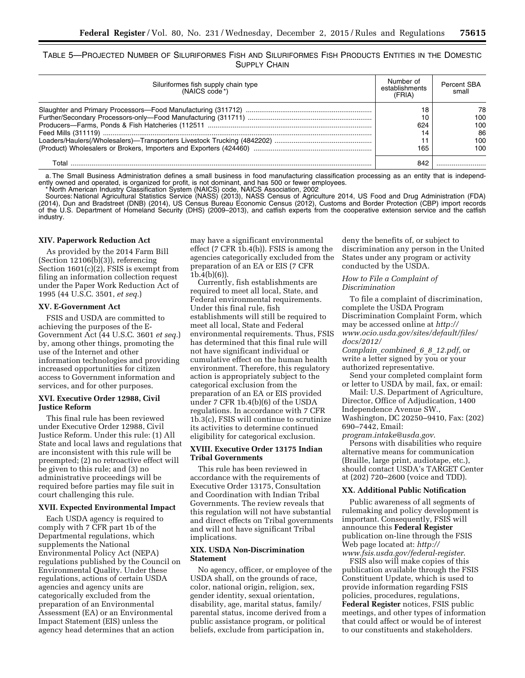TABLE 5—PROJECTED NUMBER OF SILURIFORMES FISH AND SILURIFORMES FISH PRODUCTS ENTITIES IN THE DOMESTIC SUPPLY CHAIN

| Siluriformes fish supply chain type<br>(NAICS code *) | Number of<br>establishments<br>(FRIA) | <b>Percent SBA</b><br>small |
|-------------------------------------------------------|---------------------------------------|-----------------------------|
|                                                       | 18                                    | 78                          |
|                                                       | 10                                    | 100                         |
|                                                       | 624                                   | 100                         |
|                                                       | 14                                    | 86                          |
|                                                       |                                       | 100                         |
|                                                       | 165                                   | 100                         |
| Total                                                 | 842                                   |                             |

a. The Small Business Administration defines a small business in food manufacturing classification processing as an entity that is independently owned and operated, is organized for profit, is not dominant, and has 500 or fewer employees. \* North American Industry Classification System (NAICS) code, NAICS Association, 2002

Sources: National Agricultural Statistics Service (NASS) (2013), NASS Census of Agriculture 2014, US Food and Drug Administration (FDA) (2014), Dun and Bradstreet (DNB) (2014), US Census Bureau Economic Census (2012), Customs and Border Protection (CBP) import records of the U.S. Department of Homeland Security (DHS) (2009–2013), and catfish experts from the cooperative extension service and the catfish industry.

# **XIV. Paperwork Reduction Act**

As provided by the 2014 Farm Bill (Section 12106(b)(3)), referencing Section 1601(c)(2), FSIS is exempt from filing an information collection request under the Paper Work Reduction Act of 1995 (44 U.S.C. 3501, *et seq.*)

### **XV. E-Government Act**

FSIS and USDA are committed to achieving the purposes of the E-Government Act (44 U.S.C. 3601 *et seq.*) by, among other things, promoting the use of the Internet and other information technologies and providing increased opportunities for citizen access to Government information and services, and for other purposes.

# **XVI. Executive Order 12988, Civil Justice Reform**

This final rule has been reviewed under Executive Order 12988, Civil Justice Reform. Under this rule: (1) All State and local laws and regulations that are inconsistent with this rule will be preempted; (2) no retroactive effect will be given to this rule; and (3) no administrative proceedings will be required before parties may file suit in court challenging this rule.

# **XVII. Expected Environmental Impact**

Each USDA agency is required to comply with 7 CFR part 1b of the Departmental regulations, which supplements the National Environmental Policy Act (NEPA) regulations published by the Council on Environmental Quality. Under these regulations, actions of certain USDA agencies and agency units are categorically excluded from the preparation of an Environmental Assessment (EA) or an Environmental Impact Statement (EIS) unless the agency head determines that an action

may have a significant environmental effect (7 CFR 1b.4(b)). FSIS is among the agencies categorically excluded from the preparation of an EA or EIS (7 CFR  $1b.4(b)(6)$ 

Currently, fish establishments are required to meet all local, State, and Federal environmental requirements. Under this final rule, fish establishments will still be required to meet all local, State and Federal environmental requirements. Thus, FSIS has determined that this final rule will not have significant individual or cumulative effect on the human health environment. Therefore, this regulatory action is appropriately subject to the categorical exclusion from the preparation of an EA or EIS provided under 7 CFR 1b.4(b)(6) of the USDA regulations. In accordance with 7 CFR 1b.3(c), FSIS will continue to scrutinize its activities to determine continued eligibility for categorical exclusion.

# **XVIII. Executive Order 13175 Indian Tribal Governments**

This rule has been reviewed in accordance with the requirements of Executive Order 13175, Consultation and Coordination with Indian Tribal Governments. The review reveals that this regulation will not have substantial and direct effects on Tribal governments and will not have significant Tribal implications.

# **XIX. USDA Non-Discrimination Statement**

No agency, officer, or employee of the USDA shall, on the grounds of race, color, national origin, religion, sex, gender identity, sexual orientation, disability, age, marital status, family/ parental status, income derived from a public assistance program, or political beliefs, exclude from participation in,

deny the benefits of, or subject to discrimination any person in the United States under any program or activity conducted by the USDA.

# *How to File a Complaint of Discrimination*

To file a complaint of discrimination, complete the USDA Program Discrimination Complaint Form, which may be accessed online at *[http://](http://www.ocio.usda.gov/sites/default/files/docs/2012/Complain_combined_6_8_12.pdf)  [www.ocio.usda.gov/sites/default/files/](http://www.ocio.usda.gov/sites/default/files/docs/2012/Complain_combined_6_8_12.pdf) [docs/2012/](http://www.ocio.usda.gov/sites/default/files/docs/2012/Complain_combined_6_8_12.pdf)* 

*Complain*\_*[combined](http://www.ocio.usda.gov/sites/default/files/docs/2012/Complain_combined_6_8_12.pdf)*\_*6*\_*8*\_*12.pdf*, or write a letter signed by you or your authorized representative.

Send your completed complaint form or letter to USDA by mail, fax, or email:

Mail: U.S. Department of Agriculture, Director, Office of Adjudication, 1400 Independence Avenue SW., Washington, DC 20250–9410, Fax: (202) 690–7442, Email:

*[program.intake@usda.gov](mailto:program.intake@usda.gov)*.

Persons with disabilities who require alternative means for communication (Braille, large print, audiotape, etc.), should contact USDA's TARGET Center at (202) 720–2600 (voice and TDD).

#### **XX. Additional Public Notification**

Public awareness of all segments of rulemaking and policy development is important. Consequently, FSIS will announce this **Federal Register**  publication on-line through the FSIS Web page located at: *[http://](http://www.fsis.usda.gov/federal-register)  [www.fsis.usda.gov/federal-register](http://www.fsis.usda.gov/federal-register)*.

FSIS also will make copies of this publication available through the FSIS Constituent Update, which is used to provide information regarding FSIS policies, procedures, regulations, **Federal Register** notices, FSIS public meetings, and other types of information that could affect or would be of interest to our constituents and stakeholders.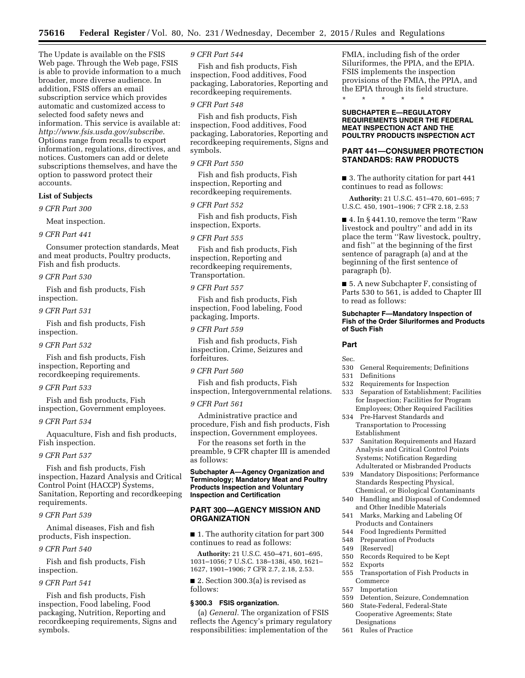The Update is available on the FSIS Web page. Through the Web page, FSIS is able to provide information to a much broader, more diverse audience. In addition, FSIS offers an email subscription service which provides automatic and customized access to selected food safety news and information. This service is available at: *<http://www.fsis.usda.gov/subscribe>*. Options range from recalls to export information, regulations, directives, and notices. Customers can add or delete subscriptions themselves, and have the option to password protect their accounts.

# **List of Subjects**

#### *9 CFR Part 300*

Meat inspection.

#### *9 CFR Part 441*

Consumer protection standards, Meat and meat products, Poultry products, Fish and fish products.

#### *9 CFR Part 530*

Fish and fish products, Fish inspection.

# *9 CFR Part 531*

Fish and fish products, Fish inspection.

*9 CFR Part 532* 

Fish and fish products, Fish inspection, Reporting and recordkeeping requirements.

# *9 CFR Part 533*

Fish and fish products, Fish inspection, Government employees.

# *9 CFR Part 534*

Aquaculture, Fish and fish products, Fish inspection.

# *9 CFR Part 537*

Fish and fish products, Fish inspection, Hazard Analysis and Critical Control Point (HACCP) Systems, Sanitation, Reporting and recordkeeping requirements.

# *9 CFR Part 539*

Animal diseases, Fish and fish products, Fish inspection.

#### *9 CFR Part 540*

Fish and fish products, Fish inspection.

# *9 CFR Part 541*

Fish and fish products, Fish inspection, Food labeling, Food packaging, Nutrition, Reporting and recordkeeping requirements, Signs and symbols.

# *9 CFR Part 544*

Fish and fish products, Fish inspection, Food additives, Food packaging, Laboratories, Reporting and recordkeeping requirements.

# *9 CFR Part 548*

Fish and fish products, Fish inspection, Food additives, Food packaging, Laboratories, Reporting and recordkeeping requirements, Signs and symbols.

# *9 CFR Part 550*

Fish and fish products, Fish inspection, Reporting and recordkeeping requirements.

#### *9 CFR Part 552*

Fish and fish products, Fish inspection, Exports.

# *9 CFR Part 555*

Fish and fish products, Fish inspection, Reporting and recordkeeping requirements, Transportation.

# *9 CFR Part 557*

Fish and fish products, Fish inspection, Food labeling, Food packaging, Imports.

# *9 CFR Part 559*

Fish and fish products, Fish inspection, Crime, Seizures and forfeitures.

# *9 CFR Part 560*

Fish and fish products, Fish inspection, Intergovernmental relations.

#### *9 CFR Part 561*

Administrative practice and procedure, Fish and fish products, Fish inspection, Government employees.

For the reasons set forth in the preamble, 9 CFR chapter III is amended as follows:

# **Subchapter A—Agency Organization and Terminology; Mandatory Meat and Poultry Products Inspection and Voluntary Inspection and Certification**

# **PART 300—AGENCY MISSION AND ORGANIZATION**

■ 1. The authority citation for part 300 continues to read as follows:

**Authority:** 21 U.S.C. 450–471, 601–695, 1031–1056; 7 U.S.C. 138–138i, 450, 1621– 1627, 1901–1906; 7 CFR 2.7, 2.18, 2.53.

■ 2. Section 300.3(a) is revised as follows:

# **§ 300.3 FSIS organization.**

(a) *General.* The organization of FSIS reflects the Agency's primary regulatory responsibilities: implementation of the

FMIA, including fish of the order Siluriformes, the PPIA, and the EPIA. FSIS implements the inspection provisions of the FMIA, the PPIA, and the EPIA through its field structure. \* \* \* \* \*

#### **SUBCHAPTER E—REGULATORY REQUIREMENTS UNDER THE FEDERAL MEAT INSPECTION ACT AND THE POULTRY PRODUCTS INSPECTION ACT**

# **PART 441—CONSUMER PROTECTION STANDARDS: RAW PRODUCTS**

■ 3. The authority citation for part 441 continues to read as follows:

**Authority:** 21 U.S.C. 451–470, 601–695; 7 U.S.C. 450, 1901–1906; 7 CFR 2.18, 2.53

 $\blacksquare$  4. In § 441.10, remove the term "Raw livestock and poultry'' and add in its place the term ''Raw livestock, poultry, and fish'' at the beginning of the first sentence of paragraph (a) and at the beginning of the first sentence of paragraph (b).

■ 5. A new Subchapter F, consisting of Parts 530 to 561, is added to Chapter III to read as follows:

# **Subchapter F—Mandatory Inspection of Fish of the Order Siluriformes and Products of Such Fish**

### **Part**

# Sec.

- 530 General Requirements; Definitions
- 531 Definitions
- 532 Requirements for Inspection
- 533 Separation of Establishment; Facilities for Inspection; Facilities for Program Employees; Other Required Facilities
- 534 Pre-Harvest Standards and Transportation to Processing Establishment
- 537 Sanitation Requirements and Hazard Analysis and Critical Control Points Systems; Notification Regarding Adulterated or Misbranded Products
- 539 Mandatory Dispositions; Performance Standards Respecting Physical, Chemical, or Biological Contaminants
- 540 Handling and Disposal of Condemned and Other Inedible Materials
- 541 Marks, Marking and Labeling Of Products and Containers
- 544 Food Ingredients Permitted
- 548 Preparation of Products
- 549 [Reserved]
- 550 Records Required to be Kept
- 552 Exports
- 555 Transportation of Fish Products in Commerce
- 557 Importation
- 559 Detention, Seizure, Condemnation<br>560 State-Federal, Federal-State
- State-Federal, Federal-State Cooperative Agreements; State Designations
- 561 Rules of Practice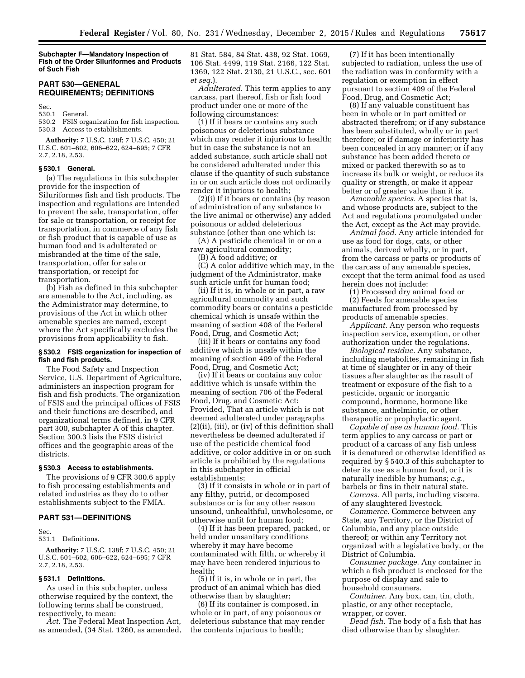**Subchapter F—Mandatory Inspection of Fish of the Order Siluriformes and Products of Such Fish** 

# **PART 530—GENERAL REQUIREMENTS; DEFINITIONS**

Sec.

# 530.1 General.

FSIS organization for fish inspection. 530.3 Access to establishments.

**Authority:** 7 U.S.C. 138f; 7 U.S.C. 450; 21 U.S.C. 601–602, 606–622, 624–695; 7 CFR 2.7, 2.18, 2.53.

# **§ 530.1 General.**

(a) The regulations in this subchapter provide for the inspection of Siluriformes fish and fish products. The inspection and regulations are intended to prevent the sale, transportation, offer for sale or transportation, or receipt for transportation, in commerce of any fish or fish product that is capable of use as human food and is adulterated or misbranded at the time of the sale, transportation, offer for sale or transportation, or receipt for transportation.

(b) Fish as defined in this subchapter are amenable to the Act, including, as the Administrator may determine, to provisions of the Act in which other amenable species are named, except where the Act specifically excludes the provisions from applicability to fish.

# **§ 530.2 FSIS organization for inspection of fish and fish products.**

The Food Safety and Inspection Service, U.S. Department of Agriculture, administers an inspection program for fish and fish products. The organization of FSIS and the principal offices of FSIS and their functions are described, and organizational terms defined, in 9 CFR part 300, subchapter A of this chapter. Section 300.3 lists the FSIS district offices and the geographic areas of the districts.

#### **§ 530.3 Access to establishments.**

The provisions of 9 CFR 300.6 apply to fish processing establishments and related industries as they do to other establishments subject to the FMIA.

# **PART 531—DEFINITIONS**

Sec.

531.1 Definitions.

**Authority:** 7 U.S.C. 138f; 7 U.S.C. 450; 21 U.S.C. 601–602, 606–622, 624–695; 7 CFR 2.7, 2.18, 2.53.

### **§ 531.1 Definitions.**

As used in this subchapter, unless otherwise required by the context, the following terms shall be construed, respectively, to mean:

*Act.* The Federal Meat Inspection Act, as amended, (34 Stat. 1260, as amended, 81 Stat. 584, 84 Stat. 438, 92 Stat. 1069, 106 Stat. 4499, 119 Stat. 2166, 122 Stat. 1369, 122 Stat. 2130, 21 U.S.C., sec. 601 *et seq.*).

*Adulterated.* This term applies to any carcass, part thereof, fish or fish food product under one or more of the following circumstances:

(1) If it bears or contains any such poisonous or deleterious substance which may render it injurious to health; but in case the substance is not an added substance, such article shall not be considered adulterated under this clause if the quantity of such substance in or on such article does not ordinarily render it injurious to health;

(2)(i) If it bears or contains (by reason of administration of any substance to the live animal or otherwise) any added poisonous or added deleterious substance (other than one which is:

(A) A pesticide chemical in or on a raw agricultural commodity;

(B) A food additive; or

(C) A color additive which may, in the judgment of the Administrator, make such article unfit for human food;

(ii) If it is, in whole or in part, a raw agricultural commodity and such commodity bears or contains a pesticide chemical which is unsafe within the meaning of section 408 of the Federal Food, Drug, and Cosmetic Act;

(iii) If it bears or contains any food additive which is unsafe within the meaning of section 409 of the Federal Food, Drug, and Cosmetic Act;

(iv) If it bears or contains any color additive which is unsafe within the meaning of section 706 of the Federal Food, Drug, and Cosmetic Act: Provided, That an article which is not deemed adulterated under paragraphs (2)(ii), (iii), or (iv) of this definition shall nevertheless be deemed adulterated if use of the pesticide chemical food additive, or color additive in or on such article is prohibited by the regulations in this subchapter in official establishments;

(3) If it consists in whole or in part of any filthy, putrid, or decomposed substance or is for any other reason unsound, unhealthful, unwholesome, or otherwise unfit for human food;

(4) If it has been prepared, packed, or held under unsanitary conditions whereby it may have become contaminated with filth, or whereby it may have been rendered injurious to health;

(5) If it is, in whole or in part, the product of an animal which has died otherwise than by slaughter;

(6) If its container is composed, in whole or in part, of any poisonous or deleterious substance that may render the contents injurious to health;

(7) If it has been intentionally subjected to radiation, unless the use of the radiation was in conformity with a regulation or exemption in effect pursuant to section 409 of the Federal Food, Drug, and Cosmetic Act;

(8) If any valuable constituent has been in whole or in part omitted or abstracted therefrom; or if any substance has been substituted, wholly or in part therefore; or if damage or inferiority has been concealed in any manner; or if any substance has been added thereto or mixed or packed therewith so as to increase its bulk or weight, or reduce its quality or strength, or make it appear better or of greater value than it is.

*Amenable species.* A species that is, and whose products are, subject to the Act and regulations promulgated under the Act, except as the Act may provide.

*Animal food.* Any article intended for use as food for dogs, cats, or other animals, derived wholly, or in part, from the carcass or parts or products of the carcass of any amenable species, except that the term animal food as used herein does not include:

(1) Processed dry animal food or (2) Feeds for amenable species manufactured from processed by products of amenable species.

*Applicant.* Any person who requests inspection service, exemption, or other authorization under the regulations.

*Biological residue.* Any substance, including metabolites, remaining in fish at time of slaughter or in any of their tissues after slaughter as the result of treatment or exposure of the fish to a pesticide, organic or inorganic compound, hormone, hormone like substance, anthelmintic, or other therapeutic or prophylactic agent.

*Capable of use as human food.* This term applies to any carcass or part or product of a carcass of any fish unless it is denatured or otherwise identified as required by § 540.3 of this subchapter to deter its use as a human food, or it is naturally inedible by humans; *e.g.,*  barbels or fins in their natural state.

*Carcass.* All parts, including viscera, of any slaughtered livestock.

*Commerce.* Commerce between any State, any Territory, or the District of Columbia, and any place outside thereof; or within any Territory not organized with a legislative body, or the District of Columbia.

*Consumer package.* Any container in which a fish product is enclosed for the purpose of display and sale to household consumers.

*Container.* Any box, can, tin, cloth, plastic, or any other receptacle, wrapper, or cover.

*Dead fish.* The body of a fish that has died otherwise than by slaughter.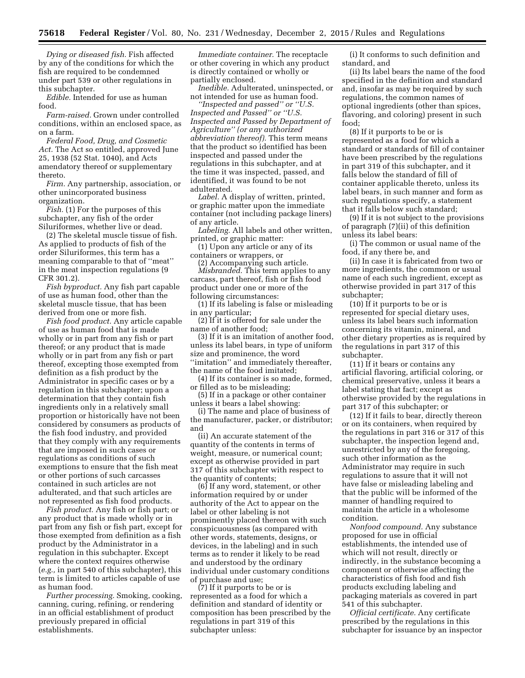*Dying or diseased fish.* Fish affected by any of the conditions for which the fish are required to be condemned under part 539 or other regulations in this subchapter.

*Edible.* Intended for use as human food.

*Farm-raised.* Grown under controlled conditions, within an enclosed space, as on a farm.

*Federal Food, Drug, and Cosmetic Act.* The Act so entitled, approved June 25, 1938 (52 Stat. 1040), and Acts amendatory thereof or supplementary thereto.

*Firm.* Any partnership, association, or other unincorporated business organization.

*Fish.* (1) For the purposes of this subchapter, any fish of the order Siluriformes, whether live or dead.

(2) The skeletal muscle tissue of fish. As applied to products of fish of the order Siluriformes, this term has a meaning comparable to that of ''meat'' in the meat inspection regulations (9 CFR 301.2).

*Fish byproduct.* Any fish part capable of use as human food, other than the skeletal muscle tissue, that has been derived from one or more fish.

*Fish food product.* Any article capable of use as human food that is made wholly or in part from any fish or part thereof; or any product that is made wholly or in part from any fish or part thereof, excepting those exempted from definition as a fish product by the Administrator in specific cases or by a regulation in this subchapter; upon a determination that they contain fish ingredients only in a relatively small proportion or historically have not been considered by consumers as products of the fish food industry, and provided that they comply with any requirements that are imposed in such cases or regulations as conditions of such exemptions to ensure that the fish meat or other portions of such carcasses contained in such articles are not adulterated, and that such articles are not represented as fish food products.

*Fish product.* Any fish or fish part; or any product that is made wholly or in part from any fish or fish part, except for those exempted from definition as a fish product by the Administrator in a regulation in this subchapter. Except where the context requires otherwise (*e.g.,* in part 540 of this subchapter), this term is limited to articles capable of use as human food.

*Further processing.* Smoking, cooking, canning, curing, refining, or rendering in an official establishment of product previously prepared in official establishments.

*Immediate container.* The receptacle or other covering in which any product is directly contained or wholly or partially enclosed.

*Inedible.* Adulterated, uninspected, or not intended for use as human food.

*''Inspected and passed'' or ''U.S. Inspected and Passed'' or ''U.S. Inspected and Passed by Department of Agriculture'' (or any authorized abbreviation thereof).* This term means that the product so identified has been inspected and passed under the regulations in this subchapter, and at the time it was inspected, passed, and identified, it was found to be not adulterated.

*Label.* A display of written, printed, or graphic matter upon the immediate container (not including package liners) of any article.

*Labeling.* All labels and other written, printed, or graphic matter:

(1) Upon any article or any of its containers or wrappers, or

(2) Accompanying such article.

*Misbranded.* This term applies to any carcass, part thereof, fish or fish food product under one or more of the following circumstances:

(1) If its labeling is false or misleading in any particular;

(2) If it is offered for sale under the name of another food;

(3) If it is an imitation of another food, unless its label bears, in type of uniform size and prominence, the word ''imitation'' and immediately thereafter, the name of the food imitated;

(4) If its container is so made, formed, or filled as to be misleading;

(5) If in a package or other container unless it bears a label showing:

(i) The name and place of business of the manufacturer, packer, or distributor; and

(ii) An accurate statement of the quantity of the contents in terms of weight, measure, or numerical count; except as otherwise provided in part 317 of this subchapter with respect to the quantity of contents;

(6) If any word, statement, or other information required by or under authority of the Act to appear on the label or other labeling is not prominently placed thereon with such conspicuousness (as compared with other words, statements, designs, or devices, in the labeling) and in such terms as to render it likely to be read and understood by the ordinary individual under customary conditions of purchase and use;

(7) If it purports to be or is represented as a food for which a definition and standard of identity or composition has been prescribed by the regulations in part 319 of this subchapter unless:

(i) It conforms to such definition and standard, and

(ii) Its label bears the name of the food specified in the definition and standard and, insofar as may be required by such regulations, the common names of optional ingredients (other than spices, flavoring, and coloring) present in such food;

(8) If it purports to be or is represented as a food for which a standard or standards of fill of container have been prescribed by the regulations in part 319 of this subchapter, and it falls below the standard of fill of container applicable thereto, unless its label bears, in such manner and form as such regulations specify, a statement that it falls below such standard;

(9) If it is not subject to the provisions of paragraph (7)(ii) of this definition unless its label bears:

(i) The common or usual name of the food, if any there be, and

(ii) In case it is fabricated from two or more ingredients, the common or usual name of each such ingredient, except as otherwise provided in part 317 of this subchapter;

(10) If it purports to be or is represented for special dietary uses, unless its label bears such information concerning its vitamin, mineral, and other dietary properties as is required by the regulations in part 317 of this subchapter.

(11) If it bears or contains any artificial flavoring, artificial coloring, or chemical preservative, unless it bears a label stating that fact; except as otherwise provided by the regulations in part 317 of this subchapter; or

(12) If it fails to bear, directly thereon or on its containers, when required by the regulations in part 316 or 317 of this subchapter, the inspection legend and, unrestricted by any of the foregoing, such other information as the Administrator may require in such regulations to assure that it will not have false or misleading labeling and that the public will be informed of the manner of handling required to maintain the article in a wholesome condition.

*Nonfood compound.* Any substance proposed for use in official establishments, the intended use of which will not result, directly or indirectly, in the substance becoming a component or otherwise affecting the characteristics of fish food and fish products excluding labeling and packaging materials as covered in part 541 of this subchapter.

*Official certificate.* Any certificate prescribed by the regulations in this subchapter for issuance by an inspector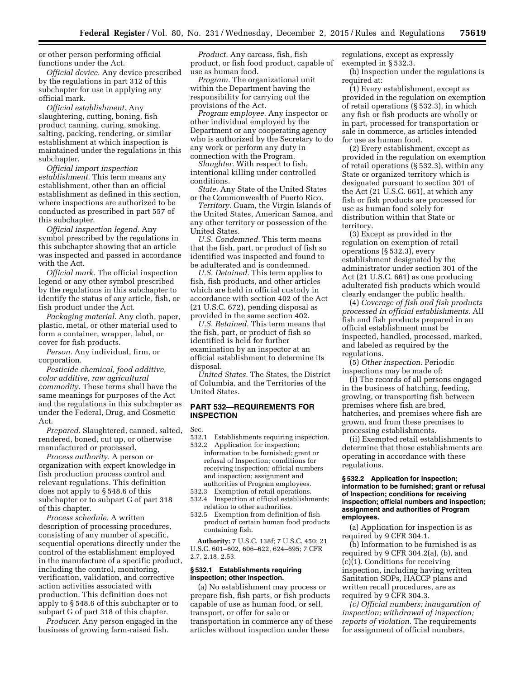or other person performing official functions under the Act.

*Official device.* Any device prescribed by the regulations in part 312 of this subchapter for use in applying any official mark.

*Official establishment.* Any slaughtering, cutting, boning, fish product canning, curing, smoking, salting, packing, rendering, or similar establishment at which inspection is maintained under the regulations in this subchapter.

*Official import inspection establishment.* This term means any establishment, other than an official establishment as defined in this section, where inspections are authorized to be conducted as prescribed in part 557 of this subchapter.

*Official inspection legend.* Any symbol prescribed by the regulations in this subchapter showing that an article was inspected and passed in accordance with the Act.

*Official mark.* The official inspection legend or any other symbol prescribed by the regulations in this subchapter to identify the status of any article, fish, or fish product under the Act.

*Packaging material.* Any cloth, paper, plastic, metal, or other material used to form a container, wrapper, label, or cover for fish products.

*Person.* Any individual, firm, or corporation.

*Pesticide chemical, food additive, color additive, raw agricultural commodity.* These terms shall have the same meanings for purposes of the Act and the regulations in this subchapter as under the Federal, Drug, and Cosmetic Act.

*Prepared.* Slaughtered, canned, salted, rendered, boned, cut up, or otherwise manufactured or processed.

*Process authority.* A person or organization with expert knowledge in fish production process control and relevant regulations. This definition does not apply to § 548.6 of this subchapter or to subpart G of part 318 of this chapter.

*Process schedule.* A written description of processing procedures, consisting of any number of specific, sequential operations directly under the control of the establishment employed in the manufacture of a specific product, including the control, monitoring, verification, validation, and corrective action activities associated with production. This definition does not apply to § 548.6 of this subchapter or to subpart G of part 318 of this chapter.

*Producer.* Any person engaged in the business of growing farm-raised fish.

*Product.* Any carcass, fish, fish product, or fish food product, capable of use as human food.

*Program.* The organizational unit within the Department having the responsibility for carrying out the provisions of the Act.

*Program employee.* Any inspector or other individual employed by the Department or any cooperating agency who is authorized by the Secretary to do any work or perform any duty in connection with the Program.

*Slaughter.* With respect to fish, intentional killing under controlled conditions.

*State.* Any State of the United States or the Commonwealth of Puerto Rico.

*Territory.* Guam, the Virgin Islands of the United States, American Samoa, and any other territory or possession of the United States.

*U.S. Condemned.* This term means that the fish, part, or product of fish so identified was inspected and found to be adulterated and is condemned.

*U.S. Detained.* This term applies to fish, fish products, and other articles which are held in official custody in accordance with section 402 of the Act (21 U.S.C. 672), pending disposal as provided in the same section 402.

*U.S. Retained.* This term means that the fish, part, or product of fish so identified is held for further examination by an inspector at an official establishment to determine its disposal.

*United States.* The States, the District of Columbia, and the Territories of the United States.

# **PART 532—REQUIREMENTS FOR INSPECTION**

Sec.

- 532.1 Establishments requiring inspection.
- 532.2 Application for inspection; information to be furnished; grant or refusal of Inspection; conditions for receiving inspection; official numbers and inspection; assignment and authorities of Program employees.
- 532.3 Exemption of retail operations.
- 532.4 Inspection at official establishments; relation to other authorities.
- 532.5 Exemption from definition of fish product of certain human food products containing fish.

**Authority:** 7 U.S.C. 138f; 7 U.S.C. 450; 21 U.S.C. 601–602, 606–622, 624–695; 7 CFR 2.7, 2.18, 2.53.

# **§ 532.1 Establishments requiring inspection; other inspection.**

(a) No establishment may process or prepare fish, fish parts, or fish products capable of use as human food, or sell, transport, or offer for sale or transportation in commerce any of these articles without inspection under these

regulations, except as expressly exempted in § 532.3.

(b) Inspection under the regulations is required at:

(1) Every establishment, except as provided in the regulation on exemption of retail operations (§ 532.3), in which any fish or fish products are wholly or in part, processed for transportation or sale in commerce, as articles intended for use as human food.

(2) Every establishment, except as provided in the regulation on exemption of retail operations (§ 532.3), within any State or organized territory which is designated pursuant to section 301 of the Act (21 U.S.C. 661), at which any fish or fish products are processed for use as human food solely for distribution within that State or territory.

(3) Except as provided in the regulation on exemption of retail operations (§ 532.3), every establishment designated by the administrator under section 301 of the Act (21 U.S.C. 661) as one producing adulterated fish products which would clearly endanger the public health.

(4) *Coverage of fish and fish products processed in official establishments.* All fish and fish products prepared in an official establishment must be inspected, handled, processed, marked, and labeled as required by the regulations.

(5) *Other inspection.* Periodic inspections may be made of:

(i) The records of all persons engaged in the business of hatching, feeding, growing, or transporting fish between premises where fish are bred, hatcheries, and premises where fish are grown, and from these premises to processing establishments.

(ii) Exempted retail establishments to determine that those establishments are operating in accordance with these regulations.

# **§ 532.2 Application for inspection; information to be furnished; grant or refusal of Inspection; conditions for receiving inspection; official numbers and inspection; assignment and authorities of Program employees.**

(a) Application for inspection is as required by 9 CFR 304.1.

(b) Information to be furnished is as required by 9 CFR 304.2(a), (b), and (c)(1). Conditions for receiving inspection, including having written Sanitation SOPs, HACCP plans and written recall procedures, are as required by 9 CFR 304.3.

*(c) Official numbers; inauguration of inspection; withdrawal of inspection; reports of violation.* The requirements for assignment of official numbers,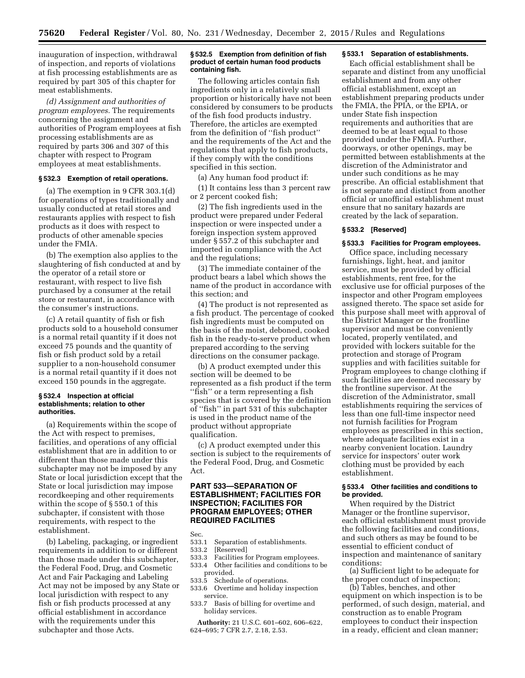inauguration of inspection, withdrawal of inspection, and reports of violations at fish processing establishments are as required by part 305 of this chapter for meat establishments.

*(d) Assignment and authorities of program employees.* The requirements concerning the assignment and authorities of Program employees at fish processing establishments are as required by parts 306 and 307 of this chapter with respect to Program employees at meat establishments.

# **§ 532.3 Exemption of retail operations.**

(a) The exemption in 9 CFR 303.1(d) for operations of types traditionally and usually conducted at retail stores and restaurants applies with respect to fish products as it does with respect to products of other amenable species under the FMIA.

(b) The exemption also applies to the slaughtering of fish conducted at and by the operator of a retail store or restaurant, with respect to live fish purchased by a consumer at the retail store or restaurant, in accordance with the consumer's instructions.

(c) A retail quantity of fish or fish products sold to a household consumer is a normal retail quantity if it does not exceed 75 pounds and the quantity of fish or fish product sold by a retail supplier to a non-household consumer is a normal retail quantity if it does not exceed 150 pounds in the aggregate.

# **§ 532.4 Inspection at official establishments; relation to other authorities.**

(a) Requirements within the scope of the Act with respect to premises, facilities, and operations of any official establishment that are in addition to or different than those made under this subchapter may not be imposed by any State or local jurisdiction except that the State or local jurisdiction may impose recordkeeping and other requirements within the scope of § 550.1 of this subchapter, if consistent with those requirements, with respect to the establishment.

(b) Labeling, packaging, or ingredient requirements in addition to or different than those made under this subchapter, the Federal Food, Drug, and Cosmetic Act and Fair Packaging and Labeling Act may not be imposed by any State or local jurisdiction with respect to any fish or fish products processed at any official establishment in accordance with the requirements under this subchapter and those Acts.

#### **§ 532.5 Exemption from definition of fish product of certain human food products containing fish.**

The following articles contain fish ingredients only in a relatively small proportion or historically have not been considered by consumers to be products of the fish food products industry. Therefore, the articles are exempted from the definition of ''fish product'' and the requirements of the Act and the regulations that apply to fish products, if they comply with the conditions specified in this section.

(a) Any human food product if:

(1) It contains less than 3 percent raw or 2 percent cooked fish;

(2) The fish ingredients used in the product were prepared under Federal inspection or were inspected under a foreign inspection system approved under § 557.2 of this subchapter and imported in compliance with the Act and the regulations;

(3) The immediate container of the product bears a label which shows the name of the product in accordance with this section; and

(4) The product is not represented as a fish product. The percentage of cooked fish ingredients must be computed on the basis of the moist, deboned, cooked fish in the ready-to-serve product when prepared according to the serving directions on the consumer package.

(b) A product exempted under this section will be deemed to be represented as a fish product if the term "fish" or a term representing a fish species that is covered by the definition of ''fish'' in part 531 of this subchapter is used in the product name of the product without appropriate qualification.

(c) A product exempted under this section is subject to the requirements of the Federal Food, Drug, and Cosmetic Act.

# **PART 533—SEPARATION OF ESTABLISHMENT; FACILITIES FOR INSPECTION; FACILITIES FOR PROGRAM EMPLOYEES; OTHER REQUIRED FACILITIES**

Sec.

- 533.1 Separation of establishments.
- 533.2 [Reserved]
- 533.3 Facilities for Program employees.<br>533.4 Other facilities and conditions to Other facilities and conditions to be
- provided.
- 533.5 Schedule of operations.
- 533.6 Overtime and holiday inspection service.
- 533.7 Basis of billing for overtime and holiday services.

**Authority:** 21 U.S.C. 601–602, 606–622, 624–695; 7 CFR 2.7, 2.18, 2.53.

# **§ 533.1 Separation of establishments.**

Each official establishment shall be separate and distinct from any unofficial establishment and from any other official establishment, except an establishment preparing products under the FMIA, the PPIA, or the EPIA, or under State fish inspection requirements and authorities that are deemed to be at least equal to those provided under the FMIA. Further, doorways, or other openings, may be permitted between establishments at the discretion of the Administrator and under such conditions as he may prescribe. An official establishment that is not separate and distinct from another official or unofficial establishment must ensure that no sanitary hazards are created by the lack of separation.

# **§ 533.2 [Reserved]**

### **§ 533.3 Facilities for Program employees.**

Office space, including necessary furnishings, light, heat, and janitor service, must be provided by official establishments, rent free, for the exclusive use for official purposes of the inspector and other Program employees assigned thereto. The space set aside for this purpose shall meet with approval of the District Manager or the frontline supervisor and must be conveniently located, properly ventilated, and provided with lockers suitable for the protection and storage of Program supplies and with facilities suitable for Program employees to change clothing if such facilities are deemed necessary by the frontline supervisor. At the discretion of the Administrator, small establishments requiring the services of less than one full-time inspector need not furnish facilities for Program employees as prescribed in this section, where adequate facilities exist in a nearby convenient location. Laundry service for inspectors' outer work clothing must be provided by each establishment.

# **§ 533.4 Other facilities and conditions to be provided.**

When required by the District Manager or the frontline supervisor, each official establishment must provide the following facilities and conditions, and such others as may be found to be essential to efficient conduct of inspection and maintenance of sanitary conditions:

(a) Sufficient light to be adequate for the proper conduct of inspection;

(b) Tables, benches, and other equipment on which inspection is to be performed, of such design, material, and construction as to enable Program employees to conduct their inspection in a ready, efficient and clean manner;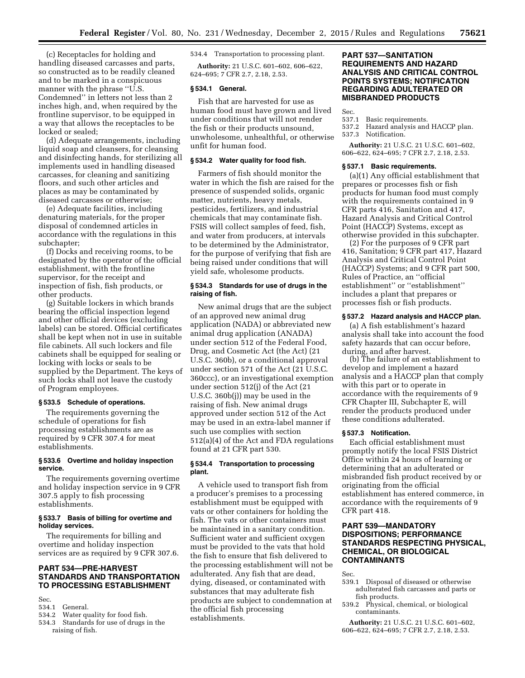(c) Receptacles for holding and handling diseased carcasses and parts, so constructed as to be readily cleaned and to be marked in a conspicuous manner with the phrase ''U.S. Condemned'' in letters not less than 2 inches high, and, when required by the frontline supervisor, to be equipped in a way that allows the receptacles to be locked or sealed;

(d) Adequate arrangements, including liquid soap and cleansers, for cleansing and disinfecting hands, for sterilizing all implements used in handling diseased carcasses, for cleaning and sanitizing floors, and such other articles and places as may be contaminated by diseased carcasses or otherwise;

(e) Adequate facilities, including denaturing materials, for the proper disposal of condemned articles in accordance with the regulations in this subchapter;

(f) Docks and receiving rooms, to be designated by the operator of the official establishment, with the frontline supervisor, for the receipt and inspection of fish, fish products, or other products.

(g) Suitable lockers in which brands bearing the official inspection legend and other official devices (excluding labels) can be stored. Official certificates shall be kept when not in use in suitable file cabinets. All such lockers and file cabinets shall be equipped for sealing or locking with locks or seals to be supplied by the Department. The keys of such locks shall not leave the custody of Program employees.

# **§ 533.5 Schedule of operations.**

The requirements governing the schedule of operations for fish processing establishments are as required by 9 CFR 307.4 for meat establishments.

# **§ 533.6 Overtime and holiday inspection service.**

The requirements governing overtime and holiday inspection service in 9 CFR 307.5 apply to fish processing establishments.

# **§ 533.7 Basis of billing for overtime and holiday services.**

The requirements for billing and overtime and holiday inspection services are as required by 9 CFR 307.6.

# **PART 534—PRE-HARVEST STANDARDS AND TRANSPORTATION TO PROCESSING ESTABLISHMENT**

Sec.<br>534.1

- 534.1 General.<br>534.2 Water ou
- Water quality for food fish.
- 534.3 Standards for use of drugs in the raising of fish.

534.4 Transportation to processing plant.

**Authority:** 21 U.S.C. 601–602, 606–622, 624–695; 7 CFR 2.7, 2.18, 2.53.

# **§ 534.1 General.**

Fish that are harvested for use as human food must have grown and lived under conditions that will not render the fish or their products unsound, unwholesome, unhealthful, or otherwise unfit for human food.

# **§ 534.2 Water quality for food fish.**

Farmers of fish should monitor the water in which the fish are raised for the presence of suspended solids, organic matter, nutrients, heavy metals, pesticides, fertilizers, and industrial chemicals that may contaminate fish. FSIS will collect samples of feed, fish, and water from producers, at intervals to be determined by the Administrator, for the purpose of verifying that fish are being raised under conditions that will yield safe, wholesome products.

# **§ 534.3 Standards for use of drugs in the raising of fish.**

New animal drugs that are the subject of an approved new animal drug application (NADA) or abbreviated new animal drug application (ANADA) under section 512 of the Federal Food, Drug, and Cosmetic Act (the Act) (21 U.S.C. 360b), or a conditional approval under section 571 of the Act (21 U.S.C. 360ccc), or an investigational exemption under section 512(j) of the Act (21 U.S.C. 360b(j)) may be used in the raising of fish. New animal drugs approved under section 512 of the Act may be used in an extra-label manner if such use complies with section 512(a)(4) of the Act and FDA regulations found at 21 CFR part 530.

# **§ 534.4 Transportation to processing plant.**

A vehicle used to transport fish from a producer's premises to a processing establishment must be equipped with vats or other containers for holding the fish. The vats or other containers must be maintained in a sanitary condition. Sufficient water and sufficient oxygen must be provided to the vats that hold the fish to ensure that fish delivered to the processing establishment will not be adulterated. Any fish that are dead, dying, diseased, or contaminated with substances that may adulterate fish products are subject to condemnation at the official fish processing establishments.

# **PART 537—SANITATION REQUIREMENTS AND HAZARD ANALYSIS AND CRITICAL CONTROL POINTS SYSTEMS; NOTIFICATION REGARDING ADULTERATED OR MISBRANDED PRODUCTS**

Sec.

- 537.1 Basic requirements.<br>537.2 Hazard analysis and
- Hazard analysis and HACCP plan.
- 537.3 Notification.

**Authority:** 21 U.S.C. 21 U.S.C. 601–602, 606–622, 624–695; 7 CFR 2.7, 2.18, 2.53.

#### **§ 537.1 Basic requirements.**

(a)(1) Any official establishment that prepares or processes fish or fish products for human food must comply with the requirements contained in 9 CFR parts 416, Sanitation and 417, Hazard Analysis and Critical Control Point (HACCP) Systems, except as otherwise provided in this subchapter.

(2) For the purposes of 9 CFR part 416, Sanitation; 9 CFR part 417, Hazard Analysis and Critical Control Point (HACCP) Systems; and 9 CFR part 500, Rules of Practice, an ''official establishment'' or ''establishment'' includes a plant that prepares or processes fish or fish products.

#### **§ 537.2 Hazard analysis and HACCP plan.**

(a) A fish establishment's hazard analysis shall take into account the food safety hazards that can occur before, during, and after harvest.

(b) The failure of an establishment to develop and implement a hazard analysis and a HACCP plan that comply with this part or to operate in accordance with the requirements of 9 CFR Chapter III, Subchapter E, will render the products produced under these conditions adulterated.

#### **§ 537.3 Notification.**

Each official establishment must promptly notify the local FSIS District Office within 24 hours of learning or determining that an adulterated or misbranded fish product received by or originating from the official establishment has entered commerce, in accordance with the requirements of 9 CFR part 418.

# **PART 539—MANDATORY DISPOSITIONS; PERFORMANCE STANDARDS RESPECTING PHYSICAL, CHEMICAL, OR BIOLOGICAL CONTAMINANTS**

Sec.

- 539.1 Disposal of diseased or otherwise adulterated fish carcasses and parts or fish products.
- 539.2 Physical, chemical, or biological contaminants.

**Authority:** 21 U.S.C. 21 U.S.C. 601–602, 606–622, 624–695; 7 CFR 2.7, 2.18, 2.53.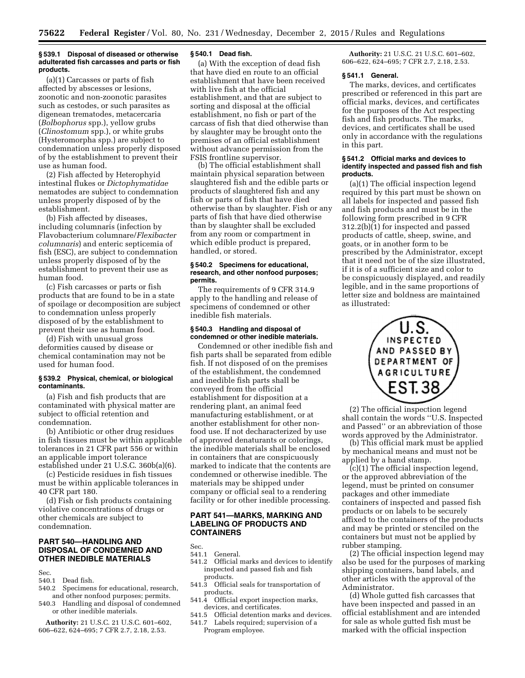#### **§ 539.1 Disposal of diseased or otherwise adulterated fish carcasses and parts or fish products.**

(a)(1) Carcasses or parts of fish affected by abscesses or lesions, zoonotic and non-zoonotic parasites such as cestodes, or such parasites as digenean trematodes, metacercaria (*Bolbophorus* spp.), yellow grubs (*Clinostomum* spp.), or white grubs (Hysteromorpha spp.) are subject to condemnation unless properly disposed of by the establishment to prevent their use as human food.

(2) Fish affected by Heterophyid intestinal flukes or *Dictophymatidae*  nematodes are subject to condemnation unless properly disposed of by the establishment.

(b) Fish affected by diseases, including columnaris (infection by Flavobacterium columnare/*Flexibacter columnaris*) and enteric septicemia of fish (ESC), are subject to condemnation unless properly disposed of by the establishment to prevent their use as human food.

(c) Fish carcasses or parts or fish products that are found to be in a state of spoilage or decomposition are subject to condemnation unless properly disposed of by the establishment to prevent their use as human food.

(d) Fish with unusual gross deformities caused by disease or chemical contamination may not be used for human food.

# **§ 539.2 Physical, chemical, or biological contaminants.**

(a) Fish and fish products that are contaminated with physical matter are subject to official retention and condemnation.

(b) Antibiotic or other drug residues in fish tissues must be within applicable tolerances in 21 CFR part 556 or within an applicable import tolerance established under 21 U.S.C. 360b(a)(6).

(c) Pesticide residues in fish tissues must be within applicable tolerances in 40 CFR part 180.

(d) Fish or fish products containing violative concentrations of drugs or other chemicals are subject to condemnation.

# **PART 540—HANDLING AND DISPOSAL OF CONDEMNED AND OTHER INEDIBLE MATERIALS**

Sec.

- 540.1 Dead fish.
- 540.2 Specimens for educational, research, and other nonfood purposes; permits.
- 540.3 Handling and disposal of condemned or other inedible materials.

**Authority:** 21 U.S.C. 21 U.S.C. 601–602, 606–622, 624–695; 7 CFR 2.7, 2.18, 2.53.

# **§ 540.1 Dead fish.**

(a) With the exception of dead fish that have died en route to an official establishment that have been received with live fish at the official establishment, and that are subject to sorting and disposal at the official establishment, no fish or part of the carcass of fish that died otherwise than by slaughter may be brought onto the premises of an official establishment without advance permission from the FSIS frontline supervisor.

(b) The official establishment shall maintain physical separation between slaughtered fish and the edible parts or products of slaughtered fish and any fish or parts of fish that have died otherwise than by slaughter. Fish or any parts of fish that have died otherwise than by slaughter shall be excluded from any room or compartment in which edible product is prepared, handled, or stored.

# **§ 540.2 Specimens for educational, research, and other nonfood purposes; permits.**

The requirements of 9 CFR 314.9 apply to the handling and release of specimens of condemned or other inedible fish materials.

# **§ 540.3 Handling and disposal of condemned or other inedible materials.**

Condemned or other inedible fish and fish parts shall be separated from edible fish. If not disposed of on the premises of the establishment, the condemned and inedible fish parts shall be conveyed from the official establishment for disposition at a rendering plant, an animal feed manufacturing establishment, or at another establishment for other nonfood use. If not decharacterized by use of approved denaturants or colorings, the inedible materials shall be enclosed in containers that are conspicuously marked to indicate that the contents are condemned or otherwise inedible. The materials may be shipped under company or official seal to a rendering facility or for other inedible processing.

# **PART 541—MARKS, MARKING AND LABELING OF PRODUCTS AND CONTAINERS**

Sec. 541.1 General.

- 541.2 Official marks and devices to identify inspected and passed fish and fish products.
- 541.3 Official seals for transportation of products.
- 541.4 Official export inspection marks, devices, and certificates.
- 541.5 Official detention marks and devices. 541.7 Labels required; supervision of a Program employee.

**Authority:** 21 U.S.C. 21 U.S.C. 601–602, 606–622, 624–695; 7 CFR 2.7, 2.18, 2.53.

# **§ 541.1 General.**

The marks, devices, and certificates prescribed or referenced in this part are official marks, devices, and certificates for the purposes of the Act respecting fish and fish products. The marks, devices, and certificates shall be used only in accordance with the regulations in this part.

#### **§ 541.2 Official marks and devices to identify inspected and passed fish and fish products.**

(a)(1) The official inspection legend required by this part must be shown on all labels for inspected and passed fish and fish products and must be in the following form prescribed in 9 CFR 312.2(b)(1) for inspected and passed products of cattle, sheep, swine, and goats, or in another form to be prescribed by the Administrator, except that it need not be of the size illustrated, if it is of a sufficient size and color to be conspicuously displayed, and readily legible, and in the same proportions of letter size and boldness are maintained as illustrated:



(2) The official inspection legend shall contain the words ''U.S. Inspected and Passed'' or an abbreviation of those words approved by the Administrator.

(b) This official mark must be applied by mechanical means and must not be applied by a hand stamp.

(c)(1) The official inspection legend, or the approved abbreviation of the legend, must be printed on consumer packages and other immediate containers of inspected and passed fish products or on labels to be securely affixed to the containers of the products and may be printed or stenciled on the containers but must not be applied by rubber stamping.

(2) The official inspection legend may also be used for the purposes of marking shipping containers, band labels, and other articles with the approval of the Administrator.

(d) Whole gutted fish carcasses that have been inspected and passed in an official establishment and are intended for sale as whole gutted fish must be marked with the official inspection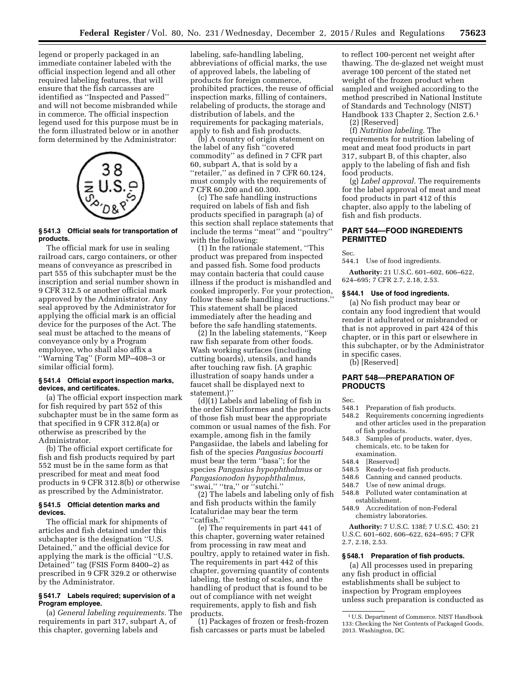legend or properly packaged in an immediate container labeled with the official inspection legend and all other required labeling features, that will ensure that the fish carcasses are identified as ''Inspected and Passed'' and will not become misbranded while in commerce. The official inspection legend used for this purpose must be in the form illustrated below or in another form determined by the Administrator:



# **§ 541.3 Official seals for transportation of products.**

The official mark for use in sealing railroad cars, cargo containers, or other means of conveyance as prescribed in part 555 of this subchapter must be the inscription and serial number shown in 9 CFR 312.5 or another official mark approved by the Administrator. Any seal approved by the Administrator for applying the official mark is an official device for the purposes of the Act. The seal must be attached to the means of conveyance only by a Program employee, who shall also affix a ''Warning Tag'' (Form MP–408–3 or similar official form).

## **§ 541.4 Official export inspection marks, devices, and certificates.**

(a) The official export inspection mark for fish required by part 552 of this subchapter must be in the same form as that specified in 9 CFR 312.8(a) or otherwise as prescribed by the Administrator.

(b) The official export certificate for fish and fish products required by part 552 must be in the same form as that prescribed for meat and meat food products in 9 CFR 312.8(b) or otherwise as prescribed by the Administrator.

#### **§ 541.5 Official detention marks and devices.**

The official mark for shipments of articles and fish detained under this subchapter is the designation ''U.S. Detained,'' and the official device for applying the mark is the official ''U.S. Detained'' tag (FSIS Form 8400–2) as prescribed in 9 CFR 329.2 or otherwise by the Administrator.

# **§ 541.7 Labels required; supervision of a Program employee.**

(a) *General labeling requirements.* The requirements in part 317, subpart A, of this chapter, governing labels and

labeling, safe-handling labeling, abbreviations of official marks, the use of approved labels, the labeling of products for foreign commerce, prohibited practices, the reuse of official inspection marks, filling of containers, relabeling of products, the storage and distribution of labels, and the requirements for packaging materials, apply to fish and fish products.

(b) A country of origin statement on the label of any fish ''covered commodity'' as defined in 7 CFR part 60, subpart A, that is sold by a ''retailer,'' as defined in 7 CFR 60.124, must comply with the requirements of 7 CFR 60.200 and 60.300.

(c) The safe handling instructions required on labels of fish and fish products specified in paragraph (a) of this section shall replace statements that include the terms ''meat'' and ''poultry'' with the following:

(1) In the rationale statement, ''This product was prepared from inspected and passed fish. Some food products may contain bacteria that could cause illness if the product is mishandled and cooked improperly. For your protection, follow these safe handling instructions.'' This statement shall be placed immediately after the heading and before the safe handling statements.

(2) In the labeling statements, ''Keep raw fish separate from other foods. Wash working surfaces (including cutting boards), utensils, and hands after touching raw fish. (A graphic illustration of soapy hands under a faucet shall be displayed next to statement.)''

(d)(1) Labels and labeling of fish in the order Siluriformes and the products of those fish must bear the appropriate common or usual names of the fish. For example, among fish in the family Pangasiidae, the labels and labeling for fish of the species *Pangasius bocourti*  must bear the term ''basa''; for the species *Pangasius hypophthalmus* or *Pangasionodon hypophthalmus,*  "swai," "tra," or "sutchi."

(2) The labels and labeling only of fish and fish products within the family Icataluridae may bear the term ''catfish.''

(e) The requirements in part 441 of this chapter, governing water retained from processing in raw meat and poultry, apply to retained water in fish. The requirements in part 442 of this chapter, governing quantity of contents labeling, the testing of scales, and the handling of product that is found to be out of compliance with net weight requirements, apply to fish and fish products.

(1) Packages of frozen or fresh-frozen fish carcasses or parts must be labeled

to reflect 100-percent net weight after thawing. The de-glazed net weight must average 100 percent of the stated net weight of the frozen product when sampled and weighed according to the method prescribed in National Institute of Standards and Technology (NIST) Handbook 133 Chapter 2, Section 2.6.1

(2) [Reserved]

(f) *Nutrition labeling.* The requirements for nutrition labeling of meat and meat food products in part 317, subpart B, of this chapter, also apply to the labeling of fish and fish food products.

(g) *Label approval.* The requirements for the label approval of meat and meat food products in part 412 of this chapter, also apply to the labeling of fish and fish products.

# **PART 544—FOOD INGREDIENTS PERMITTED**

Sec.

544.1 Use of food ingredients.

**Authority:** 21 U.S.C. 601–602, 606–622, 624–695; 7 CFR 2.7, 2.18, 2.53.

# **§ 544.1 Use of food ingredients.**

(a) No fish product may bear or contain any food ingredient that would render it adulterated or misbranded or that is not approved in part 424 of this chapter, or in this part or elsewhere in this subchapter, or by the Administrator in specific cases.

(b) [Reserved]

# **PART 548—PREPARATION OF PRODUCTS**

Sec.

- 548.1 Preparation of fish products.
- 548.2 Requirements concerning ingredients and other articles used in the preparation of fish products.
- 548.3 Samples of products, water, dyes, chemicals, etc. to be taken for
- examination.<br>548.4 Reserved
- [Reserved]
- 548.5 Ready-to-eat fish products.
- 548.6 Canning and canned products.
- 548.7 Use of new animal drugs.<br>548.8 Polluted water contamina
- Polluted water contamination at establishment.
- 548.9 Accreditation of non-Federal chemistry laboratories.

**Authority:** 7 U.S.C. 138f; 7 U.S.C. 450; 21 U.S.C. 601–602, 606–622, 624–695; 7 CFR 2.7, 2.18, 2.53.

### **§ 548.1 Preparation of fish products.**

(a) All processes used in preparing any fish product in official establishments shall be subject to inspection by Program employees unless such preparation is conducted as

<sup>1</sup>U.S. Department of Commerce. NIST Handbook 133: Checking the Net Contents of Packaged Goods, 2013. Washington, DC.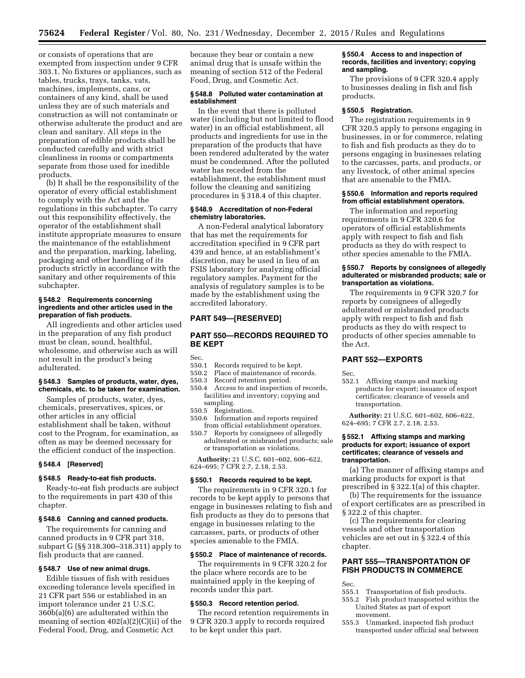or consists of operations that are exempted from inspection under 9 CFR 303.1. No fixtures or appliances, such as tables, trucks, trays, tanks, vats, machines, implements, cans, or containers of any kind, shall be used unless they are of such materials and construction as will not contaminate or otherwise adulterate the product and are clean and sanitary. All steps in the preparation of edible products shall be conducted carefully and with strict cleanliness in rooms or compartments separate from those used for inedible products.

(b) It shall be the responsibility of the operator of every official establishment to comply with the Act and the regulations in this subchapter. To carry out this responsibility effectively, the operator of the establishment shall institute appropriate measures to ensure the maintenance of the establishment and the preparation, marking, labeling, packaging and other handling of its products strictly in accordance with the sanitary and other requirements of this subchapter.

#### **§ 548.2 Requirements concerning ingredients and other articles used in the preparation of fish products.**

All ingredients and other articles used in the preparation of any fish product must be clean, sound, healthful, wholesome, and otherwise such as will not result in the product's being adulterated.

# **§ 548.3 Samples of products, water, dyes, chemicals, etc. to be taken for examination.**

Samples of products, water, dyes, chemicals, preservatives, spices, or other articles in any official establishment shall be taken, without cost to the Program, for examination, as often as may be deemed necessary for the efficient conduct of the inspection.

# **§ 548.4 [Reserved]**

# **§ 548.5 Ready-to-eat fish products.**

Ready-to-eat fish products are subject to the requirements in part 430 of this chapter.

#### **§ 548.6 Canning and canned products.**

The requirements for canning and canned products in 9 CFR part 318, subpart G (§§ 318.300–318.311) apply to fish products that are canned.

#### **§ 548.7 Use of new animal drugs.**

Edible tissues of fish with residues exceeding tolerance levels specified in 21 CFR part 556 or established in an import tolerance under 21 U.S.C. 360b(a)(6) are adulterated within the meaning of section 402(a)(2)(C)(ii) of the Federal Food, Drug, and Cosmetic Act

because they bear or contain a new animal drug that is unsafe within the meaning of section 512 of the Federal Food, Drug, and Cosmetic Act.

# **§ 548.8 Polluted water contamination at establishment**

In the event that there is polluted water (including but not limited to flood water) in an official establishment, all products and ingredients for use in the preparation of the products that have been rendered adulterated by the water must be condemned. After the polluted water has receded from the establishment, the establishment must follow the cleaning and sanitizing procedures in § 318.4 of this chapter.

#### **§ 548.9 Accreditation of non-Federal chemistry laboratories.**

A non-Federal analytical laboratory that has met the requirements for accreditation specified in 9 CFR part 439 and hence, at an establishment's discretion, may be used in lieu of an FSIS laboratory for analyzing official regulatory samples. Payment for the analysis of regulatory samples is to be made by the establishment using the accredited laboratory.

# **PART 549—[RESERVED]**

# **PART 550—RECORDS REQUIRED TO BE KEPT**

### Sec.<br>550.1 Records required to be kept.

- 550.2 Place of maintenance of records.
- 550.3 Record retention period.
- 550.4 Access to and inspection of records, facilities and inventory; copying and sampling.<br>550.5 Registı
- Registration.
- 550.6 Information and reports required from official establishment operators.<br>550.7 Reports by consignees of allegedly
- 550.7 Reports by consignees of allegedly adulterated or misbranded products; sale or transportation as violations.

**Authority:** 21 U.S.C. 601–602, 606–622, 624–695; 7 CFR 2.7, 2.18, 2.53.

#### **§ 550.1 Records required to be kept.**

The requirements in 9 CFR 320.1 for records to be kept apply to persons that engage in businesses relating to fish and fish products as they do to persons that engage in businesses relating to the carcasses, parts, or products of other species amenable to the FMIA.

#### **§ 550.2 Place of maintenance of records.**

The requirements in 9 CFR 320.2 for the place where records are to be maintained apply in the keeping of records under this part.

# **§ 550.3 Record retention period.**

The record retention requirements in 9 CFR 320.3 apply to records required to be kept under this part.

# **§ 550.4 Access to and inspection of records, facilities and inventory; copying and sampling.**

The provisions of 9 CFR 320.4 apply to businesses dealing in fish and fish products.

#### **§ 550.5 Registration.**

The registration requirements in 9 CFR 320.5 apply to persons engaging in businesses, in or for commerce, relating to fish and fish products as they do to persons engaging in businesses relating to the carcasses, parts, and products, or any livestock, of other animal species that are amenable to the FMIA.

#### **§ 550.6 Information and reports required from official establishment operators.**

The information and reporting requirements in 9 CFR 320.6 for operators of official establishments apply with respect to fish and fish products as they do with respect to other species amenable to the FMIA.

# **§ 550.7 Reports by consignees of allegedly adulterated or misbranded products; sale or transportation as violations.**

The requirements in 9 CFR 320.7 for reports by consignees of allegedly adulterated or misbranded products apply with respect to fish and fish products as they do with respect to products of other species amenable to the Act.

# **PART 552—EXPORTS**

Sec.

552.1 Affixing stamps and marking products for export; issuance of export certificates; clearance of vessels and transportation.

**Authority:** 21 U.S.C. 601–602, 606–622, 624–695; 7 CFR 2.7, 2.18, 2.53.

#### **§ 552.1 Affixing stamps and marking products for export; issuance of export certificates; clearance of vessels and transportation.**

(a) The manner of affixing stamps and marking products for export is that prescribed in § 322.1(a) of this chapter.

(b) The requirements for the issuance of export certificates are as prescribed in § 322.2 of this chapter.

(c) The requirements for clearing vessels and other transportation vehicles are set out in § 322.4 of this chapter.

# **PART 555—TRANSPORTATION OF FISH PRODUCTS IN COMMERCE**

Sec.

- 555.1 Transportation of fish products.
- 555.2 Fish product transported within the United States as part of export movement.
- 555.3 Unmarked, inspected fish product transported under official seal between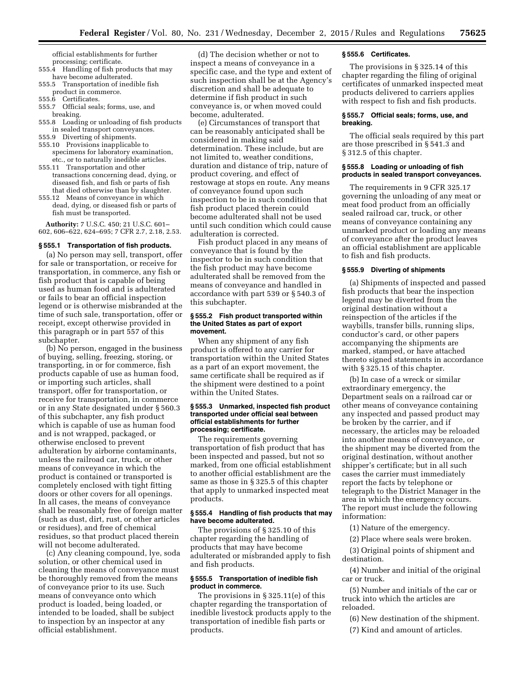official establishments for further processing; certificate.

- 555.4 Handling of fish products that may have become adulterated.
- 555.5 Transportation of inedible fish product in commerce.<br>555.6 Certificates.
- Certificates.
- 555.7 Official seals; forms, use, and
- breaking. 555.8 Loading or unloading of fish products
- in sealed transport conveyances.
- 555.9 Diverting of shipments.
- 555.10 Provisions inapplicable to specimens for laboratory examination,
- etc., or to naturally inedible articles. 555.11 Transportation and other transactions concerning dead, dying, or diseased fish, and fish or parts of fish that died otherwise than by slaughter.
- 555.12 Means of conveyance in which dead, dying, or diseased fish or parts of fish must be transported.

**Authority:** 7 U.S.C. 450; 21 U.S.C. 601– 602, 606–622, 624–695; 7 CFR 2.7, 2.18, 2.53.

#### **§ 555.1 Transportation of fish products.**

(a) No person may sell, transport, offer for sale or transportation, or receive for transportation, in commerce, any fish or fish product that is capable of being used as human food and is adulterated or fails to bear an official inspection legend or is otherwise misbranded at the time of such sale, transportation, offer or receipt, except otherwise provided in this paragraph or in part 557 of this subchapter.

(b) No person, engaged in the business of buying, selling, freezing, storing, or transporting, in or for commerce, fish products capable of use as human food, or importing such articles, shall transport, offer for transportation, or receive for transportation, in commerce or in any State designated under § 560.3 of this subchapter, any fish product which is capable of use as human food and is not wrapped, packaged, or otherwise enclosed to prevent adulteration by airborne contaminants, unless the railroad car, truck, or other means of conveyance in which the product is contained or transported is completely enclosed with tight fitting doors or other covers for all openings. In all cases, the means of conveyance shall be reasonably free of foreign matter (such as dust, dirt, rust, or other articles or residues), and free of chemical residues, so that product placed therein will not become adulterated.

(c) Any cleaning compound, lye, soda solution, or other chemical used in cleaning the means of conveyance must be thoroughly removed from the means of conveyance prior to its use. Such means of conveyance onto which product is loaded, being loaded, or intended to be loaded, shall be subject to inspection by an inspector at any official establishment.

(d) The decision whether or not to inspect a means of conveyance in a specific case, and the type and extent of such inspection shall be at the Agency's discretion and shall be adequate to determine if fish product in such conveyance is, or when moved could become, adulterated.

(e) Circumstances of transport that can be reasonably anticipated shall be considered in making said determination. These include, but are not limited to, weather conditions, duration and distance of trip, nature of product covering, and effect of restowage at stops en route. Any means of conveyance found upon such inspection to be in such condition that fish product placed therein could become adulterated shall not be used until such condition which could cause adulteration is corrected.

Fish product placed in any means of conveyance that is found by the inspector to be in such condition that the fish product may have become adulterated shall be removed from the means of conveyance and handled in accordance with part 539 or § 540.3 of this subchapter.

#### **§ 555.2 Fish product transported within the United States as part of export movement.**

When any shipment of any fish product is offered to any carrier for transportation within the United States as a part of an export movement, the same certificate shall be required as if the shipment were destined to a point within the United States.

#### **§ 555.3 Unmarked, inspected fish product transported under official seal between official establishments for further processing; certificate.**

The requirements governing transportation of fish product that has been inspected and passed, but not so marked, from one official establishment to another official establishment are the same as those in § 325.5 of this chapter that apply to unmarked inspected meat products.

### **§ 555.4 Handling of fish products that may have become adulterated.**

The provisions of § 325.10 of this chapter regarding the handling of products that may have become adulterated or misbranded apply to fish and fish products.

# **§ 555.5 Transportation of inedible fish product in commerce.**

The provisions in § 325.11(e) of this chapter regarding the transportation of inedible livestock products apply to the transportation of inedible fish parts or products.

# **§ 555.6 Certificates.**

The provisions in § 325.14 of this chapter regarding the filing of original certificates of unmarked inspected meat products delivered to carriers applies with respect to fish and fish products.

# **§ 555.7 Official seals; forms, use, and breaking.**

The official seals required by this part are those prescribed in § 541.3 and § 312.5 of this chapter.

# **§ 555.8 Loading or unloading of fish products in sealed transport conveyances.**

The requirements in 9 CFR 325.17 governing the unloading of any meat or meat food product from an officially sealed railroad car, truck, or other means of conveyance containing any unmarked product or loading any means of conveyance after the product leaves an official establishment are applicable to fish and fish products.

#### **§ 555.9 Diverting of shipments**

(a) Shipments of inspected and passed fish products that bear the inspection legend may be diverted from the original destination without a reinspection of the articles if the waybills, transfer bills, running slips, conductor's card, or other papers accompanying the shipments are marked, stamped, or have attached thereto signed statements in accordance with § 325.15 of this chapter.

(b) In case of a wreck or similar extraordinary emergency, the Department seals on a railroad car or other means of conveyance containing any inspected and passed product may be broken by the carrier, and if necessary, the articles may be reloaded into another means of conveyance, or the shipment may be diverted from the original destination, without another shipper's certificate; but in all such cases the carrier must immediately report the facts by telephone or telegraph to the District Manager in the area in which the emergency occurs. The report must include the following information:

(1) Nature of the emergency.

(2) Place where seals were broken.

(3) Original points of shipment and destination.

(4) Number and initial of the original car or truck.

(5) Number and initials of the car or truck into which the articles are reloaded.

(6) New destination of the shipment.

(7) Kind and amount of articles.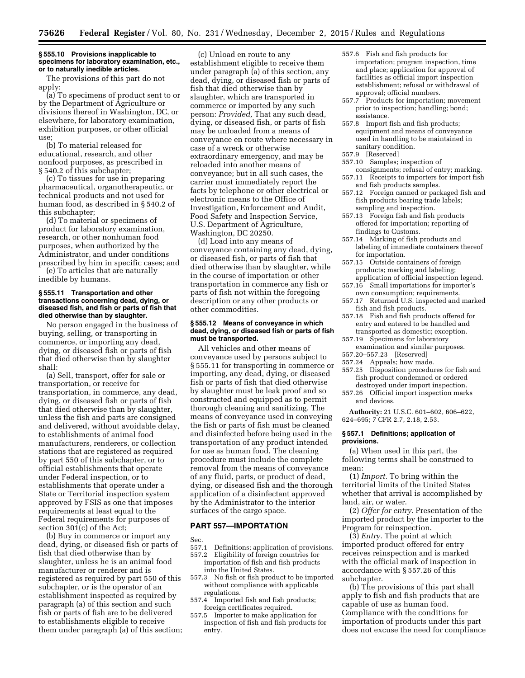#### **§ 555.10 Provisions inapplicable to specimens for laboratory examination, etc., or to naturally inedible articles.**

The provisions of this part do not apply:

(a) To specimens of product sent to or by the Department of Agriculture or divisions thereof in Washington, DC, or elsewhere, for laboratory examination, exhibition purposes, or other official use;

(b) To material released for educational, research, and other nonfood purposes, as prescribed in § 540.2 of this subchapter;

(c) To tissues for use in preparing pharmaceutical, organotherapeutic, or technical products and not used for human food, as described in § 540.2 of this subchapter;

(d) To material or specimens of product for laboratory examination, research, or other nonhuman food purposes, when authorized by the Administrator, and under conditions prescribed by him in specific cases; and

(e) To articles that are naturally inedible by humans.

#### **§ 555.11 Transportation and other transactions concerning dead, dying, or diseased fish, and fish or parts of fish that died otherwise than by slaughter.**

No person engaged in the business of buying, selling, or transporting in commerce, or importing any dead, dying, or diseased fish or parts of fish that died otherwise than by slaughter shall:

(a) Sell, transport, offer for sale or transportation, or receive for transportation, in commerce, any dead, dying, or diseased fish or parts of fish that died otherwise than by slaughter, unless the fish and parts are consigned and delivered, without avoidable delay, to establishments of animal food manufacturers, renderers, or collection stations that are registered as required by part 550 of this subchapter, or to official establishments that operate under Federal inspection, or to establishments that operate under a State or Territorial inspection system approved by FSIS as one that imposes requirements at least equal to the Federal requirements for purposes of section 301(c) of the Act;

(b) Buy in commerce or import any dead, dying, or diseased fish or parts of fish that died otherwise than by slaughter, unless he is an animal food manufacturer or renderer and is registered as required by part 550 of this subchapter, or is the operator of an establishment inspected as required by paragraph (a) of this section and such fish or parts of fish are to be delivered to establishments eligible to receive them under paragraph (a) of this section;

(c) Unload en route to any establishment eligible to receive them under paragraph (a) of this section, any dead, dying, or diseased fish or parts of fish that died otherwise than by slaughter, which are transported in commerce or imported by any such person: *Provided,* That any such dead, dying, or diseased fish, or parts of fish may be unloaded from a means of conveyance en route where necessary in case of a wreck or otherwise extraordinary emergency, and may be reloaded into another means of conveyance; but in all such cases, the carrier must immediately report the facts by telephone or other electrical or electronic means to the Office of Investigation, Enforcement and Audit, Food Safety and Inspection Service, U.S. Department of Agriculture, Washington, DC 20250.

(d) Load into any means of conveyance containing any dead, dying, or diseased fish, or parts of fish that died otherwise than by slaughter, while in the course of importation or other transportation in commerce any fish or parts of fish not within the foregoing description or any other products or other commodities.

# **§ 555.12 Means of conveyance in which dead, dying, or diseased fish or parts of fish must be transported.**

All vehicles and other means of conveyance used by persons subject to § 555.11 for transporting in commerce or importing, any dead, dying, or diseased fish or parts of fish that died otherwise by slaughter must be leak proof and so constructed and equipped as to permit thorough cleaning and sanitizing. The means of conveyance used in conveying the fish or parts of fish must be cleaned and disinfected before being used in the transportation of any product intended for use as human food. The cleaning procedure must include the complete removal from the means of conveyance of any fluid, parts, or product of dead, dying, or diseased fish and the thorough application of a disinfectant approved by the Administrator to the interior surfaces of the cargo space.

### **PART 557—IMPORTATION**

- Sec.<br>557.1 Definitions; application of provisions.
- 557.2 Eligibility of foreign countries for importation of fish and fish products into the United States.
- 557.3 No fish or fish product to be imported without compliance with applicable regulations.
- 557.4 Imported fish and fish products; foreign certificates required.
- 557.5 Importer to make application for inspection of fish and fish products for entry.
- 557.6 Fish and fish products for importation; program inspection, time and place; application for approval of facilities as official import inspection establishment; refusal or withdrawal of approval; official numbers.
- 557.7 Products for importation; movement prior to inspection; handling; bond; assistance.
- 557.8 Import fish and fish products; equipment and means of conveyance used in handling to be maintained in sanitary condition.
- 557.9 [Reserved]
- 557.10 Samples; inspection of
- consignments; refusal of entry; marking. 557.11 Receipts to importers for import fish
- and fish products samples. 557.12 Foreign canned or packaged fish and fish products bearing trade labels; sampling and inspection.
- 557.13 Foreign fish and fish products offered for importation; reporting of findings to Customs.
- 557.14 Marking of fish products and labeling of immediate containers thereof for importation.
- 557.15 Outside containers of foreign products; marking and labeling; application of official inspection legend.
- 557.16 Small importations for importer's own consumption; requirements.
- 557.17 Returned U.S. inspected and marked fish and fish products.
- 557.18 Fish and fish products offered for entry and entered to be handled and transported as domestic; exception.
- 557.19 Specimens for laboratory examination and similar purposes.
- 557.20–557.23 [Reserved]
- 557.24 Appeals; how made.
- 557.25 Disposition procedures for fish and fish product condemned or ordered destroyed under import inspection.
- 557.26 Official import inspection marks and devices.

**Authority:** 21 U.S.C. 601–602, 606–622, 624–695; 7 CFR 2.7, 2.18, 2.53.

# **§ 557.1 Definitions; application of provisions.**

(a) When used in this part, the following terms shall be construed to mean:

(1) *Import.* To bring within the territorial limits of the United States whether that arrival is accomplished by land, air, or water.

(2) *Offer for entry.* Presentation of the imported product by the importer to the Program for reinspection.

(3) *Entry.* The point at which imported product offered for entry receives reinspection and is marked with the official mark of inspection in accordance with § 557.26 of this subchapter.

(b) The provisions of this part shall apply to fish and fish products that are capable of use as human food. Compliance with the conditions for importation of products under this part does not excuse the need for compliance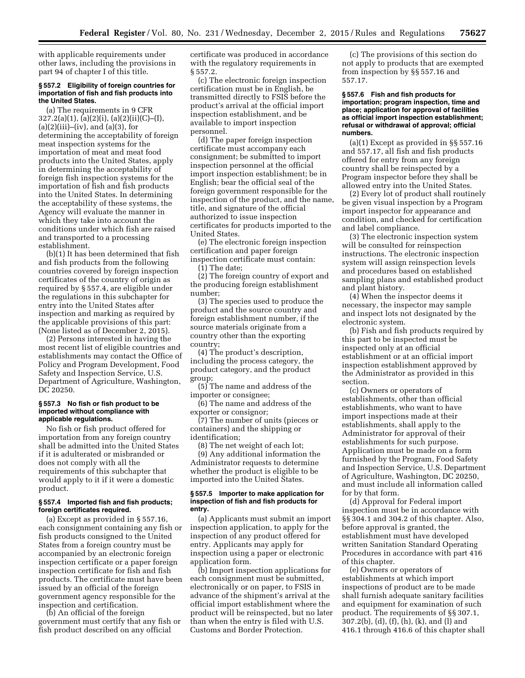with applicable requirements under other laws, including the provisions in part 94 of chapter I of this title.

#### **§ 557.2 Eligibility of foreign countries for importation of fish and fish products into the United States.**

(a) The requirements in 9 CFR 327.2(a)(1), (a)(2)(i), (a)(2)(ii)(C)–(I), (a)(2)(iii)–(iv), and (a)(3), for determining the acceptability of foreign meat inspection systems for the importation of meat and meat food products into the United States, apply in determining the acceptability of foreign fish inspection systems for the importation of fish and fish products into the United States. In determining the acceptability of these systems, the Agency will evaluate the manner in which they take into account the conditions under which fish are raised and transported to a processing establishment.

(b)(1) It has been determined that fish and fish products from the following countries covered by foreign inspection certificates of the country of origin as required by § 557.4, are eligible under the regulations in this subchapter for entry into the United States after inspection and marking as required by the applicable provisions of this part: (None listed as of December 2, 2015).

(2) Persons interested in having the most recent list of eligible countries and establishments may contact the Office of Policy and Program Development, Food Safety and Inspection Service, U.S. Department of Agriculture, Washington, DC 20250.

### **§ 557.3 No fish or fish product to be imported without compliance with applicable regulations.**

No fish or fish product offered for importation from any foreign country shall be admitted into the United States if it is adulterated or misbranded or does not comply with all the requirements of this subchapter that would apply to it if it were a domestic product.

# **§ 557.4 Imported fish and fish products; foreign certificates required.**

(a) Except as provided in § 557.16, each consignment containing any fish or fish products consigned to the United States from a foreign country must be accompanied by an electronic foreign inspection certificate or a paper foreign inspection certificate for fish and fish products. The certificate must have been issued by an official of the foreign government agency responsible for the inspection and certification.

(b) An official of the foreign government must certify that any fish or fish product described on any official

certificate was produced in accordance with the regulatory requirements in § 557.2.

(c) The electronic foreign inspection certification must be in English, be transmitted directly to FSIS before the product's arrival at the official import inspection establishment, and be available to import inspection personnel.

(d) The paper foreign inspection certificate must accompany each consignment; be submitted to import inspection personnel at the official import inspection establishment; be in English; bear the official seal of the foreign government responsible for the inspection of the product, and the name, title, and signature of the official authorized to issue inspection certificates for products imported to the United States.

(e) The electronic foreign inspection certification and paper foreign inspection certificate must contain:

(1) The date;

(2) The foreign country of export and the producing foreign establishment number;

(3) The species used to produce the product and the source country and foreign establishment number, if the source materials originate from a country other than the exporting country;

(4) The product's description, including the process category, the product category, and the product group;

(5) The name and address of the importer or consignee;

(6) The name and address of the exporter or consignor;

(7) The number of units (pieces or containers) and the shipping or identification;

(8) The net weight of each lot;

(9) Any additional information the Administrator requests to determine whether the product is eligible to be imported into the United States.

#### **§ 557.5 Importer to make application for inspection of fish and fish products for entry.**

(a) Applicants must submit an import inspection application, to apply for the inspection of any product offered for entry. Applicants may apply for inspection using a paper or electronic application form.

(b) Import inspection applications for each consignment must be submitted, electronically or on paper, to FSIS in advance of the shipment's arrival at the official import establishment where the product will be reinspected, but no later than when the entry is filed with U.S. Customs and Border Protection.

(c) The provisions of this section do not apply to products that are exempted from inspection by §§ 557.16 and 557.17.

**§ 557.6 Fish and fish products for importation; program inspection, time and place; application for approval of facilities as official import inspection establishment; refusal or withdrawal of approval; official numbers.** 

(a)(1) Except as provided in §§ 557.16 and 557.17, all fish and fish products offered for entry from any foreign country shall be reinspected by a Program inspector before they shall be allowed entry into the United States.

(2) Every lot of product shall routinely be given visual inspection by a Program import inspector for appearance and condition, and checked for certification and label compliance.

(3) The electronic inspection system will be consulted for reinspection instructions. The electronic inspection system will assign reinspection levels and procedures based on established sampling plans and established product and plant history.

(4) When the inspector deems it necessary, the inspector may sample and inspect lots not designated by the electronic system.

(b) Fish and fish products required by this part to be inspected must be inspected only at an official establishment or at an official import inspection establishment approved by the Administrator as provided in this section.

(c) Owners or operators of establishments, other than official establishments, who want to have import inspections made at their establishments, shall apply to the Administrator for approval of their establishments for such purpose. Application must be made on a form furnished by the Program, Food Safety and Inspection Service, U.S. Department of Agriculture, Washington, DC 20250, and must include all information called for by that form.

(d) Approval for Federal import inspection must be in accordance with §§ 304.1 and 304.2 of this chapter. Also, before approval is granted, the establishment must have developed written Sanitation Standard Operating Procedures in accordance with part 416 of this chapter.

(e) Owners or operators of establishments at which import inspections of product are to be made shall furnish adequate sanitary facilities and equipment for examination of such product. The requirements of §§ 307.1, 307.2(b), (d), (f), (h), (k), and (l) and 416.1 through 416.6 of this chapter shall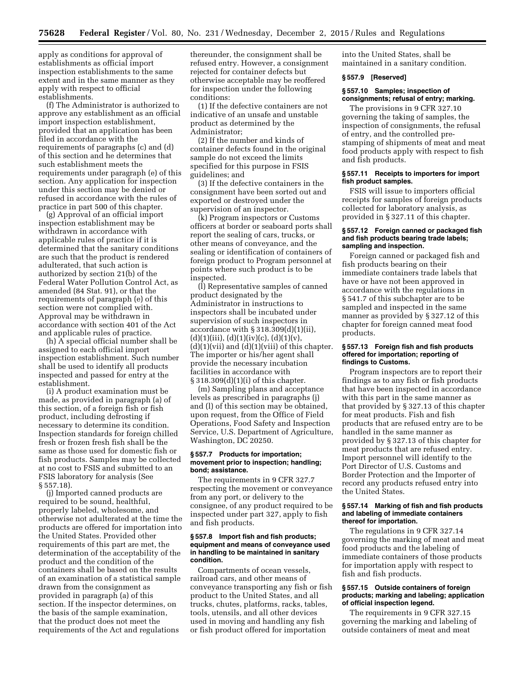apply as conditions for approval of establishments as official import inspection establishments to the same extent and in the same manner as they apply with respect to official establishments.

(f) The Administrator is authorized to approve any establishment as an official import inspection establishment, provided that an application has been filed in accordance with the requirements of paragraphs (c) and (d) of this section and he determines that such establishment meets the requirements under paragraph (e) of this section. Any application for inspection under this section may be denied or refused in accordance with the rules of practice in part 500 of this chapter.

(g) Approval of an official import inspection establishment may be withdrawn in accordance with applicable rules of practice if it is determined that the sanitary conditions are such that the product is rendered adulterated, that such action is authorized by section 21(b) of the Federal Water Pollution Control Act, as amended (84 Stat. 91), or that the requirements of paragraph (e) of this section were not complied with. Approval may be withdrawn in accordance with section 401 of the Act and applicable rules of practice.

(h) A special official number shall be assigned to each official import inspection establishment. Such number shall be used to identify all products inspected and passed for entry at the establishment.

(i) A product examination must be made, as provided in paragraph (a) of this section, of a foreign fish or fish product, including defrosting if necessary to determine its condition. Inspection standards for foreign chilled fresh or frozen fresh fish shall be the same as those used for domestic fish or fish products. Samples may be collected at no cost to FSIS and submitted to an FSIS laboratory for analysis (See § 557.18).

(j) Imported canned products are required to be sound, healthful, properly labeled, wholesome, and otherwise not adulterated at the time the products are offered for importation into the United States. Provided other requirements of this part are met, the determination of the acceptability of the product and the condition of the containers shall be based on the results of an examination of a statistical sample drawn from the consignment as provided in paragraph (a) of this section. If the inspector determines, on the basis of the sample examination, that the product does not meet the requirements of the Act and regulations

thereunder, the consignment shall be refused entry. However, a consignment rejected for container defects but otherwise acceptable may be reoffered for inspection under the following conditions:

(1) If the defective containers are not indicative of an unsafe and unstable product as determined by the Administrator;

(2) If the number and kinds of container defects found in the original sample do not exceed the limits specified for this purpose in FSIS guidelines; and

(3) If the defective containers in the consignment have been sorted out and exported or destroyed under the supervision of an inspector.

(k) Program inspectors or Customs officers at border or seaboard ports shall report the sealing of cars, trucks, or other means of conveyance, and the sealing or identification of containers of foreign product to Program personnel at points where such product is to be inspected.

(l) Representative samples of canned product designated by the Administrator in instructions to inspectors shall be incubated under supervision of such inspectors in accordance with § 318.309(d)(1)(ii),  $(d)(1)(iii), (d)(1)(iv)(c), (d)(1)(v),$  $(d)(1)(\n \n \text{vii})$  and  $(d)(1)(\n \text{viii})$  of this chapter. The importer or his/her agent shall provide the necessary incubation facilities in accordance with § 318.309(d)(1)(i) of this chapter.

(m) Sampling plans and acceptance levels as prescribed in paragraphs (j) and (l) of this section may be obtained, upon request, from the Office of Field Operations, Food Safety and Inspection Service, U.S. Department of Agriculture, Washington, DC 20250.

#### **§ 557.7 Products for importation; movement prior to inspection; handling; bond; assistance.**

The requirements in 9 CFR 327.7 respecting the movement or conveyance from any port, or delivery to the consignee, of any product required to be inspected under part 327, apply to fish and fish products.

# **§ 557.8 Import fish and fish products; equipment and means of conveyance used in handling to be maintained in sanitary condition.**

Compartments of ocean vessels, railroad cars, and other means of conveyance transporting any fish or fish product to the United States, and all trucks, chutes, platforms, racks, tables, tools, utensils, and all other devices used in moving and handling any fish or fish product offered for importation

into the United States, shall be maintained in a sanitary condition.

# **§ 557.9 [Reserved]**

# **§ 557.10 Samples; inspection of consignments; refusal of entry; marking.**

The provisions in 9 CFR 327.10 governing the taking of samples, the inspection of consignments, the refusal of entry, and the controlled prestamping of shipments of meat and meat food products apply with respect to fish and fish products.

# **§ 557.11 Receipts to importers for import fish product samples.**

FSIS will issue to importers official receipts for samples of foreign products collected for laboratory analysis, as provided in § 327.11 of this chapter.

#### **§ 557.12 Foreign canned or packaged fish and fish products bearing trade labels; sampling and inspection.**

Foreign canned or packaged fish and fish products bearing on their immediate containers trade labels that have or have not been approved in accordance with the regulations in § 541.7 of this subchapter are to be sampled and inspected in the same manner as provided by § 327.12 of this chapter for foreign canned meat food products.

### **§ 557.13 Foreign fish and fish products offered for importation; reporting of findings to Customs.**

Program inspectors are to report their findings as to any fish or fish products that have been inspected in accordance with this part in the same manner as that provided by § 327.13 of this chapter for meat products. Fish and fish products that are refused entry are to be handled in the same manner as provided by § 327.13 of this chapter for meat products that are refused entry. Import personnel will identify to the Port Director of U.S. Customs and Border Protection and the Importer of record any products refused entry into the United States.

#### **§ 557.14 Marking of fish and fish products and labeling of immediate containers thereof for importation.**

The regulations in 9 CFR 327.14 governing the marking of meat and meat food products and the labeling of immediate containers of those products for importation apply with respect to fish and fish products.

# **§ 557.15 Outside containers of foreign products; marking and labeling; application of official inspection legend.**

The requirements in 9 CFR 327.15 governing the marking and labeling of outside containers of meat and meat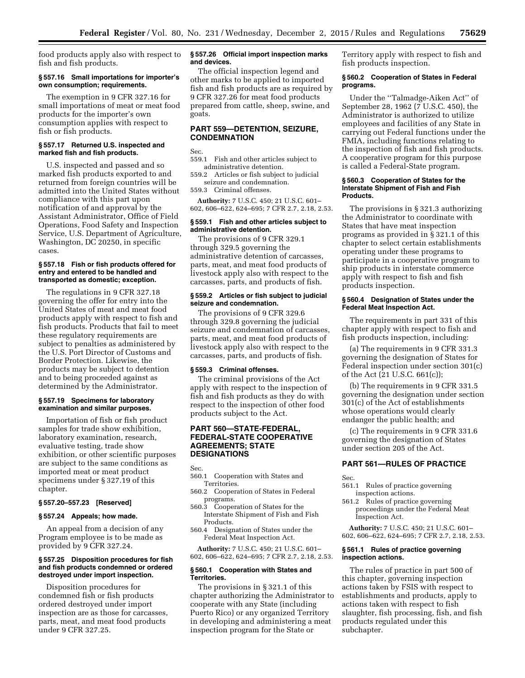food products apply also with respect to fish and fish products.

# **§ 557.16 Small importations for importer's own consumption; requirements.**

The exemption in 9 CFR 327.16 for small importations of meat or meat food products for the importer's own consumption applies with respect to fish or fish products.

# **§ 557.17 Returned U.S. inspected and marked fish and fish products.**

U.S. inspected and passed and so marked fish products exported to and returned from foreign countries will be admitted into the United States without compliance with this part upon notification of and approval by the Assistant Administrator, Office of Field Operations, Food Safety and Inspection Service, U.S. Department of Agriculture, Washington, DC 20250, in specific cases.

# **§ 557.18 Fish or fish products offered for entry and entered to be handled and transported as domestic; exception.**

The regulations in 9 CFR 327.18 governing the offer for entry into the United States of meat and meat food products apply with respect to fish and fish products. Products that fail to meet these regulatory requirements are subject to penalties as administered by the U.S. Port Director of Customs and Border Protection. Likewise, the products may be subject to detention and to being proceeded against as determined by the Administrator.

# **§ 557.19 Specimens for laboratory examination and similar purposes.**

Importation of fish or fish product samples for trade show exhibition, laboratory examination, research, evaluative testing, trade show exhibition, or other scientific purposes are subject to the same conditions as imported meat or meat product specimens under § 327.19 of this chapter.

# **§ 557.20–557.23 [Reserved]**

#### **§ 557.24 Appeals; how made.**

An appeal from a decision of any Program employee is to be made as provided by 9 CFR 327.24.

# **§ 557.25 Disposition procedures for fish and fish products condemned or ordered destroyed under import inspection.**

Disposition procedures for condemned fish or fish products ordered destroyed under import inspection are as those for carcasses, parts, meat, and meat food products under 9 CFR 327.25.

# **§ 557.26 Official import inspection marks and devices.**

The official inspection legend and other marks to be applied to imported fish and fish products are as required by 9 CFR 327.26 for meat food products prepared from cattle, sheep, swine, and goats.

# **PART 559—DETENTION, SEIZURE, CONDEMNATION**

Sec.

559.1 Fish and other articles subject to administrative detention.

559.2 Articles or fish subject to judicial seizure and condemnation.

559.3 Criminal offenses.

**Authority:** 7 U.S.C. 450; 21 U.S.C. 601– 602, 606–622, 624–695; 7 CFR 2.7, 2.18, 2.53.

# **§ 559.1 Fish and other articles subject to administrative detention.**

The provisions of 9 CFR 329.1 through 329.5 governing the administrative detention of carcasses, parts, meat, and meat food products of livestock apply also with respect to the carcasses, parts, and products of fish.

## **§ 559.2 Articles or fish subject to judicial seizure and condemnation.**

The provisions of 9 CFR 329.6 through 329.8 governing the judicial seizure and condemnation of carcasses, parts, meat, and meat food products of livestock apply also with respect to the carcasses, parts, and products of fish.

#### **§ 559.3 Criminal offenses.**

The criminal provisions of the Act apply with respect to the inspection of fish and fish products as they do with respect to the inspection of other food products subject to the Act.

# **PART 560—STATE-FEDERAL, FEDERAL-STATE COOPERATIVE AGREEMENTS; STATE DESIGNATIONS**

Sec.

- 560.1 Cooperation with States and Territories.
- 560.2 Cooperation of States in Federal programs.
- 560.3 Cooperation of States for the Interstate Shipment of Fish and Fish Products.

560.4 Designation of States under the Federal Meat Inspection Act.

**Authority:** 7 U.S.C. 450; 21 U.S.C. 601– 602, 606–622, 624–695; 7 CFR 2.7, 2.18, 2.53.

### **§ 560.1 Cooperation with States and Territories.**

The provisions in § 321.1 of this chapter authorizing the Administrator to cooperate with any State (including Puerto Rico) or any organized Territory in developing and administering a meat inspection program for the State or

Territory apply with respect to fish and fish products inspection.

# **§ 560.2 Cooperation of States in Federal programs.**

Under the ''Talmadge-Aiken Act'' of September 28, 1962 (7 U.S.C. 450), the Administrator is authorized to utilize employees and facilities of any State in carrying out Federal functions under the FMIA, including functions relating to the inspection of fish and fish products. A cooperative program for this purpose is called a Federal-State program.

# **§ 560.3 Cooperation of States for the Interstate Shipment of Fish and Fish Products.**

The provisions in § 321.3 authorizing the Administrator to coordinate with States that have meat inspection programs as provided in § 321.1 of this chapter to select certain establishments operating under these programs to participate in a cooperative program to ship products in interstate commerce apply with respect to fish and fish products inspection.

# **§ 560.4 Designation of States under the Federal Meat Inspection Act.**

The requirements in part 331 of this chapter apply with respect to fish and fish products inspection, including:

(a) The requirements in 9 CFR 331.3 governing the designation of States for Federal inspection under section 301(c) of the Act (21 U.S.C. 661(c));

(b) The requirements in 9 CFR 331.5 governing the designation under section 301(c) of the Act of establishments whose operations would clearly endanger the public health; and

(c) The requirements in 9 CFR 331.6 governing the designation of States under section 205 of the Act.

# **PART 561—RULES OF PRACTICE**

Sec.

- 561.1 Rules of practice governing inspection actions.
- 561.2 Rules of practice governing proceedings under the Federal Meat Inspection Act.

**Authority:** 7 U.S.C. 450; 21 U.S.C. 601– 602, 606–622, 624–695; 7 CFR 2.7, 2.18, 2.53.

# **§ 561.1 Rules of practice governing inspection actions.**

The rules of practice in part 500 of this chapter, governing inspection actions taken by FSIS with respect to establishments and products, apply to actions taken with respect to fish slaughter, fish processing, fish, and fish products regulated under this subchapter.